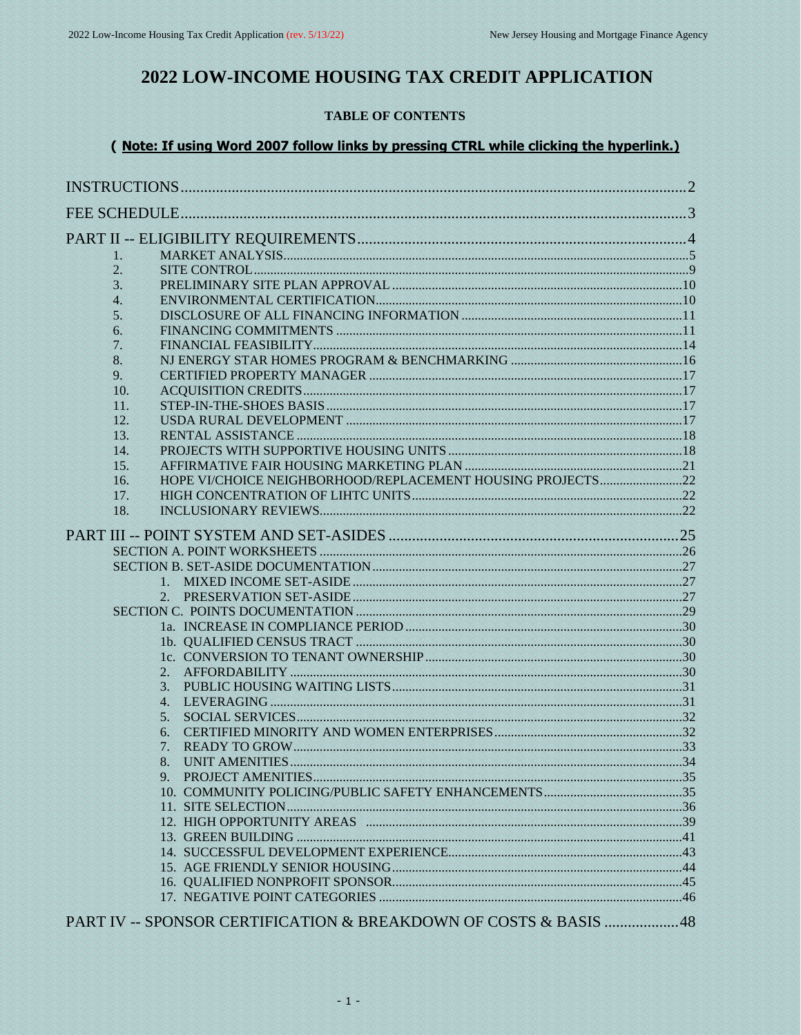# 2022 LOW-INCOME HOUSING TAX CREDIT APPLICATION

# **TABLE OF CONTENTS**

# ( Note: If using Word 2007 follow links by pressing CTRL while clicking the hyperlink.)

| 1.               |                                                            |  |
|------------------|------------------------------------------------------------|--|
| 2.               |                                                            |  |
| 3.               |                                                            |  |
| $\overline{4}$ . |                                                            |  |
| 5.               |                                                            |  |
| 6.               |                                                            |  |
| 7.               |                                                            |  |
| 8.               |                                                            |  |
| 9.               |                                                            |  |
| 10.              |                                                            |  |
| 11.              |                                                            |  |
| 12.              |                                                            |  |
| 13.              |                                                            |  |
| 14.              |                                                            |  |
| 15.              |                                                            |  |
| 16.              | HOPE VI/CHOICE NEIGHBORHOOD/REPLACEMENT HOUSING PROJECTS22 |  |
| 17.              |                                                            |  |
| 18.              |                                                            |  |
|                  |                                                            |  |
|                  |                                                            |  |
|                  |                                                            |  |
|                  |                                                            |  |
|                  |                                                            |  |
|                  |                                                            |  |
|                  |                                                            |  |
|                  |                                                            |  |
|                  |                                                            |  |
|                  |                                                            |  |
|                  | 2.                                                         |  |
|                  | 3.<br>4.                                                   |  |
|                  | 5.                                                         |  |
|                  | 6.                                                         |  |
|                  | 7.                                                         |  |
|                  | 8.                                                         |  |
|                  | $9^{1}$                                                    |  |
|                  |                                                            |  |
|                  |                                                            |  |
|                  |                                                            |  |
|                  |                                                            |  |
|                  |                                                            |  |
|                  |                                                            |  |
|                  |                                                            |  |
|                  |                                                            |  |
|                  |                                                            |  |
|                  |                                                            |  |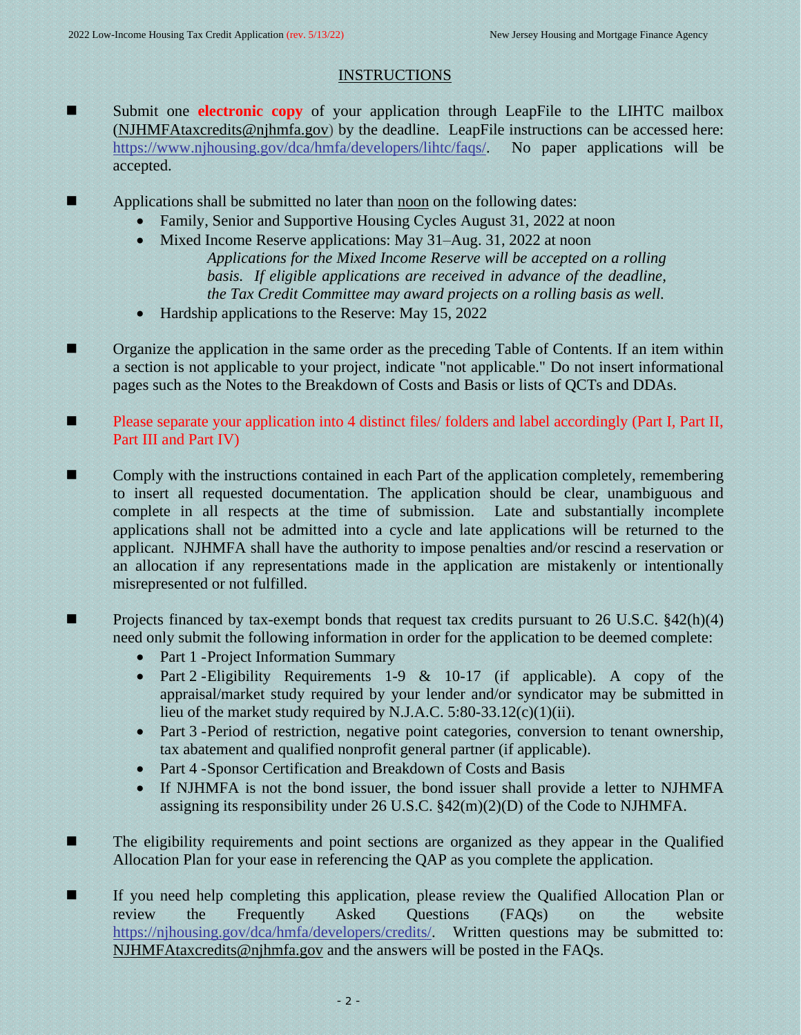# <span id="page-1-0"></span>**INSTRUCTIONS**

- Submit one **electronic copy** of your application through LeapFile to the LIHTC mailbox [\(NJHMFAtaxcredits@njhmfa.gov\)](mailto:NJHMFAtaxcredits@njhmfa.gov) by the deadline. LeapFile instructions can be accessed here: [https://www.njhousing.gov/dca/hmfa/developers/lihtc/faqs/.](https://www.njhousing.gov/dca/hmfa/developers/lihtc/faqs/) No paper applications will be accepted.
- Applications shall be submitted no later than noon on the following dates:
	- Family, Senior and Supportive Housing Cycles August 31, 2022 at noon
	- Mixed Income Reserve applications: May 31–Aug. 31, 2022 at noon *Applications for the Mixed Income Reserve will be accepted on a rolling basis. If eligible applications are received in advance of the deadline, the Tax Credit Committee may award projects on a rolling basis as well.*
	- Hardship applications to the Reserve: May 15, 2022
- Organize the application in the same order as the preceding Table of Contents. If an item within a section is not applicable to your project, indicate "not applicable." Do not insert informational pages such as the Notes to the Breakdown of Costs and Basis or lists of QCTs and DDAs.
- Please separate your application into 4 distinct files/ folders and label accordingly (Part I, Part II, Part III and Part IV)
- Comply with the instructions contained in each Part of the application completely, remembering to insert all requested documentation. The application should be clear, unambiguous and complete in all respects at the time of submission. Late and substantially incomplete applications shall not be admitted into a cycle and late applications will be returned to the applicant. NJHMFA shall have the authority to impose penalties and/or rescind a reservation or an allocation if any representations made in the application are mistakenly or intentionally misrepresented or not fulfilled.
- Projects financed by tax-exempt bonds that request tax credits pursuant to 26 U.S.C. §42(h)(4) need only submit the following information in order for the application to be deemed complete:
	- Part 1 Project Information Summary
	- Part 2 Eligibility Requirements 1-9 & 10-17 (if applicable). A copy of the appraisal/market study required by your lender and/or syndicator may be submitted in lieu of the market study required by N.J.A.C. 5:80-33.12(c)(1)(ii).
	- Part 3 -Period of restriction, negative point categories, conversion to tenant ownership, tax abatement and qualified nonprofit general partner (if applicable).
	- Part 4 -Sponsor Certification and Breakdown of Costs and Basis
	- If NJHMFA is not the bond issuer, the bond issuer shall provide a letter to NJHMFA assigning its responsibility under 26 U.S.C. §42(m)(2)(D) of the Code to NJHMFA.
- The eligibility requirements and point sections are organized as they appear in the Qualified Allocation Plan for your ease in referencing the QAP as you complete the application.
- If you need help completing this application, please review the Qualified Allocation Plan or review the Frequently Asked Questions (FAQs) on the website [https://njhousing.gov/dca/hmfa/developers/credits/.](https://njhousing.gov/dca/hmfa/developers/credits/) Written questions may be submitted to: [NJHMFAtaxcredits@njhmfa.gov](mailto:NJHMFAtaxcredits@njhmfa.gov) and the answers will be posted in the FAQs.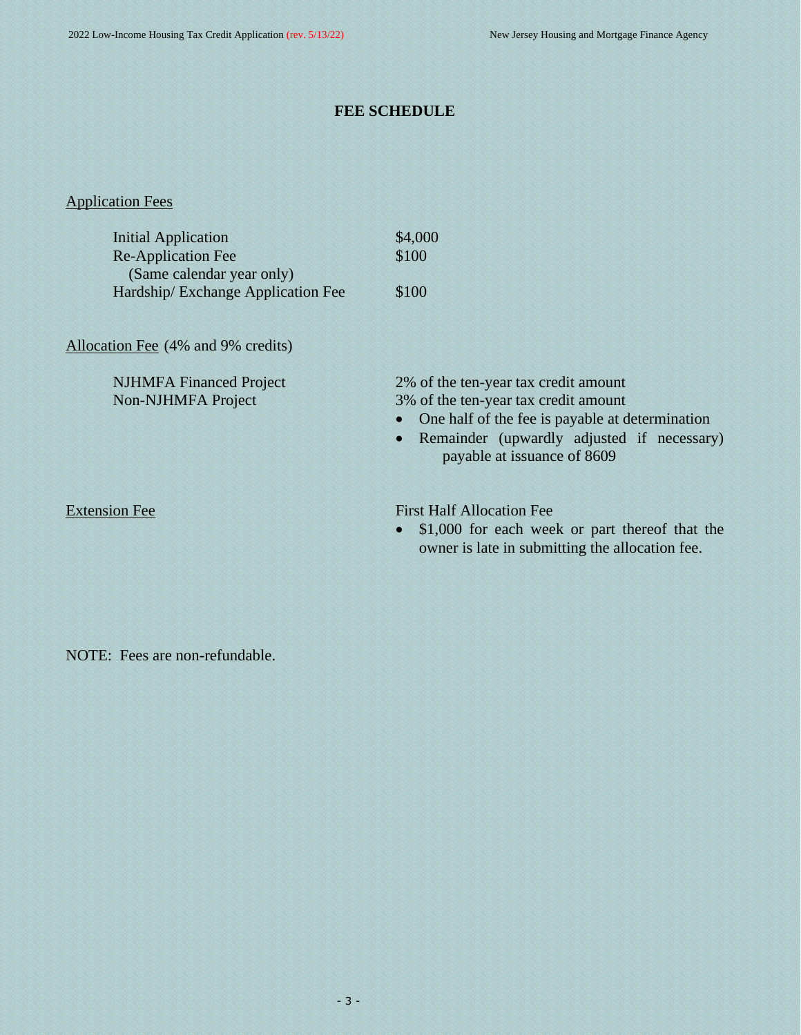# <span id="page-2-0"></span>**FEE SCHEDULE**

# Application Fees

| <b>Initial Application</b>                             | \$4,000                                                                                                                                                                                                                                |
|--------------------------------------------------------|----------------------------------------------------------------------------------------------------------------------------------------------------------------------------------------------------------------------------------------|
| <b>Re-Application Fee</b><br>(Same calendar year only) | \$100                                                                                                                                                                                                                                  |
| Hardship/Exchange Application Fee                      | \$100                                                                                                                                                                                                                                  |
| Allocation Fee (4% and 9% credits)                     |                                                                                                                                                                                                                                        |
| <b>NJHMFA Financed Project</b><br>Non-NJHMFA Project   | 2% of the ten-year tax credit amount<br>3% of the ten-year tax credit amount<br>One half of the fee is payable at determination<br>$\bullet$<br>Remainder (upwardly adjusted if necessary)<br>$\bullet$<br>payable at issuance of 8609 |
| <b>Extension Fee</b>                                   | <b>First Half Allocation Fee</b><br>\$1,000 for each week or part thereof that the<br>$\bullet$<br>owner is late in submitting the allocation fee.                                                                                     |

NOTE: Fees are non-refundable.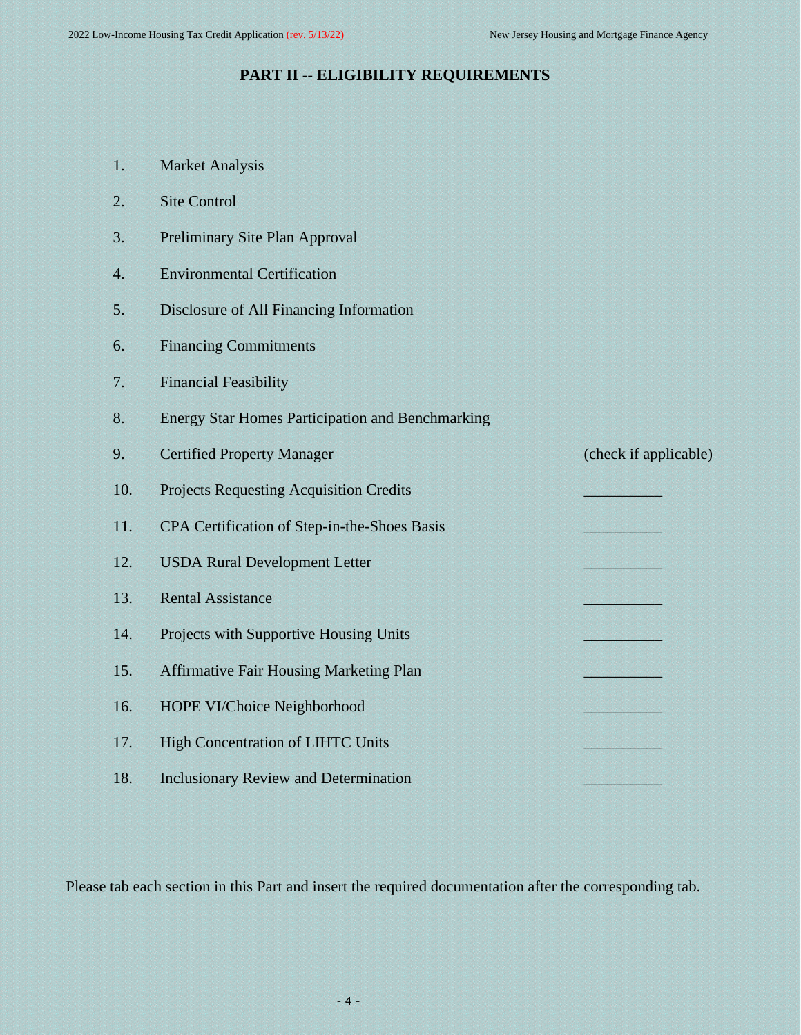# <span id="page-3-0"></span>**PART II -- ELIGIBILITY REQUIREMENTS**

- 1. Market Analysis
- 2. Site Control
- 3. Preliminary Site Plan Approval
- 4. Environmental Certification
- 5. Disclosure of All Financing Information
- 6. Financing Commitments
- 7. Financial Feasibility
- 8. Energy Star Homes Participation and Benchmarking

| 9.  | <b>Certified Property Manager</b>              | (check if applicable) |
|-----|------------------------------------------------|-----------------------|
| 10. | <b>Projects Requesting Acquisition Credits</b> |                       |
| 11. | CPA Certification of Step-in-the-Shoes Basis   |                       |
| 12. | <b>USDA Rural Development Letter</b>           |                       |
| 13. | <b>Rental Assistance</b>                       |                       |
| 14. | Projects with Supportive Housing Units         |                       |
| 15. | <b>Affirmative Fair Housing Marketing Plan</b> |                       |
| 16. | HOPE VI/Choice Neighborhood                    |                       |
| 17. | <b>High Concentration of LIHTC Units</b>       |                       |
| 18. | <b>Inclusionary Review and Determination</b>   |                       |

Please tab each section in this Part and insert the required documentation after the corresponding tab.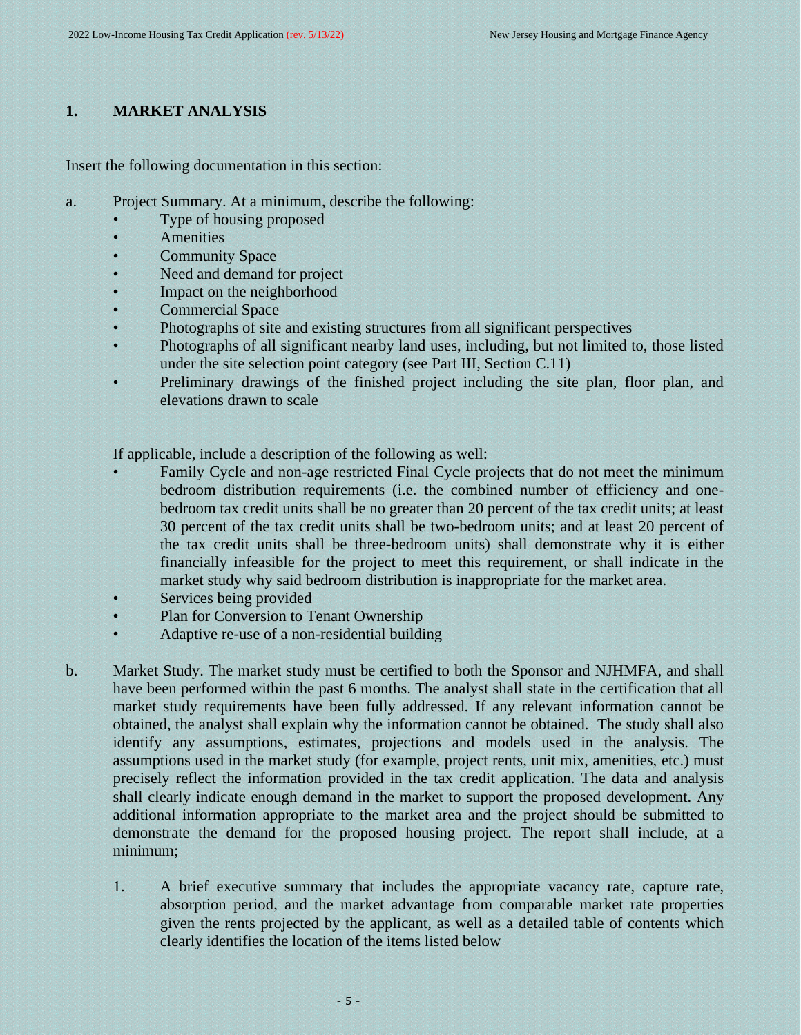# <span id="page-4-0"></span>**1. MARKET ANALYSIS**

Insert the following documentation in this section:

- a. Project Summary. At a minimum, describe the following:
	- Type of housing proposed
	- **Amenities**
	- **Community Space**
	- Need and demand for project
	- Impact on the neighborhood
	- Commercial Space
	- Photographs of site and existing structures from all significant perspectives
	- Photographs of all significant nearby land uses, including, but not limited to, those listed under the site selection point category (see Part III, Section C.11)
	- Preliminary drawings of the finished project including the site plan, floor plan, and elevations drawn to scale

If applicable, include a description of the following as well:

- Family Cycle and non-age restricted Final Cycle projects that do not meet the minimum bedroom distribution requirements (i.e. the combined number of efficiency and onebedroom tax credit units shall be no greater than 20 percent of the tax credit units; at least 30 percent of the tax credit units shall be two-bedroom units; and at least 20 percent of the tax credit units shall be three-bedroom units) shall demonstrate why it is either financially infeasible for the project to meet this requirement, or shall indicate in the market study why said bedroom distribution is inappropriate for the market area.
- Services being provided
- Plan for Conversion to Tenant Ownership
- Adaptive re-use of a non-residential building
- b. Market Study. The market study must be certified to both the Sponsor and NJHMFA, and shall have been performed within the past 6 months. The analyst shall state in the certification that all market study requirements have been fully addressed. If any relevant information cannot be obtained, the analyst shall explain why the information cannot be obtained. The study shall also identify any assumptions, estimates, projections and models used in the analysis. The assumptions used in the market study (for example, project rents, unit mix, amenities, etc.) must precisely reflect the information provided in the tax credit application. The data and analysis shall clearly indicate enough demand in the market to support the proposed development. Any additional information appropriate to the market area and the project should be submitted to demonstrate the demand for the proposed housing project. The report shall include, at a minimum;
	- 1. A brief executive summary that includes the appropriate vacancy rate, capture rate, absorption period, and the market advantage from comparable market rate properties given the rents projected by the applicant, as well as a detailed table of contents which clearly identifies the location of the items listed below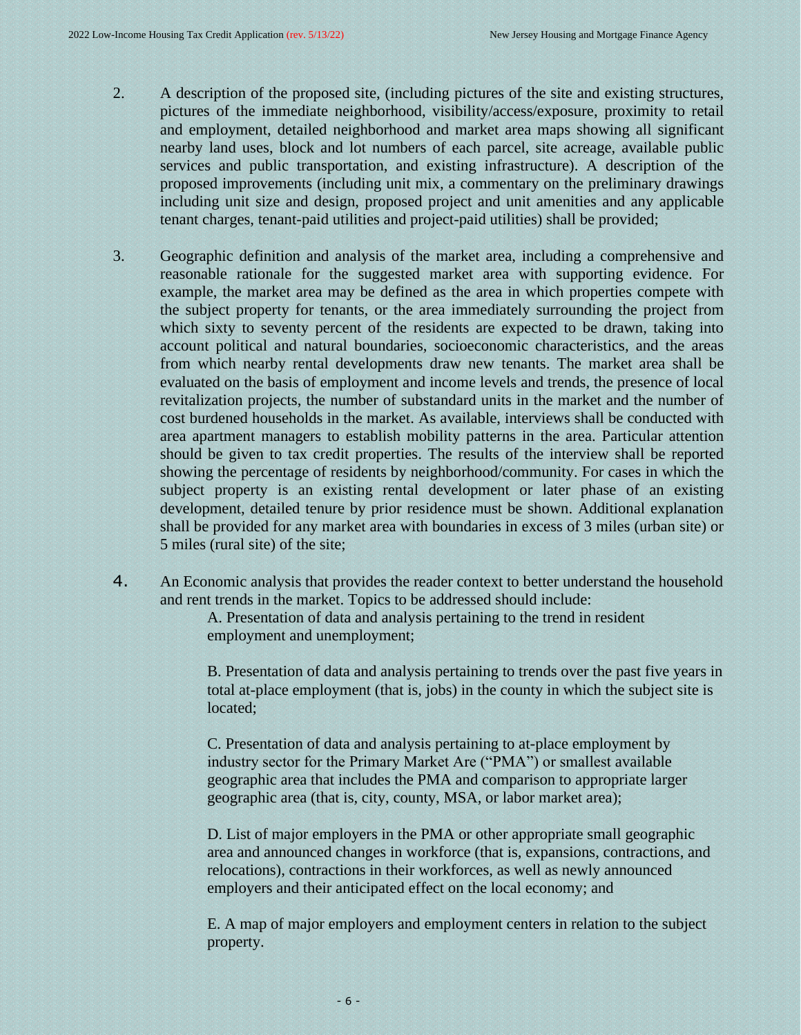- 2. A description of the proposed site, (including pictures of the site and existing structures, pictures of the immediate neighborhood, visibility/access/exposure, proximity to retail and employment, detailed neighborhood and market area maps showing all significant nearby land uses, block and lot numbers of each parcel, site acreage, available public services and public transportation, and existing infrastructure). A description of the proposed improvements (including unit mix, a commentary on the preliminary drawings including unit size and design, proposed project and unit amenities and any applicable tenant charges, tenant-paid utilities and project-paid utilities) shall be provided;
- 3. Geographic definition and analysis of the market area, including a comprehensive and reasonable rationale for the suggested market area with supporting evidence. For example, the market area may be defined as the area in which properties compete with the subject property for tenants, or the area immediately surrounding the project from which sixty to seventy percent of the residents are expected to be drawn, taking into account political and natural boundaries, socioeconomic characteristics, and the areas from which nearby rental developments draw new tenants. The market area shall be evaluated on the basis of employment and income levels and trends, the presence of local revitalization projects, the number of substandard units in the market and the number of cost burdened households in the market. As available, interviews shall be conducted with area apartment managers to establish mobility patterns in the area. Particular attention should be given to tax credit properties. The results of the interview shall be reported showing the percentage of residents by neighborhood/community. For cases in which the subject property is an existing rental development or later phase of an existing development, detailed tenure by prior residence must be shown. Additional explanation shall be provided for any market area with boundaries in excess of 3 miles (urban site) or 5 miles (rural site) of the site;
- 4. An Economic analysis that provides the reader context to better understand the household and rent trends in the market. Topics to be addressed should include:

A. Presentation of data and analysis pertaining to the trend in resident employment and unemployment;

B. Presentation of data and analysis pertaining to trends over the past five years in total at-place employment (that is, jobs) in the county in which the subject site is located;

C. Presentation of data and analysis pertaining to at-place employment by industry sector for the Primary Market Are ("PMA") or smallest available geographic area that includes the PMA and comparison to appropriate larger geographic area (that is, city, county, MSA, or labor market area);

D. List of major employers in the PMA or other appropriate small geographic area and announced changes in workforce (that is, expansions, contractions, and relocations), contractions in their workforces, as well as newly announced employers and their anticipated effect on the local economy; and

E. A map of major employers and employment centers in relation to the subject property.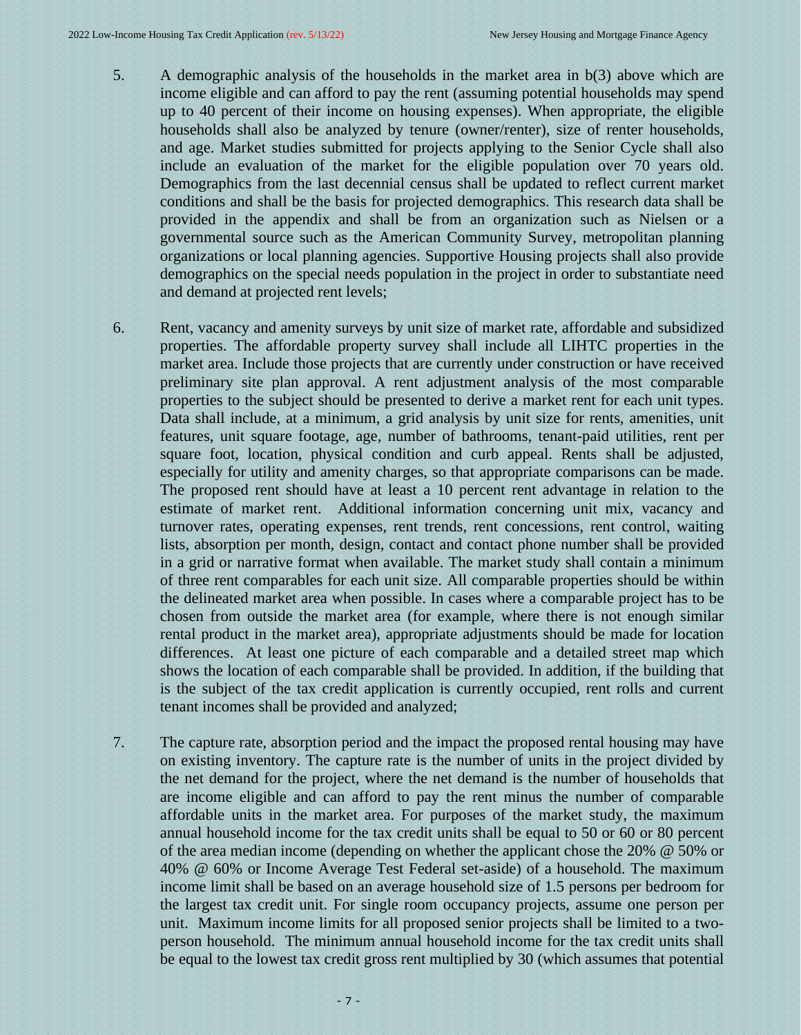- 5. A demographic analysis of the households in the market area in b(3) above which are income eligible and can afford to pay the rent (assuming potential households may spend up to 40 percent of their income on housing expenses). When appropriate, the eligible households shall also be analyzed by tenure (owner/renter), size of renter households, and age. Market studies submitted for projects applying to the Senior Cycle shall also include an evaluation of the market for the eligible population over 70 years old. Demographics from the last decennial census shall be updated to reflect current market conditions and shall be the basis for projected demographics. This research data shall be provided in the appendix and shall be from an organization such as Nielsen or a governmental source such as the American Community Survey, metropolitan planning organizations or local planning agencies. Supportive Housing projects shall also provide demographics on the special needs population in the project in order to substantiate need and demand at projected rent levels;
- 6. Rent, vacancy and amenity surveys by unit size of market rate, affordable and subsidized properties. The affordable property survey shall include all LIHTC properties in the market area. Include those projects that are currently under construction or have received preliminary site plan approval. A rent adjustment analysis of the most comparable properties to the subject should be presented to derive a market rent for each unit types. Data shall include, at a minimum, a grid analysis by unit size for rents, amenities, unit features, unit square footage, age, number of bathrooms, tenant-paid utilities, rent per square foot, location, physical condition and curb appeal. Rents shall be adjusted, especially for utility and amenity charges, so that appropriate comparisons can be made. The proposed rent should have at least a 10 percent rent advantage in relation to the estimate of market rent. Additional information concerning unit mix, vacancy and turnover rates, operating expenses, rent trends, rent concessions, rent control, waiting lists, absorption per month, design, contact and contact phone number shall be provided in a grid or narrative format when available. The market study shall contain a minimum of three rent comparables for each unit size. All comparable properties should be within the delineated market area when possible. In cases where a comparable project has to be chosen from outside the market area (for example, where there is not enough similar rental product in the market area), appropriate adjustments should be made for location differences. At least one picture of each comparable and a detailed street map which shows the location of each comparable shall be provided. In addition, if the building that is the subject of the tax credit application is currently occupied, rent rolls and current tenant incomes shall be provided and analyzed;
- 7. The capture rate, absorption period and the impact the proposed rental housing may have on existing inventory. The capture rate is the number of units in the project divided by the net demand for the project, where the net demand is the number of households that are income eligible and can afford to pay the rent minus the number of comparable affordable units in the market area. For purposes of the market study, the maximum annual household income for the tax credit units shall be equal to 50 or 60 or 80 percent of the area median income (depending on whether the applicant chose the 20% @ 50% or 40% @ 60% or Income Average Test Federal set-aside) of a household. The maximum income limit shall be based on an average household size of 1.5 persons per bedroom for the largest tax credit unit. For single room occupancy projects, assume one person per unit. Maximum income limits for all proposed senior projects shall be limited to a twoperson household. The minimum annual household income for the tax credit units shall be equal to the lowest tax credit gross rent multiplied by 30 (which assumes that potential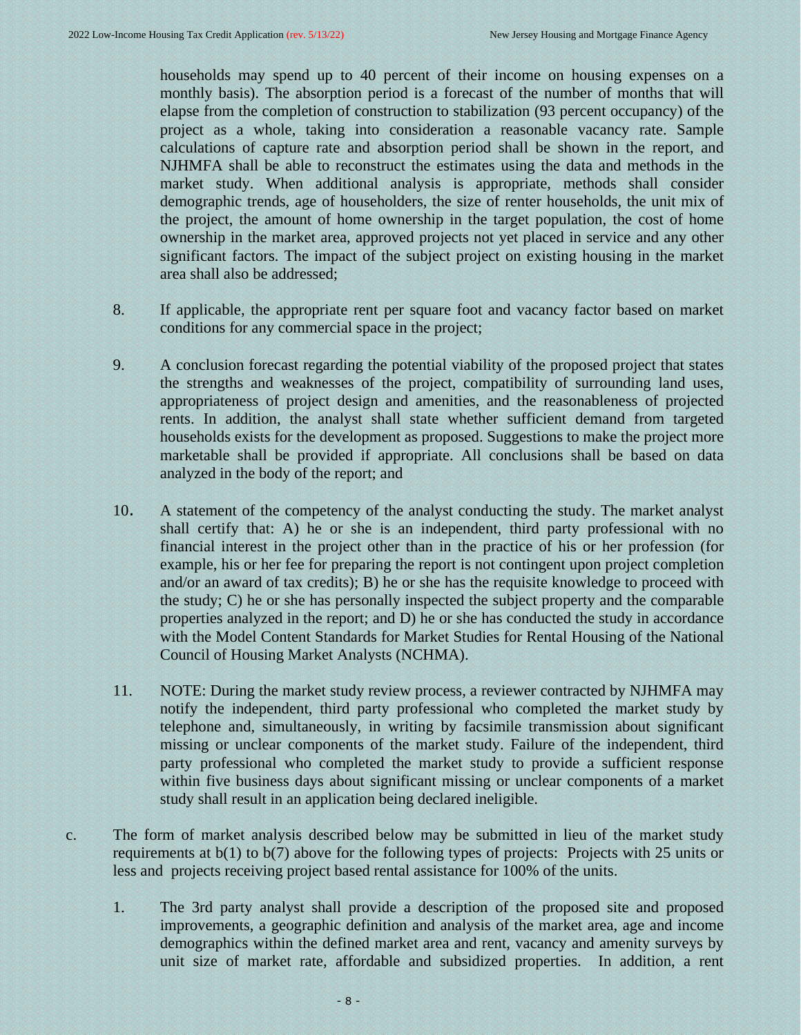households may spend up to 40 percent of their income on housing expenses on a monthly basis). The absorption period is a forecast of the number of months that will elapse from the completion of construction to stabilization (93 percent occupancy) of the project as a whole, taking into consideration a reasonable vacancy rate. Sample calculations of capture rate and absorption period shall be shown in the report, and NJHMFA shall be able to reconstruct the estimates using the data and methods in the market study. When additional analysis is appropriate, methods shall consider demographic trends, age of householders, the size of renter households, the unit mix of the project, the amount of home ownership in the target population, the cost of home ownership in the market area, approved projects not yet placed in service and any other significant factors. The impact of the subject project on existing housing in the market area shall also be addressed;

- 8. If applicable, the appropriate rent per square foot and vacancy factor based on market conditions for any commercial space in the project;
- 9. A conclusion forecast regarding the potential viability of the proposed project that states the strengths and weaknesses of the project, compatibility of surrounding land uses, appropriateness of project design and amenities, and the reasonableness of projected rents. In addition, the analyst shall state whether sufficient demand from targeted households exists for the development as proposed. Suggestions to make the project more marketable shall be provided if appropriate. All conclusions shall be based on data analyzed in the body of the report; and
- 10. A statement of the competency of the analyst conducting the study. The market analyst shall certify that: A) he or she is an independent, third party professional with no financial interest in the project other than in the practice of his or her profession (for example, his or her fee for preparing the report is not contingent upon project completion and/or an award of tax credits); B) he or she has the requisite knowledge to proceed with the study; C) he or she has personally inspected the subject property and the comparable properties analyzed in the report; and D) he or she has conducted the study in accordance with the Model Content Standards for Market Studies for Rental Housing of the National Council of Housing Market Analysts (NCHMA).
- 11. NOTE: During the market study review process, a reviewer contracted by NJHMFA may notify the independent, third party professional who completed the market study by telephone and, simultaneously, in writing by facsimile transmission about significant missing or unclear components of the market study. Failure of the independent, third party professional who completed the market study to provide a sufficient response within five business days about significant missing or unclear components of a market study shall result in an application being declared ineligible.
- c. The form of market analysis described below may be submitted in lieu of the market study requirements at b(1) to b(7) above for the following types of projects: Projects with 25 units or less and projects receiving project based rental assistance for 100% of the units.
	- 1. The 3rd party analyst shall provide a description of the proposed site and proposed improvements, a geographic definition and analysis of the market area, age and income demographics within the defined market area and rent, vacancy and amenity surveys by unit size of market rate, affordable and subsidized properties. In addition, a rent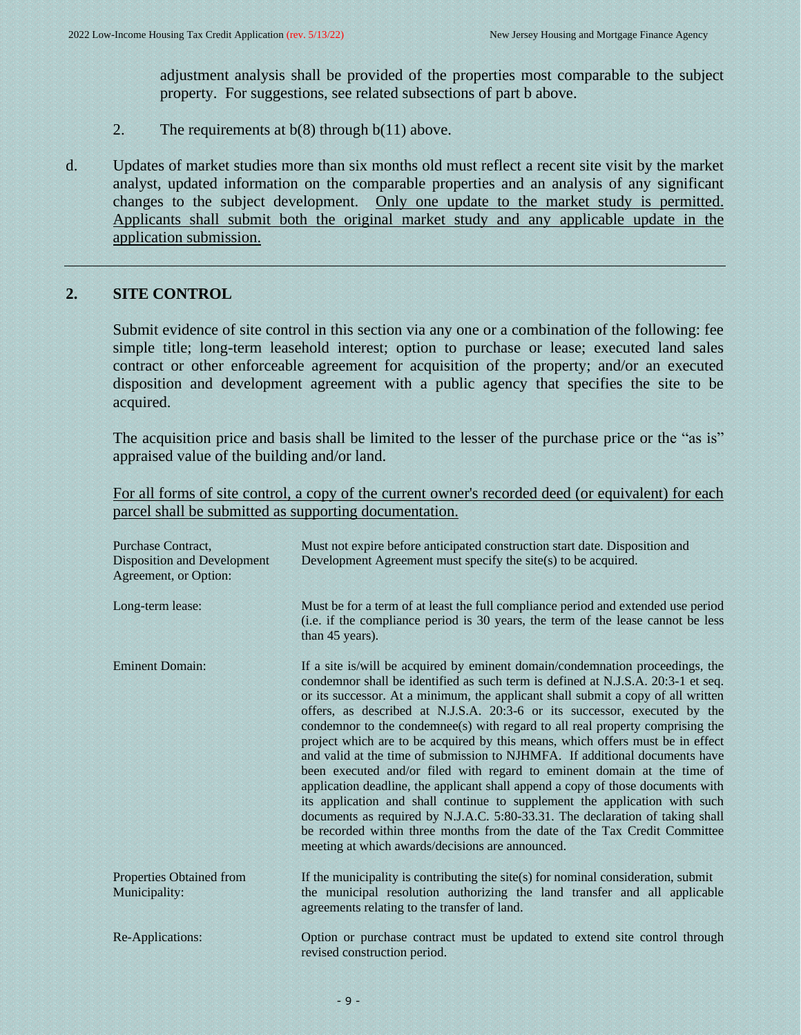adjustment analysis shall be provided of the properties most comparable to the subject property. For suggestions, see related subsections of part b above.

- 2. The requirements at  $b(8)$  through  $b(11)$  above.
- d. Updates of market studies more than six months old must reflect a recent site visit by the market analyst, updated information on the comparable properties and an analysis of any significant changes to the subject development. Only one update to the market study is permitted. Applicants shall submit both the original market study and any applicable update in the application submission.

#### **2. SITE CONTROL**

<span id="page-8-0"></span>Submit evidence of site control in this section via any one or a combination of the following: fee simple title; long-term leasehold interest; option to purchase or lease; executed land sales contract or other enforceable agreement for acquisition of the property; and/or an executed disposition and development agreement with a public agency that specifies the site to be acquired.

The acquisition price and basis shall be limited to the lesser of the purchase price or the "as is" appraised value of the building and/or land.

For all forms of site control, a copy of the current owner's recorded deed (or equivalent) for each parcel shall be submitted as supporting documentation.

| Purchase Contract,<br><b>Disposition and Development</b><br>Agreement, or Option: | Must not expire before anticipated construction start date. Disposition and<br>Development Agreement must specify the site(s) to be acquired.                                                                                                                                                                                                                                                                                                                                                                                                                                                                                                                                                                                                                                                                                                                                                                                                                                                                                                      |
|-----------------------------------------------------------------------------------|----------------------------------------------------------------------------------------------------------------------------------------------------------------------------------------------------------------------------------------------------------------------------------------------------------------------------------------------------------------------------------------------------------------------------------------------------------------------------------------------------------------------------------------------------------------------------------------------------------------------------------------------------------------------------------------------------------------------------------------------------------------------------------------------------------------------------------------------------------------------------------------------------------------------------------------------------------------------------------------------------------------------------------------------------|
| Long-term lease:                                                                  | Must be for a term of at least the full compliance period and extended use period<br>(i.e. if the compliance period is 30 years, the term of the lease cannot be less<br>than 45 years).                                                                                                                                                                                                                                                                                                                                                                                                                                                                                                                                                                                                                                                                                                                                                                                                                                                           |
| <b>Eminent Domain:</b>                                                            | If a site is/will be acquired by eminent domain/condemnation proceedings, the<br>condemnor shall be identified as such term is defined at N.J.S.A. 20:3-1 et seq.<br>or its successor. At a minimum, the applicant shall submit a copy of all written<br>offers, as described at N.J.S.A. 20:3-6 or its successor, executed by the<br>condemnor to the condemnee(s) with regard to all real property comprising the<br>project which are to be acquired by this means, which offers must be in effect<br>and valid at the time of submission to NJHMFA. If additional documents have<br>been executed and/or filed with regard to eminent domain at the time of<br>application deadline, the applicant shall append a copy of those documents with<br>its application and shall continue to supplement the application with such<br>documents as required by N.J.A.C. 5:80-33.31. The declaration of taking shall<br>be recorded within three months from the date of the Tax Credit Committee<br>meeting at which awards/decisions are announced. |
| Properties Obtained from<br>Municipality:                                         | If the municipality is contributing the site $(s)$ for nominal consideration, submit<br>the municipal resolution authorizing the land transfer and all applicable<br>agreements relating to the transfer of land.                                                                                                                                                                                                                                                                                                                                                                                                                                                                                                                                                                                                                                                                                                                                                                                                                                  |
| Re-Applications:                                                                  | Option or purchase contract must be updated to extend site control through<br>revised construction period.                                                                                                                                                                                                                                                                                                                                                                                                                                                                                                                                                                                                                                                                                                                                                                                                                                                                                                                                         |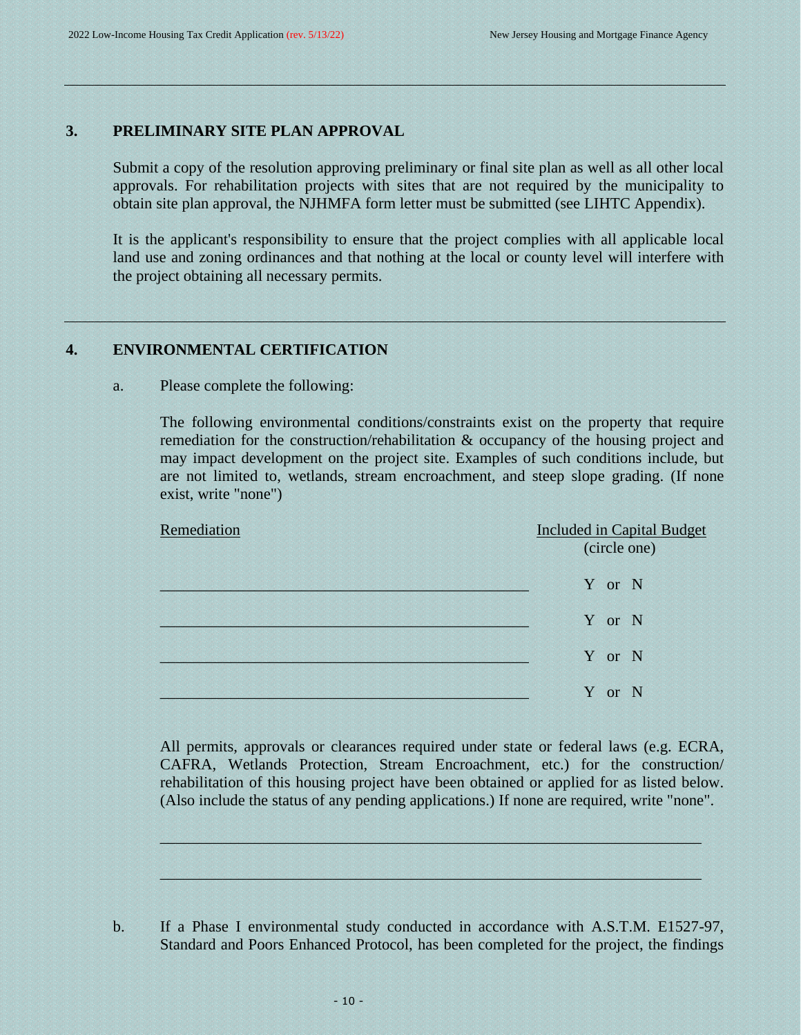#### **3. PRELIMINARY SITE PLAN APPROVAL**

<span id="page-9-0"></span>Submit a copy of the resolution approving preliminary or final site plan as well as all other local approvals. For rehabilitation projects with sites that are not required by the municipality to obtain site plan approval, the NJHMFA form letter must be submitted (see LIHTC Appendix).

It is the applicant's responsibility to ensure that the project complies with all applicable local land use and zoning ordinances and that nothing at the local or county level will interfere with the project obtaining all necessary permits.

#### **4. ENVIRONMENTAL CERTIFICATION**

#### a. Please complete the following:

<span id="page-9-1"></span>The following environmental conditions/constraints exist on the property that require remediation for the construction/rehabilitation & occupancy of the housing project and may impact development on the project site. Examples of such conditions include, but are not limited to, wetlands, stream encroachment, and steep slope grading. (If none exist, write "none")

| Remediation | <b>Included in Capital Budget</b><br>(circle one) |
|-------------|---------------------------------------------------|
|             | Y or N                                            |
|             | Y or N                                            |
|             | Y or N                                            |
|             | Y or N                                            |

All permits, approvals or clearances required under state or federal laws (e.g. ECRA, CAFRA, Wetlands Protection, Stream Encroachment, etc.) for the construction/ rehabilitation of this housing project have been obtained or applied for as listed below. (Also include the status of any pending applications.) If none are required, write "none".

 $\mu$  , and the state of the state of the state of the state of the state of the state of the state of the state of

 $\sim$  . The contribution of the contribution of the contribution of the contribution of the contribution of the contribution of the contribution of the contribution of the contribution of the contribution of the contributi

b. If a Phase I environmental study conducted in accordance with A.S.T.M. E1527-97, Standard and Poors Enhanced Protocol, has been completed for the project, the findings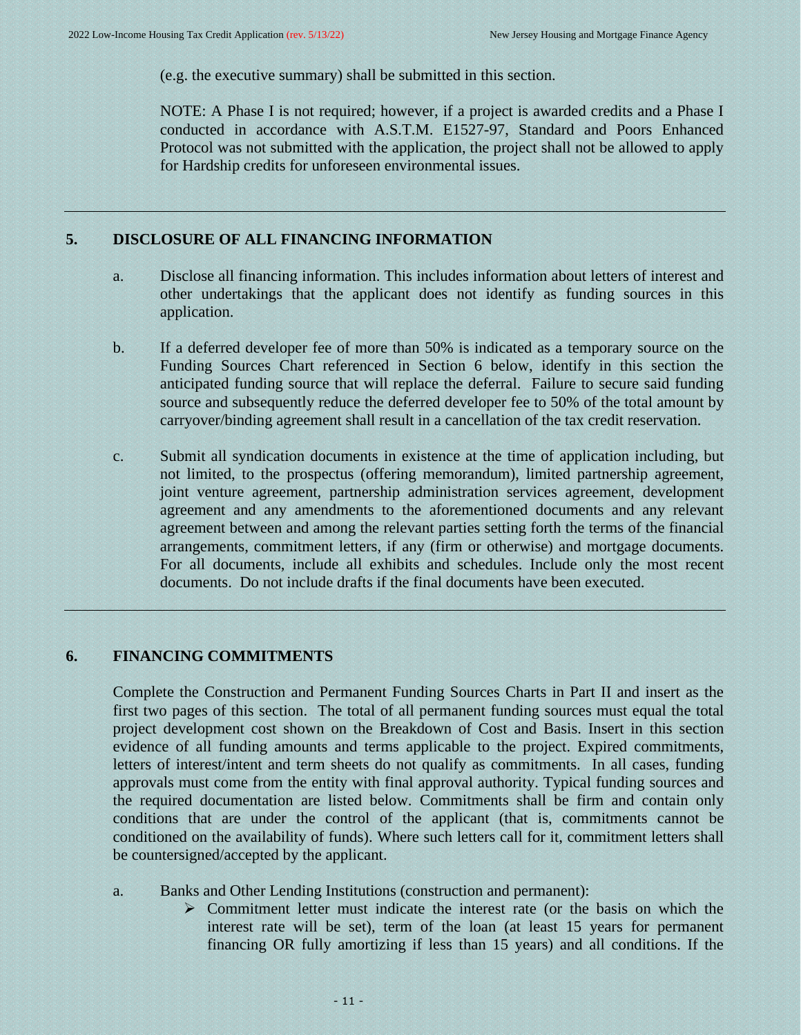(e.g. the executive summary) shall be submitted in this section.

<span id="page-10-0"></span>NOTE: A Phase I is not required; however, if a project is awarded credits and a Phase I conducted in accordance with A.S.T.M. E1527-97, Standard and Poors Enhanced Protocol was not submitted with the application, the project shall not be allowed to apply for Hardship credits for unforeseen environmental issues.

# **5. DISCLOSURE OF ALL FINANCING INFORMATION**

- a. Disclose all financing information. This includes information about letters of interest and other undertakings that the applicant does not identify as funding sources in this application.
- b. If a deferred developer fee of more than 50% is indicated as a temporary source on the Funding Sources Chart referenced in Section 6 below, identify in this section the anticipated funding source that will replace the deferral. Failure to secure said funding source and subsequently reduce the deferred developer fee to 50% of the total amount by carryover/binding agreement shall result in a cancellation of the tax credit reservation.
- c. Submit all syndication documents in existence at the time of application including, but not limited, to the prospectus (offering memorandum), limited partnership agreement, joint venture agreement, partnership administration services agreement, development agreement and any amendments to the aforementioned documents and any relevant agreement between and among the relevant parties setting forth the terms of the financial arrangements, commitment letters, if any (firm or otherwise) and mortgage documents. For all documents, include all exhibits and schedules. Include only the most recent documents. Do not include drafts if the final documents have been executed.

# **6. FINANCING COMMITMENTS**

<span id="page-10-1"></span>Complete the Construction and Permanent Funding Sources Charts in Part II and insert as the first two pages of this section. The total of all permanent funding sources must equal the total project development cost shown on the Breakdown of Cost and Basis. Insert in this section evidence of all funding amounts and terms applicable to the project. Expired commitments, letters of interest/intent and term sheets do not qualify as commitments. In all cases, funding approvals must come from the entity with final approval authority. Typical funding sources and the required documentation are listed below. Commitments shall be firm and contain only conditions that are under the control of the applicant (that is, commitments cannot be conditioned on the availability of funds). Where such letters call for it, commitment letters shall be countersigned/accepted by the applicant.

- a. Banks and Other Lending Institutions (construction and permanent):
	- ➢ Commitment letter must indicate the interest rate (or the basis on which the interest rate will be set), term of the loan (at least 15 years for permanent financing OR fully amortizing if less than 15 years) and all conditions. If the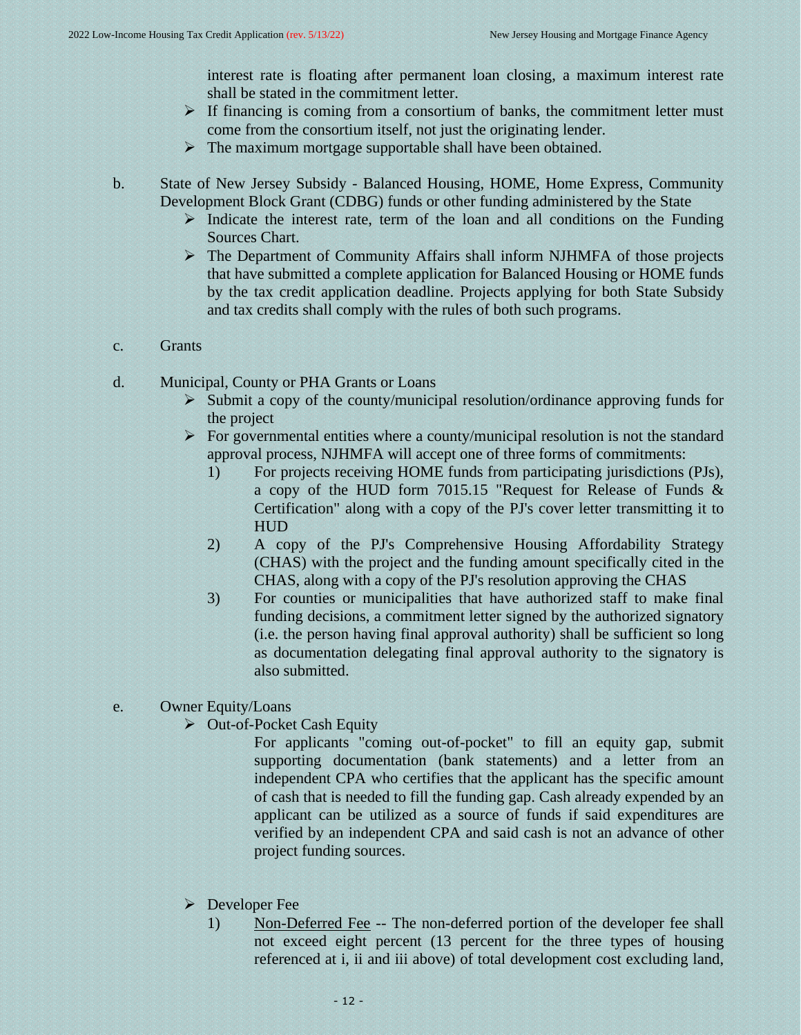interest rate is floating after permanent loan closing, a maximum interest rate shall be stated in the commitment letter.

- ➢ If financing is coming from a consortium of banks, the commitment letter must come from the consortium itself, not just the originating lender.
- $\triangleright$  The maximum mortgage supportable shall have been obtained.
- b. State of New Jersey Subsidy Balanced Housing, HOME, Home Express, Community Development Block Grant (CDBG) funds or other funding administered by the State
	- ➢ Indicate the interest rate, term of the loan and all conditions on the Funding Sources Chart.
	- ➢ The Department of Community Affairs shall inform NJHMFA of those projects that have submitted a complete application for Balanced Housing or HOME funds by the tax credit application deadline. Projects applying for both State Subsidy and tax credits shall comply with the rules of both such programs.
- c. Grants
- d. Municipal, County or PHA Grants or Loans
	- $\triangleright$  Submit a copy of the county/municipal resolution/ordinance approving funds for the project
	- $\triangleright$  For governmental entities where a county/municipal resolution is not the standard approval process, NJHMFA will accept one of three forms of commitments:
		- 1) For projects receiving HOME funds from participating jurisdictions (PJs), a copy of the HUD form 7015.15 "Request for Release of Funds & Certification" along with a copy of the PJ's cover letter transmitting it to HUD
		- 2) A copy of the PJ's Comprehensive Housing Affordability Strategy (CHAS) with the project and the funding amount specifically cited in the CHAS, along with a copy of the PJ's resolution approving the CHAS
		- 3) For counties or municipalities that have authorized staff to make final funding decisions, a commitment letter signed by the authorized signatory (i.e. the person having final approval authority) shall be sufficient so long as documentation delegating final approval authority to the signatory is also submitted.
- e. Owner Equity/Loans
	- ➢ Out-of-Pocket Cash Equity
		- For applicants "coming out-of-pocket" to fill an equity gap, submit supporting documentation (bank statements) and a letter from an independent CPA who certifies that the applicant has the specific amount of cash that is needed to fill the funding gap. Cash already expended by an applicant can be utilized as a source of funds if said expenditures are verified by an independent CPA and said cash is not an advance of other project funding sources.
	- ➢ Developer Fee
		- 1) Non-Deferred Fee -- The non-deferred portion of the developer fee shall not exceed eight percent (13 percent for the three types of housing referenced at i, ii and iii above) of total development cost excluding land,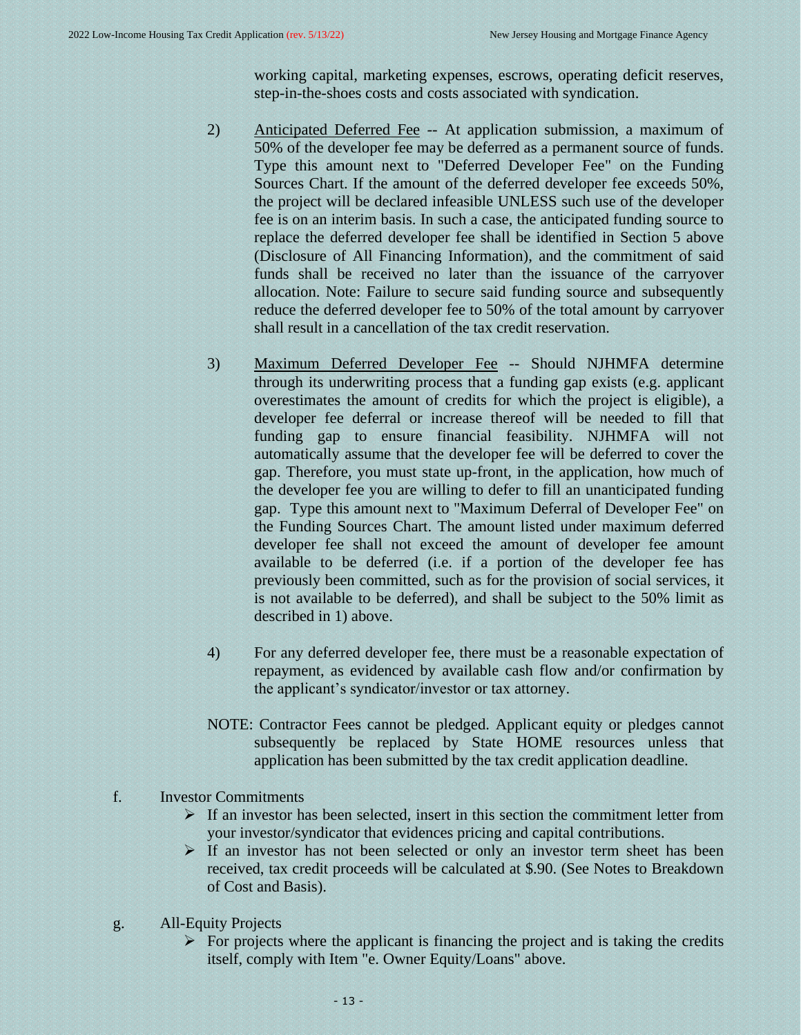working capital, marketing expenses, escrows, operating deficit reserves, step-in-the-shoes costs and costs associated with syndication.

- 2) Anticipated Deferred Fee -- At application submission, a maximum of 50% of the developer fee may be deferred as a permanent source of funds. Type this amount next to "Deferred Developer Fee" on the Funding Sources Chart. If the amount of the deferred developer fee exceeds 50%, the project will be declared infeasible UNLESS such use of the developer fee is on an interim basis. In such a case, the anticipated funding source to replace the deferred developer fee shall be identified in Section 5 above (Disclosure of All Financing Information), and the commitment of said funds shall be received no later than the issuance of the carryover allocation. Note: Failure to secure said funding source and subsequently reduce the deferred developer fee to 50% of the total amount by carryover shall result in a cancellation of the tax credit reservation.
- 3) Maximum Deferred Developer Fee -- Should NJHMFA determine through its underwriting process that a funding gap exists (e.g. applicant overestimates the amount of credits for which the project is eligible), a developer fee deferral or increase thereof will be needed to fill that funding gap to ensure financial feasibility. NJHMFA will not automatically assume that the developer fee will be deferred to cover the gap. Therefore, you must state up-front, in the application, how much of the developer fee you are willing to defer to fill an unanticipated funding gap. Type this amount next to "Maximum Deferral of Developer Fee" on the Funding Sources Chart. The amount listed under maximum deferred developer fee shall not exceed the amount of developer fee amount available to be deferred (i.e. if a portion of the developer fee has previously been committed, such as for the provision of social services, it is not available to be deferred), and shall be subject to the 50% limit as described in 1) above.
- 4) For any deferred developer fee, there must be a reasonable expectation of repayment, as evidenced by available cash flow and/or confirmation by the applicant's syndicator/investor or tax attorney.
- NOTE: Contractor Fees cannot be pledged. Applicant equity or pledges cannot subsequently be replaced by State HOME resources unless that application has been submitted by the tax credit application deadline.
- f. Investor Commitments
	- $\triangleright$  If an investor has been selected, insert in this section the commitment letter from your investor/syndicator that evidences pricing and capital contributions.
	- $\triangleright$  If an investor has not been selected or only an investor term sheet has been received, tax credit proceeds will be calculated at \$.90. (See Notes to Breakdown of Cost and Basis).
- g. All-Equity Projects
	- $\triangleright$  For projects where the applicant is financing the project and is taking the credits itself, comply with Item "e. Owner Equity/Loans" above.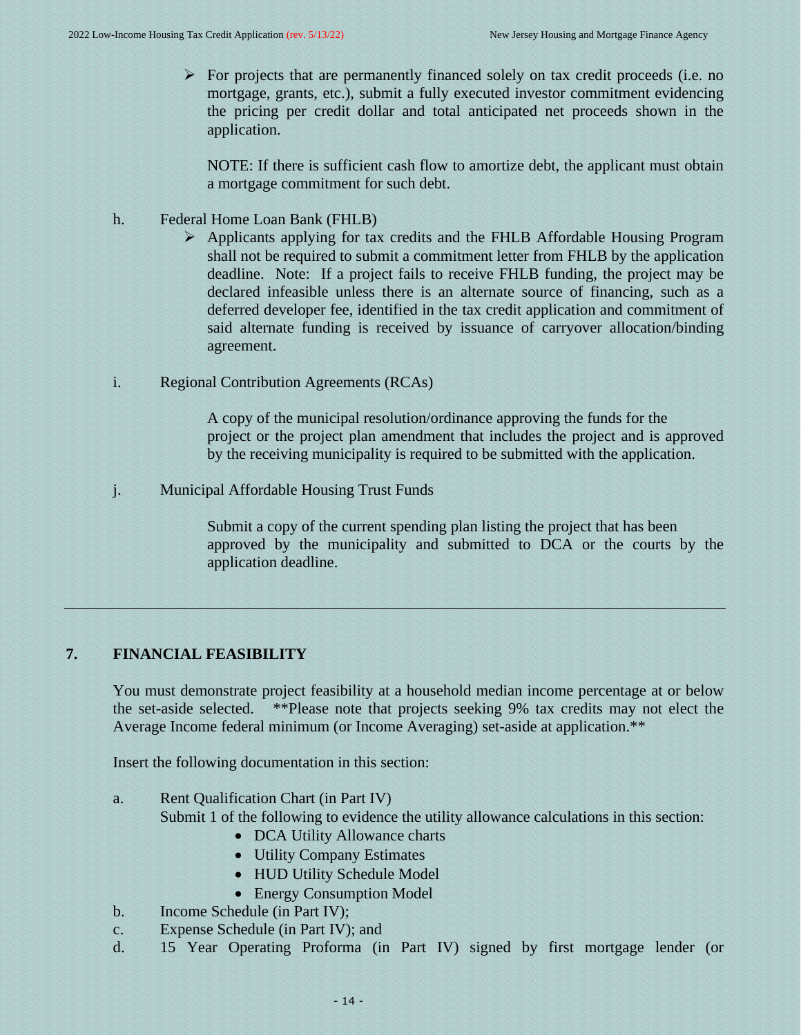$\triangleright$  For projects that are permanently financed solely on tax credit proceeds (i.e. no mortgage, grants, etc.), submit a fully executed investor commitment evidencing the pricing per credit dollar and total anticipated net proceeds shown in the application.

NOTE: If there is sufficient cash flow to amortize debt, the applicant must obtain a mortgage commitment for such debt.

- h. Federal Home Loan Bank (FHLB)
	- ➢ Applicants applying for tax credits and the FHLB Affordable Housing Program shall not be required to submit a commitment letter from FHLB by the application deadline. Note: If a project fails to receive FHLB funding, the project may be declared infeasible unless there is an alternate source of financing, such as a deferred developer fee, identified in the tax credit application and commitment of said alternate funding is received by issuance of carryover allocation/binding agreement.
- i. Regional Contribution Agreements (RCAs)

A copy of the municipal resolution/ordinance approving the funds for the project or the project plan amendment that includes the project and is approved by the receiving municipality is required to be submitted with the application.

j. Municipal Affordable Housing Trust Funds

<span id="page-13-0"></span>Submit a copy of the current spending plan listing the project that has been approved by the municipality and submitted to DCA or the courts by the application deadline.

# **7. FINANCIAL FEASIBILITY**

You must demonstrate project feasibility at a household median income percentage at or below the set-aside selected. \*\*Please note that projects seeking 9% tax credits may not elect the Average Income federal minimum (or Income Averaging) set-aside at application.\*\*

Insert the following documentation in this section:

a. Rent Qualification Chart (in Part IV)

Submit 1 of the following to evidence the utility allowance calculations in this section:

- DCA Utility Allowance charts
- Utility Company Estimates
- HUD Utility Schedule Model
- Energy Consumption Model
- b. Income Schedule (in Part IV);
- c. Expense Schedule (in Part IV); and
- d. 15 Year Operating Proforma (in Part IV) signed by first mortgage lender (or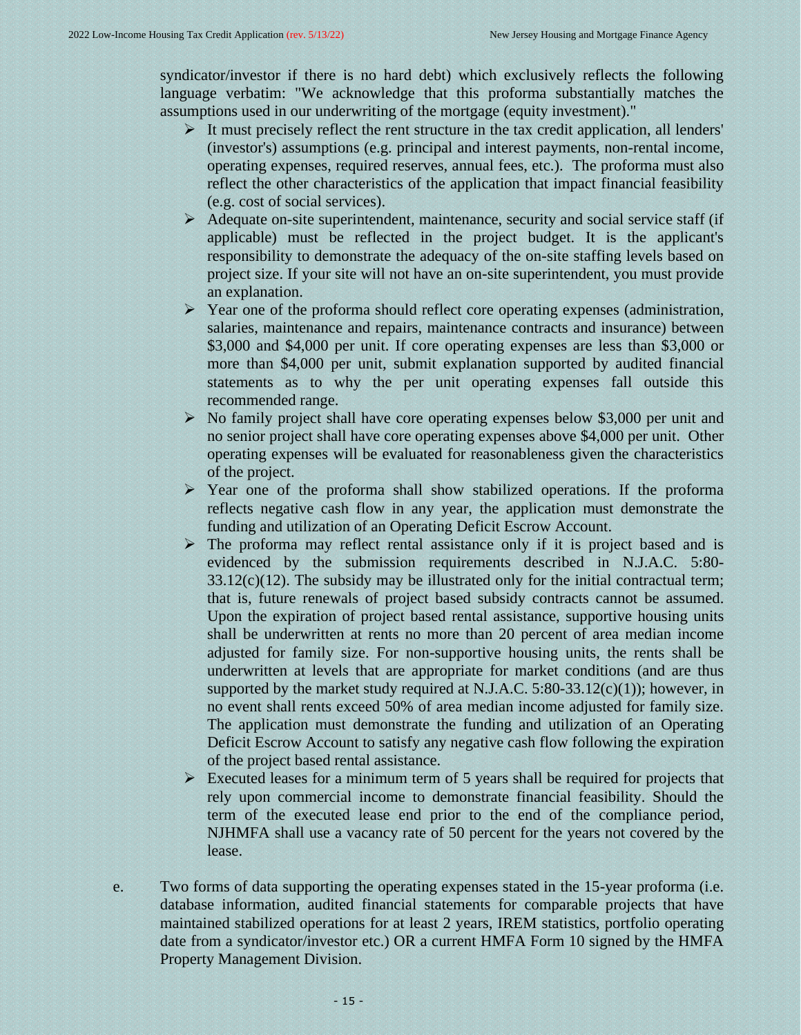syndicator/investor if there is no hard debt) which exclusively reflects the following language verbatim: "We acknowledge that this proforma substantially matches the assumptions used in our underwriting of the mortgage (equity investment)."

- ➢ It must precisely reflect the rent structure in the tax credit application, all lenders' (investor's) assumptions (e.g. principal and interest payments, non-rental income, operating expenses, required reserves, annual fees, etc.). The proforma must also reflect the other characteristics of the application that impact financial feasibility (e.g. cost of social services).
- ➢ Adequate on-site superintendent, maintenance, security and social service staff (if applicable) must be reflected in the project budget. It is the applicant's responsibility to demonstrate the adequacy of the on-site staffing levels based on project size. If your site will not have an on-site superintendent, you must provide an explanation.
- ➢ Year one of the proforma should reflect core operating expenses (administration, salaries, maintenance and repairs, maintenance contracts and insurance) between \$3,000 and \$4,000 per unit. If core operating expenses are less than \$3,000 or more than \$4,000 per unit, submit explanation supported by audited financial statements as to why the per unit operating expenses fall outside this recommended range.
- ➢ No family project shall have core operating expenses below \$3,000 per unit and no senior project shall have core operating expenses above \$4,000 per unit. Other operating expenses will be evaluated for reasonableness given the characteristics of the project.
- ➢ Year one of the proforma shall show stabilized operations. If the proforma reflects negative cash flow in any year, the application must demonstrate the funding and utilization of an Operating Deficit Escrow Account.
- $\triangleright$  The proforma may reflect rental assistance only if it is project based and is evidenced by the submission requirements described in N.J.A.C. 5:80-  $33.12(c)(12)$ . The subsidy may be illustrated only for the initial contractual term; that is, future renewals of project based subsidy contracts cannot be assumed. Upon the expiration of project based rental assistance, supportive housing units shall be underwritten at rents no more than 20 percent of area median income adjusted for family size. For non-supportive housing units, the rents shall be underwritten at levels that are appropriate for market conditions (and are thus supported by the market study required at N.J.A.C.  $5:80-33.12(c)(1)$ ; however, in no event shall rents exceed 50% of area median income adjusted for family size. The application must demonstrate the funding and utilization of an Operating Deficit Escrow Account to satisfy any negative cash flow following the expiration of the project based rental assistance.
- $\triangleright$  Executed leases for a minimum term of 5 years shall be required for projects that rely upon commercial income to demonstrate financial feasibility. Should the term of the executed lease end prior to the end of the compliance period, NJHMFA shall use a vacancy rate of 50 percent for the years not covered by the lease.
- e. Two forms of data supporting the operating expenses stated in the 15-year proforma (i.e. database information, audited financial statements for comparable projects that have maintained stabilized operations for at least 2 years, IREM statistics, portfolio operating date from a syndicator/investor etc.) OR a current HMFA Form 10 signed by the HMFA Property Management Division.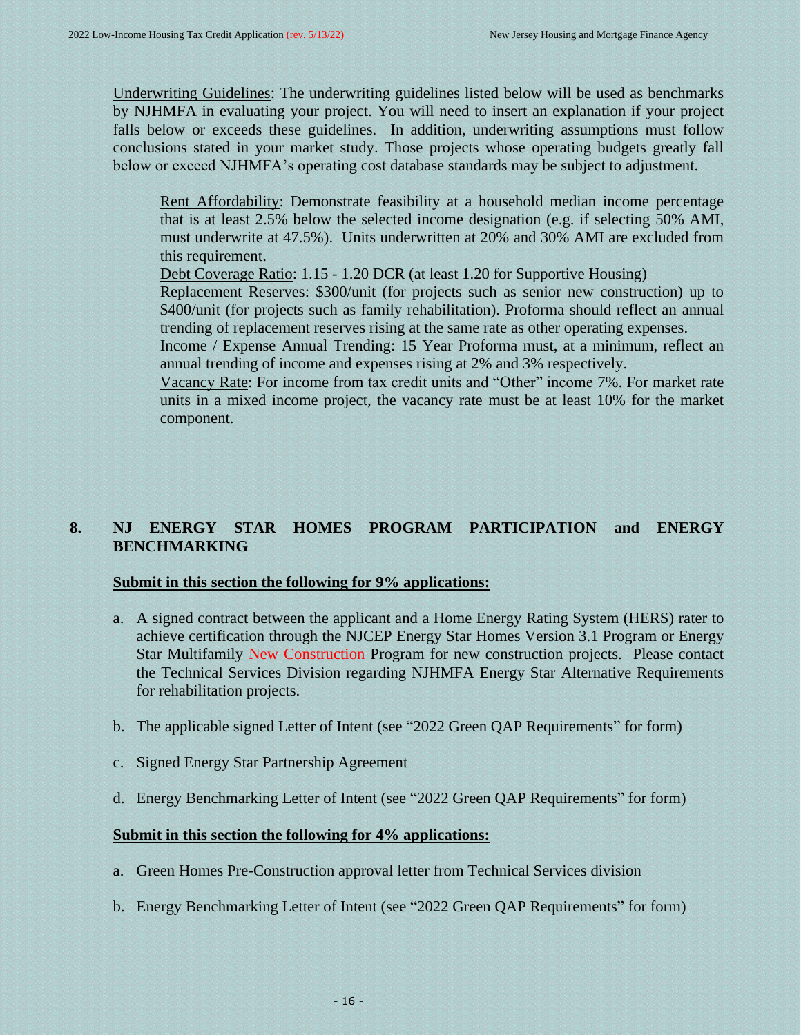Underwriting Guidelines: The underwriting guidelines listed below will be used as benchmarks by NJHMFA in evaluating your project. You will need to insert an explanation if your project falls below or exceeds these guidelines. In addition, underwriting assumptions must follow conclusions stated in your market study. Those projects whose operating budgets greatly fall below or exceed NJHMFA's operating cost database standards may be subject to adjustment.

Rent Affordability: Demonstrate feasibility at a household median income percentage that is at least 2.5% below the selected income designation (e.g. if selecting 50% AMI, must underwrite at 47.5%). Units underwritten at 20% and 30% AMI are excluded from this requirement.

Debt Coverage Ratio: 1.15 - 1.20 DCR (at least 1.20 for Supportive Housing)

Replacement Reserves: \$300/unit (for projects such as senior new construction) up to \$400/unit (for projects such as family rehabilitation). Proforma should reflect an annual trending of replacement reserves rising at the same rate as other operating expenses.

Income / Expense Annual Trending: 15 Year Proforma must, at a minimum, reflect an annual trending of income and expenses rising at 2% and 3% respectively.

Vacancy Rate: For income from tax credit units and "Other" income 7%. For market rate units in a mixed income project, the vacancy rate must be at least 10% for the market component.

# **8. NJ ENERGY STAR HOMES PROGRAM PARTICIPATION and ENERGY BENCHMARKING**

# <span id="page-15-0"></span>**Submit in this section the following for 9% applications:**

- a. A signed contract between the applicant and a Home Energy Rating System (HERS) rater to achieve certification through the NJCEP Energy Star Homes Version 3.1 Program or Energy Star Multifamily New Construction Program for new construction projects. Please contact the Technical Services Division regarding NJHMFA Energy Star Alternative Requirements for rehabilitation projects.
- b. The applicable signed Letter of Intent (see "2022 Green QAP Requirements" for form)
- c. Signed Energy Star Partnership Agreement
- d. Energy Benchmarking Letter of Intent (see "2022 Green QAP Requirements" for form)

#### **Submit in this section the following for 4% applications:**

- a. Green Homes Pre-Construction approval letter from Technical Services division
- b. Energy Benchmarking Letter of Intent (see "2022 Green QAP Requirements" for form)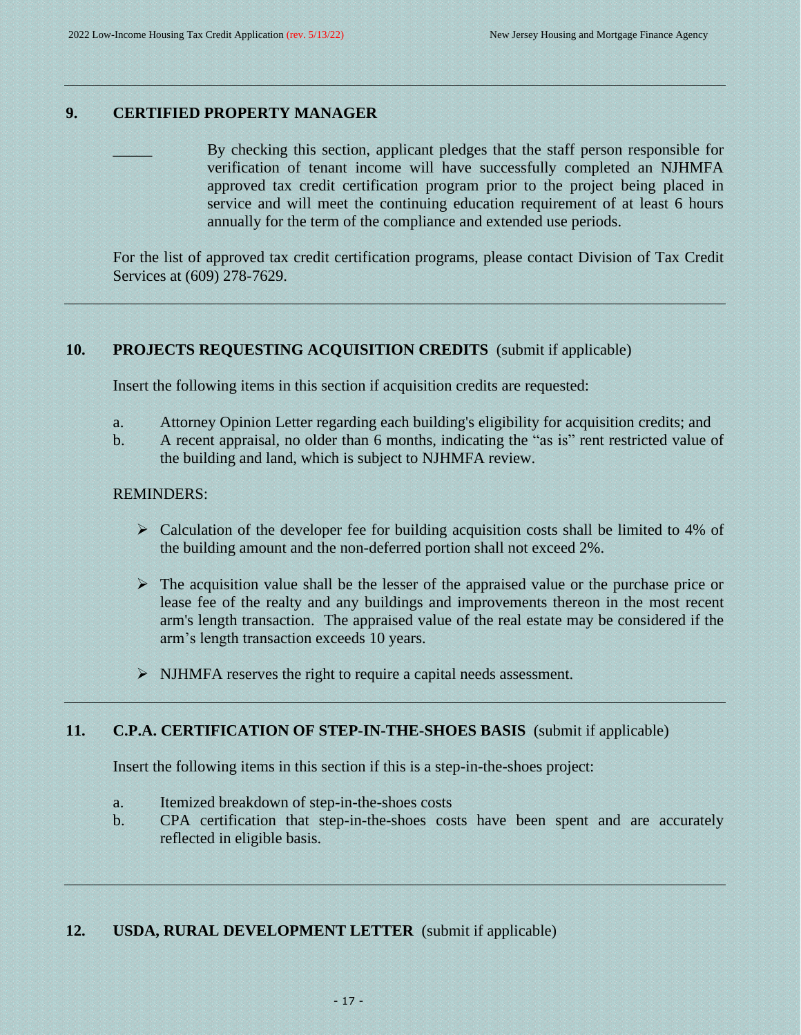#### **9. CERTIFIED PROPERTY MANAGER**

<span id="page-16-1"></span><span id="page-16-0"></span>By checking this section, applicant pledges that the staff person responsible for verification of tenant income will have successfully completed an NJHMFA approved tax credit certification program prior to the project being placed in service and will meet the continuing education requirement of at least 6 hours annually for the term of the compliance and extended use periods.

For the list of approved tax credit certification programs, please contact Division of Tax Credit Services at (609) 278-7629.

# **10. PROJECTS REQUESTING ACQUISITION CREDITS** (submit if applicable)

Insert the following items in this section if acquisition credits are requested:

- a. Attorney Opinion Letter regarding each building's eligibility for acquisition credits; and
- b. A recent appraisal, no older than 6 months, indicating the "as is" rent restricted value of the building and land, which is subject to NJHMFA review.

#### REMINDERS:

- $\triangleright$  Calculation of the developer fee for building acquisition costs shall be limited to 4% of the building amount and the non-deferred portion shall not exceed 2%.
- $\triangleright$  The acquisition value shall be the lesser of the appraised value or the purchase price or lease fee of the realty and any buildings and improvements thereon in the most recent arm's length transaction. The appraised value of the real estate may be considered if the arm's length transaction exceeds 10 years.
- <span id="page-16-2"></span>➢ NJHMFA reserves the right to require a capital needs assessment.

#### **11. C.P.A. CERTIFICATION OF STEP-IN-THE-SHOES BASIS** (submit if applicable)

Insert the following items in this section if this is a step-in-the-shoes project:

- a. Itemized breakdown of step-in-the-shoes costs
- <span id="page-16-3"></span>b. CPA certification that step-in-the-shoes costs have been spent and are accurately reflected in eligible basis.

# **12. USDA, RURAL DEVELOPMENT LETTER** (submit if applicable)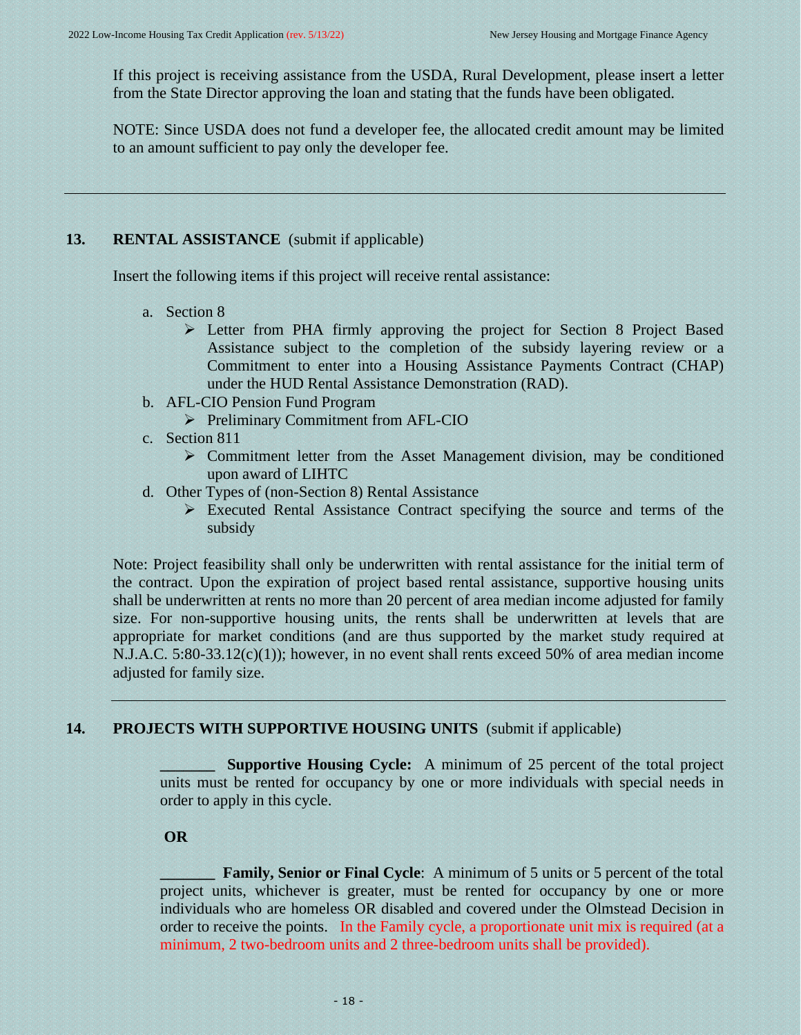If this project is receiving assistance from the USDA, Rural Development, please insert a letter from the State Director approving the loan and stating that the funds have been obligated.

NOTE: Since USDA does not fund a developer fee, the allocated credit amount may be limited to an amount sufficient to pay only the developer fee.

# **13. RENTAL ASSISTANCE** (submit if applicable)

Insert the following items if this project will receive rental assistance:

- <span id="page-17-0"></span>a. Section 8
	- ➢ Letter from PHA firmly approving the project for Section 8 Project Based Assistance subject to the completion of the subsidy layering review or a Commitment to enter into a Housing Assistance Payments Contract (CHAP) under the HUD Rental Assistance Demonstration (RAD).
- b. AFL-CIO Pension Fund Program
	- ➢ Preliminary Commitment from AFL-CIO
- c. Section 811
	- ➢ Commitment letter from the Asset Management division, may be conditioned upon award of LIHTC
- d. Other Types of (non-Section 8) Rental Assistance
	- ➢ Executed Rental Assistance Contract specifying the source and terms of the subsidy

Note: Project feasibility shall only be underwritten with rental assistance for the initial term of the contract. Upon the expiration of project based rental assistance, supportive housing units shall be underwritten at rents no more than 20 percent of area median income adjusted for family size. For non-supportive housing units, the rents shall be underwritten at levels that are appropriate for market conditions (and are thus supported by the market study required at N.J.A.C. 5:80-33.12(c)(1)); however, in no event shall rents exceed 50% of area median income adjusted for family size.

# **14. PROJECTS WITH SUPPORTIVE HOUSING UNITS** (submit if applicable)

<span id="page-17-1"></span>**Supportive Housing Cycle:** A minimum of 25 percent of the total project units must be rented for occupancy by one or more individuals with special needs in order to apply in this cycle.

# **OR**

**Family, Senior or Final Cycle:** A minimum of 5 units or 5 percent of the total project units, whichever is greater, must be rented for occupancy by one or more individuals who are homeless OR disabled and covered under the Olmstead Decision in order to receive the points. In the Family cycle, a proportionate unit mix is required (at a minimum, 2 two-bedroom units and 2 three-bedroom units shall be provided).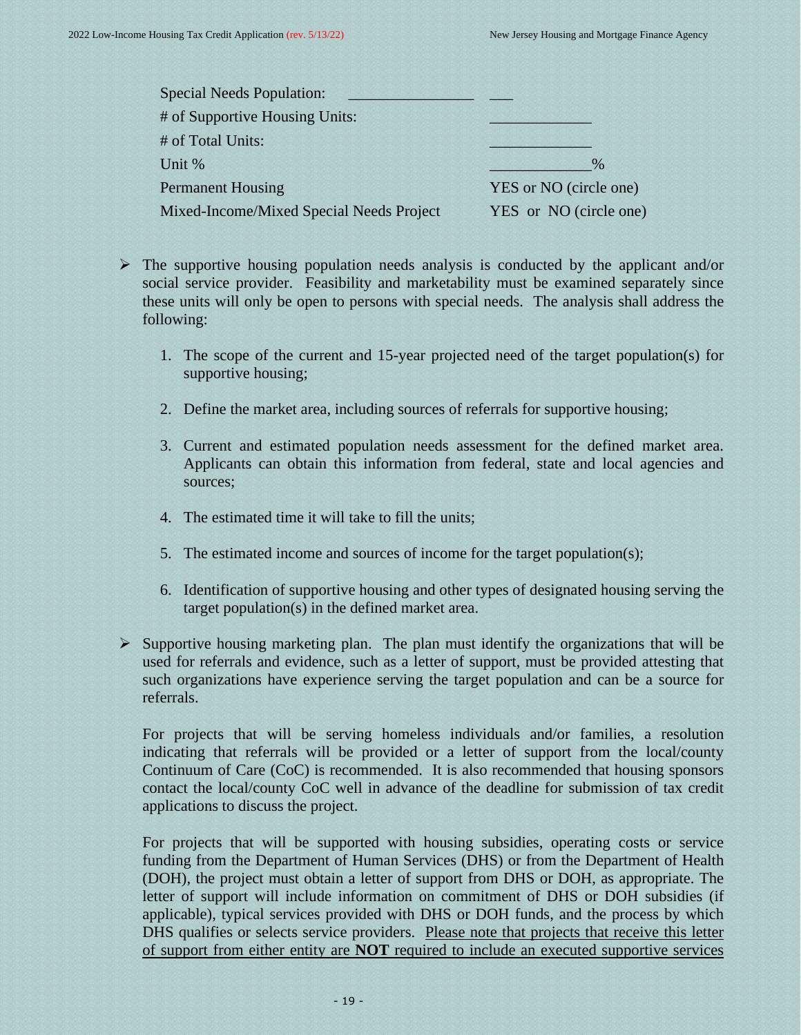| <b>Special Needs Population:</b>         |                        |
|------------------------------------------|------------------------|
| # of Supportive Housing Units:           |                        |
| # of Total Units:                        |                        |
| Unit %                                   | $\frac{0}{0}$          |
| <b>Permanent Housing</b>                 | YES or NO (circle one) |
| Mixed-Income/Mixed Special Needs Project | YES or NO (circle one) |

- $\triangleright$  The supportive housing population needs analysis is conducted by the applicant and/or social service provider. Feasibility and marketability must be examined separately since these units will only be open to persons with special needs. The analysis shall address the following:
	- 1. The scope of the current and 15-year projected need of the target population(s) for supportive housing;
	- 2. Define the market area, including sources of referrals for supportive housing;
	- 3. Current and estimated population needs assessment for the defined market area. Applicants can obtain this information from federal, state and local agencies and sources;
	- 4. The estimated time it will take to fill the units;
	- 5. The estimated income and sources of income for the target population(s);
	- 6. Identification of supportive housing and other types of designated housing serving the target population(s) in the defined market area.
- $\triangleright$  Supportive housing marketing plan. The plan must identify the organizations that will be used for referrals and evidence, such as a letter of support, must be provided attesting that such organizations have experience serving the target population and can be a source for referrals.

For projects that will be serving homeless individuals and/or families, a resolution indicating that referrals will be provided or a letter of support from the local/county Continuum of Care (CoC) is recommended. It is also recommended that housing sponsors contact the local/county CoC well in advance of the deadline for submission of tax credit applications to discuss the project.

For projects that will be supported with housing subsidies, operating costs or service funding from the Department of Human Services (DHS) or from the Department of Health (DOH), the project must obtain a letter of support from DHS or DOH, as appropriate. The letter of support will include information on commitment of DHS or DOH subsidies (if applicable), typical services provided with DHS or DOH funds, and the process by which DHS qualifies or selects service providers. Please note that projects that receive this letter of support from either entity are **NOT** required to include an executed supportive services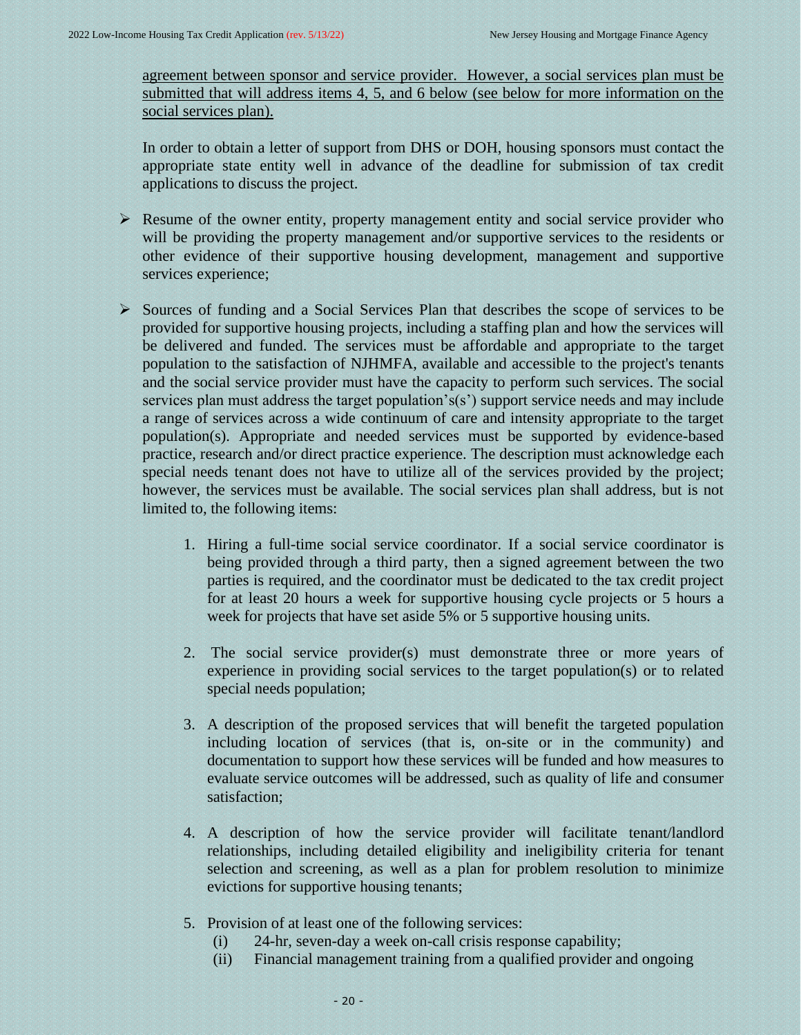agreement between sponsor and service provider. However, a social services plan must be submitted that will address items 4, 5, and 6 below (see below for more information on the social services plan).

In order to obtain a letter of support from DHS or DOH, housing sponsors must contact the appropriate state entity well in advance of the deadline for submission of tax credit applications to discuss the project.

- ➢ Resume of the owner entity, property management entity and social service provider who will be providing the property management and/or supportive services to the residents or other evidence of their supportive housing development, management and supportive services experience;
- ➢ Sources of funding and a Social Services Plan that describes the scope of services to be provided for supportive housing projects, including a staffing plan and how the services will be delivered and funded. The services must be affordable and appropriate to the target population to the satisfaction of NJHMFA, available and accessible to the project's tenants and the social service provider must have the capacity to perform such services. The social services plan must address the target population's(s') support service needs and may include a range of services across a wide continuum of care and intensity appropriate to the target population(s). Appropriate and needed services must be supported by evidence-based practice, research and/or direct practice experience. The description must acknowledge each special needs tenant does not have to utilize all of the services provided by the project; however, the services must be available. The social services plan shall address, but is not limited to, the following items:
	- 1. Hiring a full-time social service coordinator. If a social service coordinator is being provided through a third party, then a signed agreement between the two parties is required, and the coordinator must be dedicated to the tax credit project for at least 20 hours a week for supportive housing cycle projects or 5 hours a week for projects that have set aside 5% or 5 supportive housing units.
	- 2. The social service provider(s) must demonstrate three or more years of experience in providing social services to the target population(s) or to related special needs population;
	- 3. A description of the proposed services that will benefit the targeted population including location of services (that is, on-site or in the community) and documentation to support how these services will be funded and how measures to evaluate service outcomes will be addressed, such as quality of life and consumer satisfaction;
	- 4. A description of how the service provider will facilitate tenant/landlord relationships, including detailed eligibility and ineligibility criteria for tenant selection and screening, as well as a plan for problem resolution to minimize evictions for supportive housing tenants;
	- 5. Provision of at least one of the following services:
		- (i) 24-hr, seven-day a week on-call crisis response capability;
		- (ii) Financial management training from a qualified provider and ongoing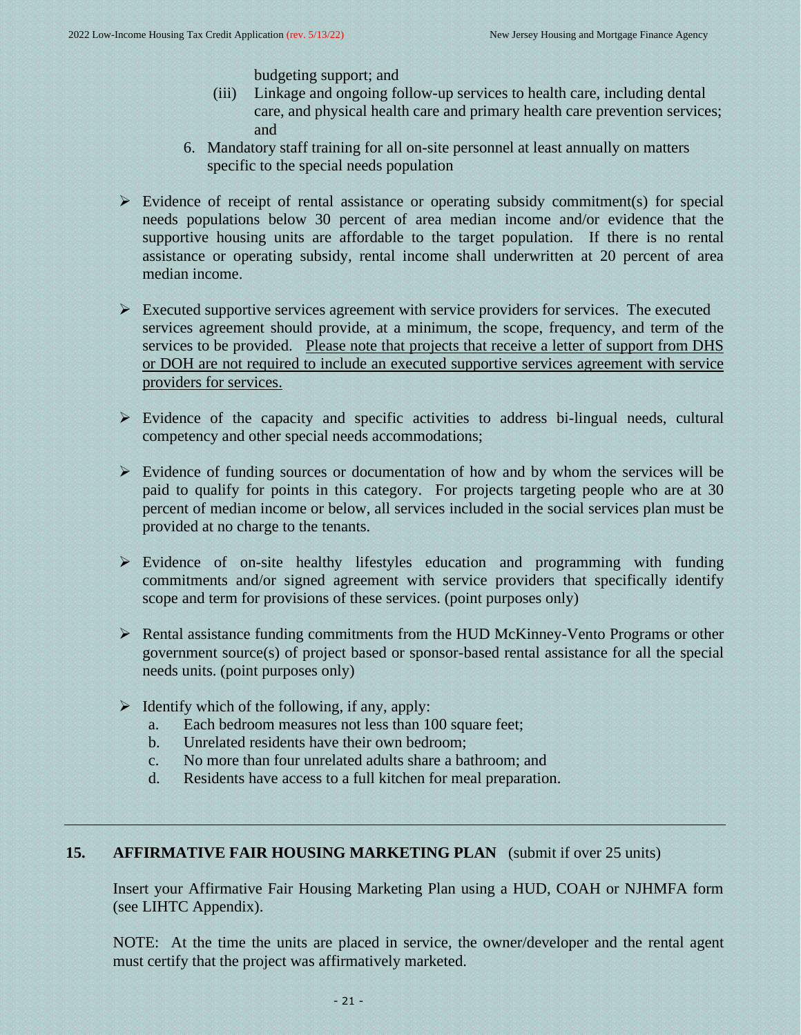budgeting support; and

- (iii) Linkage and ongoing follow-up services to health care, including dental care, and physical health care and primary health care prevention services; and
- 6. Mandatory staff training for all on-site personnel at least annually on matters specific to the special needs population
- $\triangleright$  Evidence of receipt of rental assistance or operating subsidy commitment(s) for special needs populations below 30 percent of area median income and/or evidence that the supportive housing units are affordable to the target population. If there is no rental assistance or operating subsidy, rental income shall underwritten at 20 percent of area median income.
- ➢ Executed supportive services agreement with service providers for services. The executed services agreement should provide, at a minimum, the scope, frequency, and term of the services to be provided. Please note that projects that receive a letter of support from DHS or DOH are not required to include an executed supportive services agreement with service providers for services.
- ➢ Evidence of the capacity and specific activities to address bi-lingual needs, cultural competency and other special needs accommodations;
- $\triangleright$  Evidence of funding sources or documentation of how and by whom the services will be paid to qualify for points in this category. For projects targeting people who are at 30 percent of median income or below, all services included in the social services plan must be provided at no charge to the tenants.
- ➢ Evidence of on-site healthy lifestyles education and programming with funding commitments and/or signed agreement with service providers that specifically identify scope and term for provisions of these services. (point purposes only)
- ➢ Rental assistance funding commitments from the HUD McKinney-Vento Programs or other government source(s) of project based or sponsor-based rental assistance for all the special needs units. (point purposes only)
- $\triangleright$  Identify which of the following, if any, apply:
	- a. Each bedroom measures not less than 100 square feet;
	- b. Unrelated residents have their own bedroom;
	- c. No more than four unrelated adults share a bathroom; and
	- d. Residents have access to a full kitchen for meal preparation.

# **15. AFFIRMATIVE FAIR HOUSING MARKETING PLAN** (submit if over 25 units)

<span id="page-20-0"></span>Insert your Affirmative Fair Housing Marketing Plan using a HUD, COAH or NJHMFA form (see LIHTC Appendix).

NOTE: At the time the units are placed in service, the owner/developer and the rental agent must certify that the project was affirmatively marketed.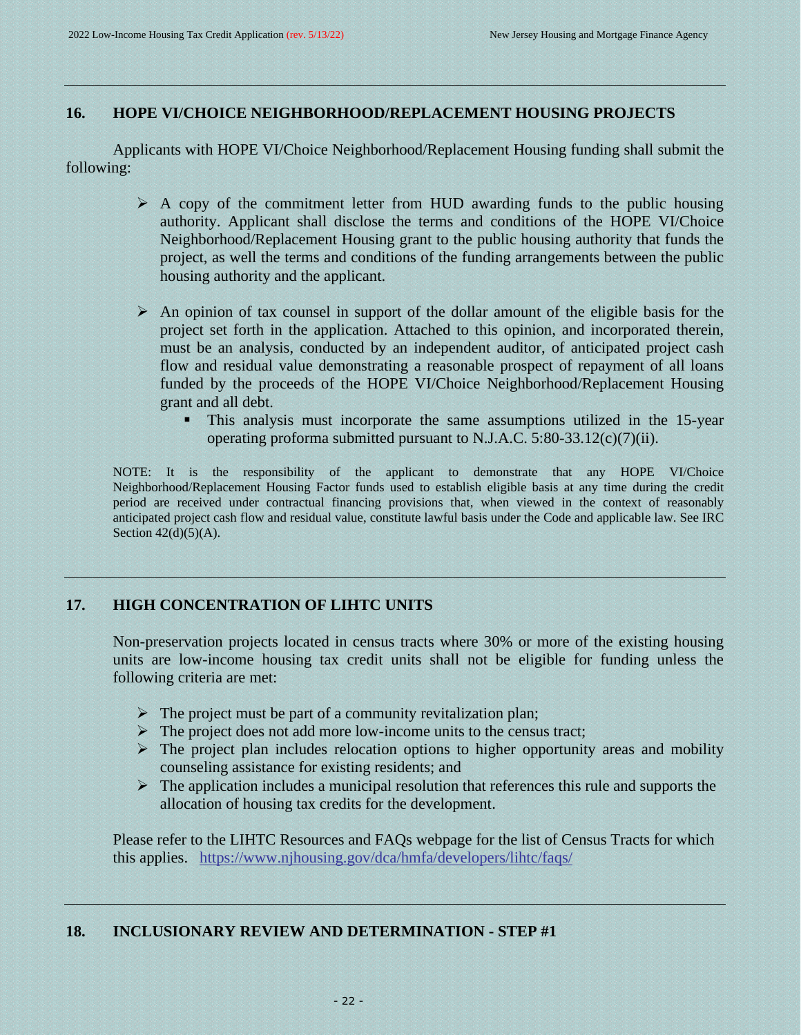# **16. HOPE VI/CHOICE NEIGHBORHOOD/REPLACEMENT HOUSING PROJECTS**

Applicants with HOPE VI/Choice Neighborhood/Replacement Housing funding shall submit the following:

- <span id="page-21-0"></span> $\triangleright$  A copy of the commitment letter from HUD awarding funds to the public housing authority. Applicant shall disclose the terms and conditions of the HOPE VI/Choice Neighborhood/Replacement Housing grant to the public housing authority that funds the project, as well the terms and conditions of the funding arrangements between the public housing authority and the applicant.
- ➢ An opinion of tax counsel in support of the dollar amount of the eligible basis for the project set forth in the application. Attached to this opinion, and incorporated therein, must be an analysis, conducted by an independent auditor, of anticipated project cash flow and residual value demonstrating a reasonable prospect of repayment of all loans funded by the proceeds of the HOPE VI/Choice Neighborhood/Replacement Housing grant and all debt.
	- **This analysis must incorporate the same assumptions utilized in the 15-year** operating proforma submitted pursuant to N.J.A.C. 5:80-33.12(c)(7)(ii).

NOTE: It is the responsibility of the applicant to demonstrate that any HOPE VI/Choice Neighborhood/Replacement Housing Factor funds used to establish eligible basis at any time during the credit period are received under contractual financing provisions that, when viewed in the context of reasonably anticipated project cash flow and residual value, constitute lawful basis under the Code and applicable law. See IRC Section  $42(d)(5)(A)$ .

# **17. HIGH CONCENTRATION OF LIHTC UNITS**

Non-preservation projects located in census tracts where 30% or more of the existing housing units are low-income housing tax credit units shall not be eligible for funding unless the following criteria are met:

- <span id="page-21-1"></span> $\triangleright$  The project must be part of a community revitalization plan;
- $\triangleright$  The project does not add more low-income units to the census tract;
- $\triangleright$  The project plan includes relocation options to higher opportunity areas and mobility counseling assistance for existing residents; and
- $\triangleright$  The application includes a municipal resolution that references this rule and supports the allocation of housing tax credits for the development.

Please refer to the LIHTC Resources and FAQs webpage for the list of Census Tracts for which this applies. <https://www.njhousing.gov/dca/hmfa/developers/lihtc/faqs/>

# <span id="page-21-2"></span>**18. INCLUSIONARY REVIEW AND DETERMINATION - STEP #1**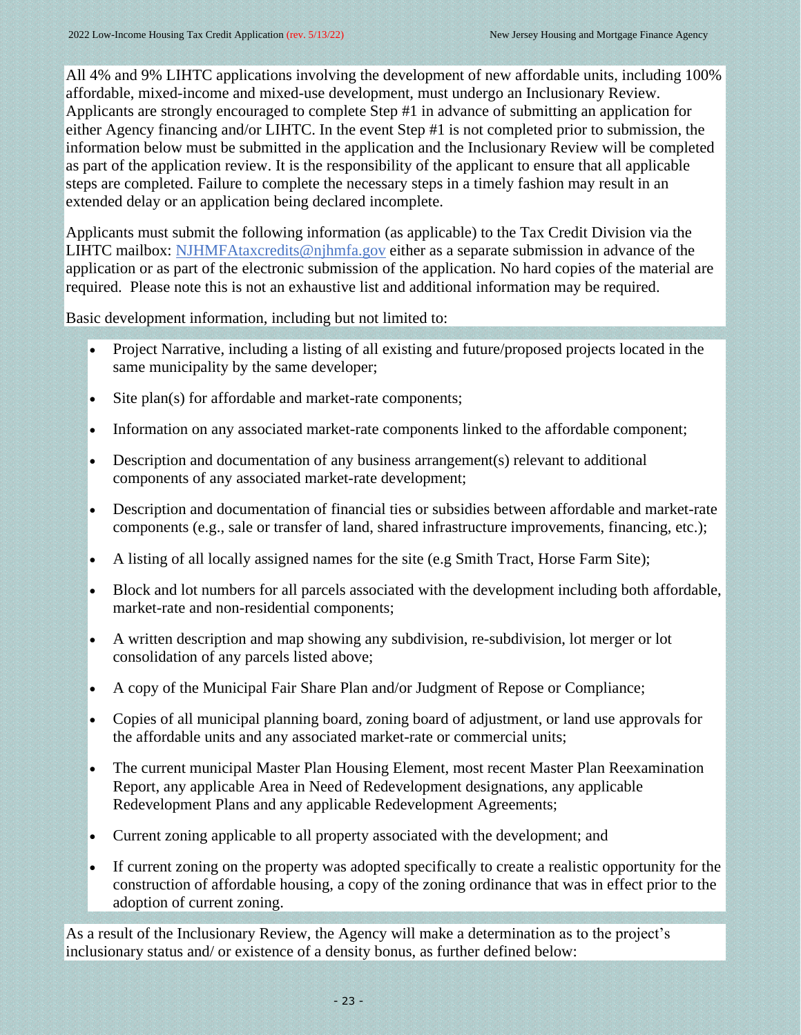All 4% and 9% LIHTC applications involving the development of new affordable units, including 100% affordable, mixed-income and mixed-use development, must undergo an Inclusionary Review. Applicants are strongly encouraged to complete Step #1 in advance of submitting an application for either Agency financing and/or LIHTC. In the event Step #1 is not completed prior to submission, the information below must be submitted in the application and the Inclusionary Review will be completed as part of the application review. It is the responsibility of the applicant to ensure that all applicable steps are completed. Failure to complete the necessary steps in a timely fashion may result in an extended delay or an application being declared incomplete.

Applicants must submit the following information (as applicable) to the Tax Credit Division via the LIHTC mailbox: [NJHMFAtaxcredits@njhmfa.gov](mailto:NJHMFAtaxcredits@njhmfa.gov) either as a separate submission in advance of the application or as part of the electronic submission of the application. No hard copies of the material are required. Please note this is not an exhaustive list and additional information may be required.

Basic development information, including but not limited to:

- Project Narrative, including a listing of all existing and future/proposed projects located in the same municipality by the same developer;
- Site plan(s) for affordable and market-rate components;
- Information on any associated market-rate components linked to the affordable component;
- Description and documentation of any business arrangement(s) relevant to additional components of any associated market-rate development;
- Description and documentation of financial ties or subsidies between affordable and market-rate components (e.g., sale or transfer of land, shared infrastructure improvements, financing, etc.);
- A listing of all locally assigned names for the site (e.g Smith Tract, Horse Farm Site);
- Block and lot numbers for all parcels associated with the development including both affordable, market-rate and non-residential components;
- A written description and map showing any subdivision, re-subdivision, lot merger or lot consolidation of any parcels listed above;
- A copy of the Municipal Fair Share Plan and/or Judgment of Repose or Compliance;
- Copies of all municipal planning board, zoning board of adjustment, or land use approvals for the affordable units and any associated market-rate or commercial units;
- The current municipal Master Plan Housing Element, most recent Master Plan Reexamination Report, any applicable Area in Need of Redevelopment designations, any applicable Redevelopment Plans and any applicable Redevelopment Agreements;
- Current zoning applicable to all property associated with the development; and
- If current zoning on the property was adopted specifically to create a realistic opportunity for the construction of affordable housing, a copy of the zoning ordinance that was in effect prior to the adoption of current zoning.

As a result of the Inclusionary Review, the Agency will make a determination as to the project's inclusionary status and/ or existence of a density bonus, as further defined below: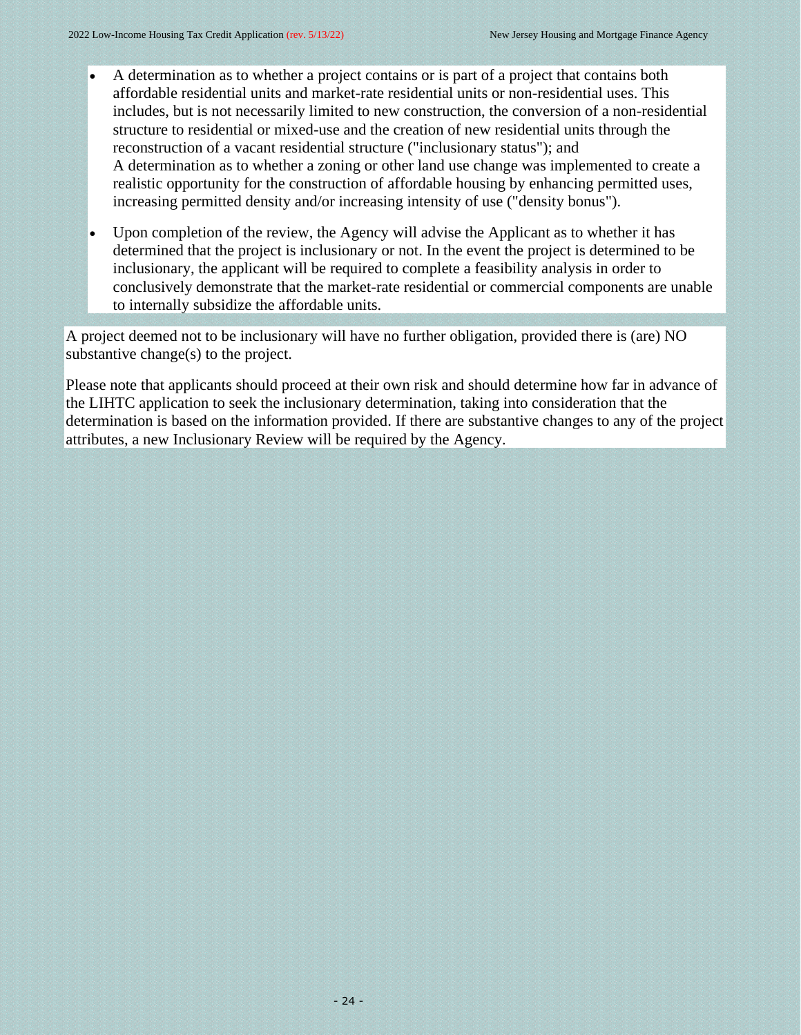- A determination as to whether a project contains or is part of a project that contains both affordable residential units and market-rate residential units or non-residential uses. This includes, but is not necessarily limited to new construction, the conversion of a non-residential structure to residential or mixed-use and the creation of new residential units through the reconstruction of a vacant residential structure ("inclusionary status"); and A determination as to whether a zoning or other land use change was implemented to create a realistic opportunity for the construction of affordable housing by enhancing permitted uses, increasing permitted density and/or increasing intensity of use ("density bonus").
- Upon completion of the review, the Agency will advise the Applicant as to whether it has determined that the project is inclusionary or not. In the event the project is determined to be inclusionary, the applicant will be required to complete a feasibility analysis in order to conclusively demonstrate that the market-rate residential or commercial components are unable to internally subsidize the affordable units.

A project deemed not to be inclusionary will have no further obligation, provided there is (are) NO substantive change(s) to the project.

Please note that applicants should proceed at their own risk and should determine how far in advance of the LIHTC application to seek the inclusionary determination, taking into consideration that the determination is based on the information provided. If there are substantive changes to any of the project attributes, a new Inclusionary Review will be required by the Agency.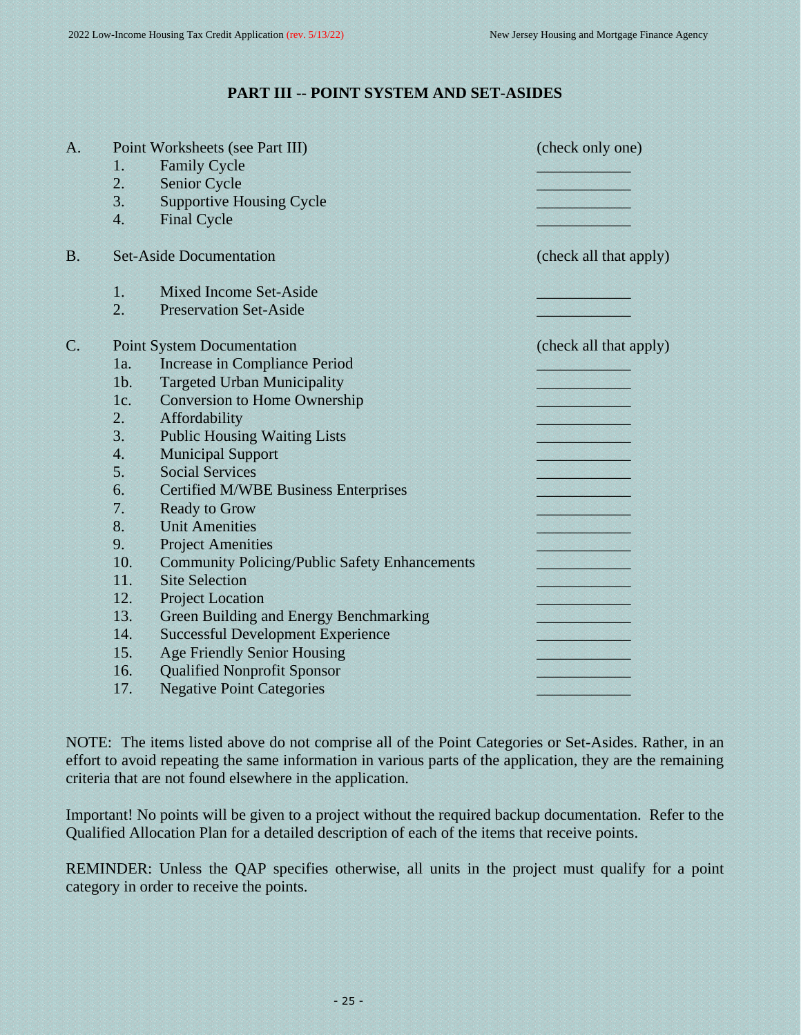# <span id="page-24-0"></span>**PART III -- POINT SYSTEM AND SET-ASIDES**

| A.             |                  | Point Worksheets (see Part III)                      | (check only one)       |
|----------------|------------------|------------------------------------------------------|------------------------|
|                | $\mathbf{1}$     | <b>Family Cycle</b>                                  |                        |
|                | 2.               | Senior Cycle                                         |                        |
|                | 3.               | <b>Supportive Housing Cycle</b>                      |                        |
|                | $\overline{4}$ . | <b>Final Cycle</b>                                   |                        |
| B <sub>1</sub> |                  | <b>Set-Aside Documentation</b>                       | (check all that apply) |
|                | 1                | Mixed Income Set-Aside                               |                        |
|                | 2.               | <b>Preservation Set-Aside</b>                        |                        |
| C.             |                  | <b>Point System Documentation</b>                    | (check all that apply) |
|                | 1a.              | Increase in Compliance Period                        |                        |
|                | $1b$ .           | <b>Targeted Urban Municipality</b>                   |                        |
|                | 1c.              | <b>Conversion to Home Ownership</b>                  |                        |
|                | 2.               | Affordability                                        |                        |
|                | 3.               | <b>Public Housing Waiting Lists</b>                  |                        |
|                | $\overline{4}$ . | <b>Municipal Support</b>                             |                        |
|                | 5.               | <b>Social Services</b>                               |                        |
|                | 6.               | <b>Certified M/WBE Business Enterprises</b>          |                        |
|                | 7.               | <b>Ready to Grow</b>                                 |                        |
|                | 8.               | <b>Unit Amenities</b>                                |                        |
|                | 9.               | <b>Project Amenities</b>                             |                        |
|                | 10.              | <b>Community Policing/Public Safety Enhancements</b> |                        |
|                | 11.              | <b>Site Selection</b>                                |                        |
|                | 12.              | <b>Project Location</b>                              |                        |
|                | 13.              | Green Building and Energy Benchmarking               |                        |
|                | 14.              | <b>Successful Development Experience</b>             |                        |
|                | 15.              | <b>Age Friendly Senior Housing</b>                   |                        |
|                | 16.              | <b>Qualified Nonprofit Sponsor</b>                   |                        |
|                | 17.              | <b>Negative Point Categories</b>                     |                        |

NOTE: The items listed above do not comprise all of the Point Categories or Set-Asides. Rather, in an effort to avoid repeating the same information in various parts of the application, they are the remaining criteria that are not found elsewhere in the application.

Important! No points will be given to a project without the required backup documentation. Refer to the Qualified Allocation Plan for a detailed description of each of the items that receive points.

REMINDER: Unless the QAP specifies otherwise, all units in the project must qualify for a point category in order to receive the points.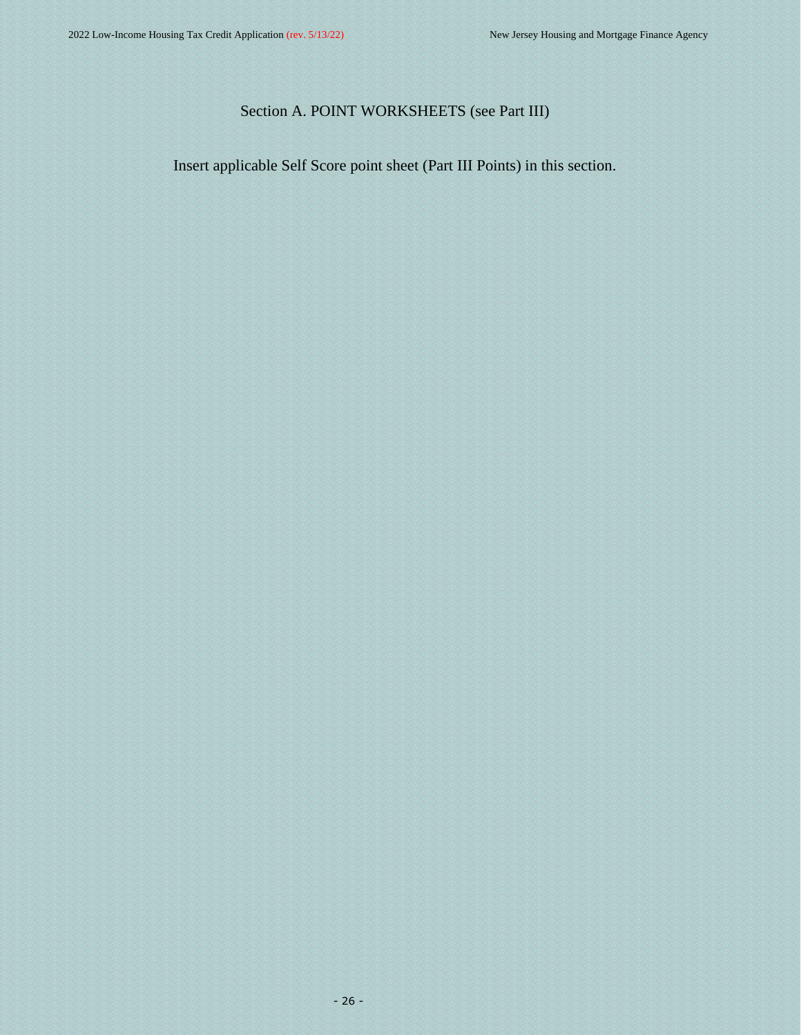# <span id="page-25-0"></span>Section A. POINT WORKSHEETS (see Part III)

Insert applicable Self Score point sheet (Part III Points) in this section.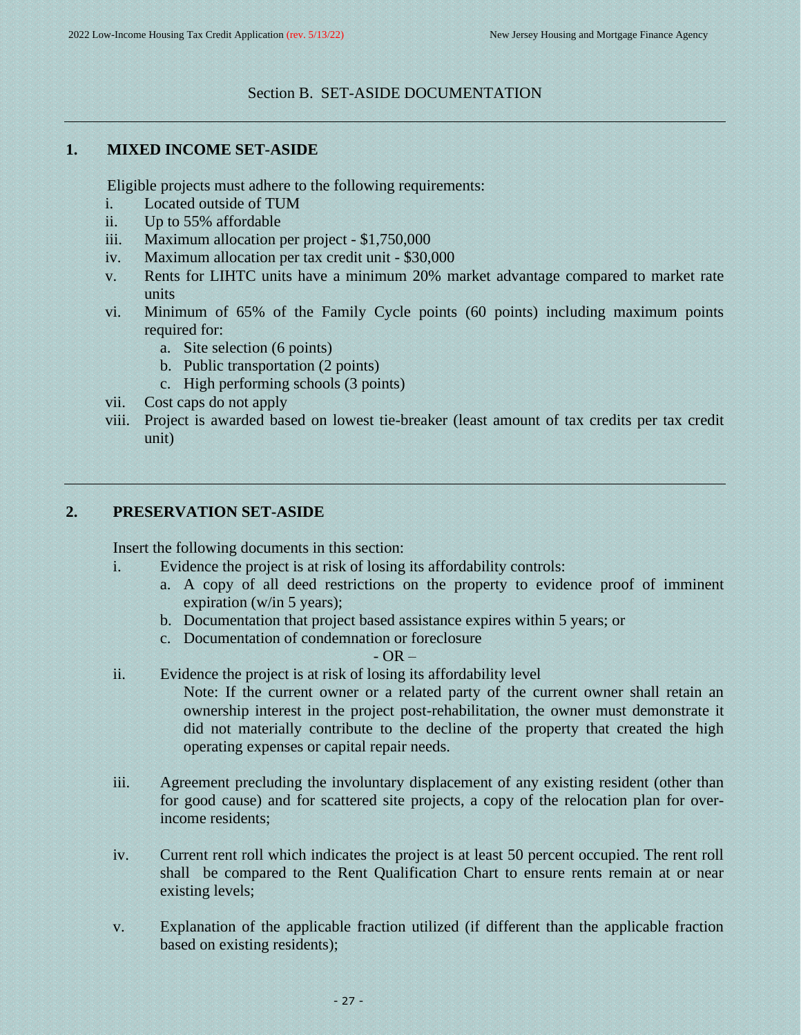#### <span id="page-26-1"></span><span id="page-26-0"></span>Section B. SET-ASIDE DOCUMENTATION

#### **1. MIXED INCOME SET-ASIDE**

Eligible projects must adhere to the following requirements:

- i. Located outside of TUM
- ii. Up to 55% affordable
- iii. Maximum allocation per project \$1,750,000
- iv. Maximum allocation per tax credit unit \$30,000
- v. Rents for LIHTC units have a minimum 20% market advantage compared to market rate units
- vi. Minimum of 65% of the Family Cycle points (60 points) including maximum points required for:
	- a. Site selection (6 points)
	- b. Public transportation (2 points)
	- c. High performing schools (3 points)
- vii. Cost caps do not apply
- viii. Project is awarded based on lowest tie-breaker (least amount of tax credits per tax credit unit)

# **2. PRESERVATION SET-ASIDE**

Insert the following documents in this section:

- i. Evidence the project is at risk of losing its affordability controls:
	- a. A copy of all deed restrictions on the property to evidence proof of imminent expiration (w/in 5 years);
	- b. Documentation that project based assistance expires within 5 years; or
	- c. Documentation of condemnation or foreclosure

#### <span id="page-26-2"></span> $-$  OR  $-$

- ii. Evidence the project is at risk of losing its affordability level
	- Note: If the current owner or a related party of the current owner shall retain an ownership interest in the project post-rehabilitation, the owner must demonstrate it did not materially contribute to the decline of the property that created the high operating expenses or capital repair needs.
- iii. Agreement precluding the involuntary displacement of any existing resident (other than for good cause) and for scattered site projects, a copy of the relocation plan for overincome residents;
- iv. Current rent roll which indicates the project is at least 50 percent occupied. The rent roll shall be compared to the Rent Qualification Chart to ensure rents remain at or near existing levels;
- v. Explanation of the applicable fraction utilized (if different than the applicable fraction based on existing residents);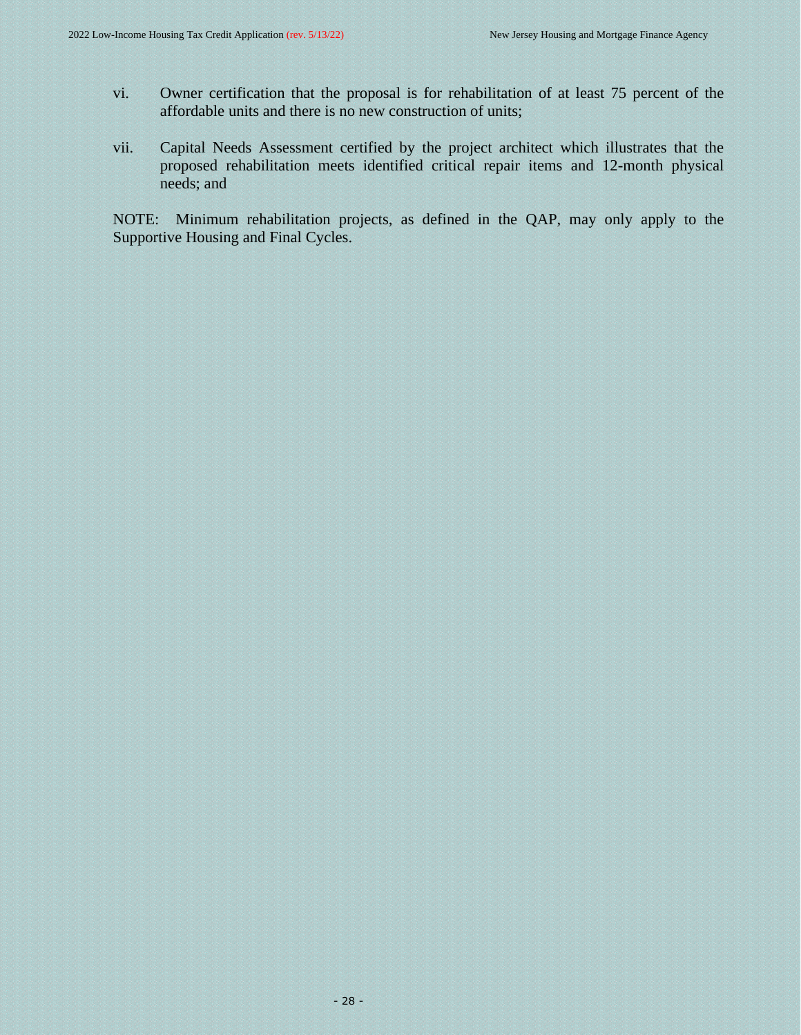- vi. Owner certification that the proposal is for rehabilitation of at least 75 percent of the affordable units and there is no new construction of units;
- vii. Capital Needs Assessment certified by the project architect which illustrates that the proposed rehabilitation meets identified critical repair items and 12-month physical needs; and

NOTE: Minimum rehabilitation projects, as defined in the QAP, may only apply to the Supportive Housing and Final Cycles.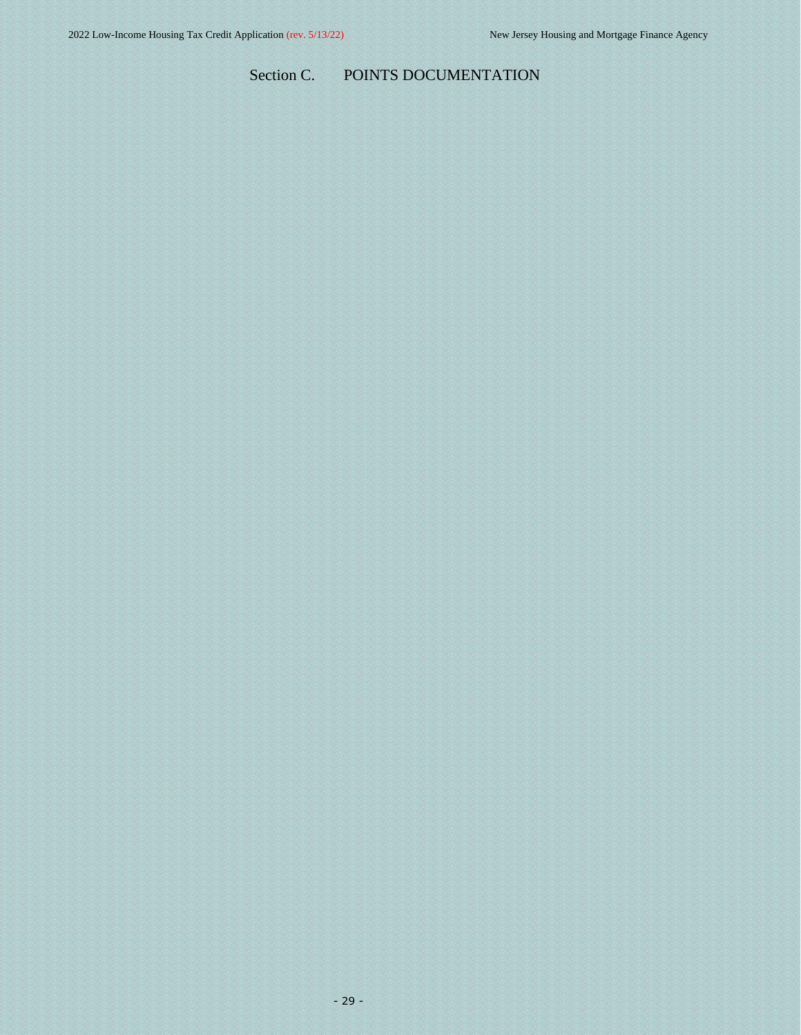# <span id="page-28-0"></span>Section C. POINTS DOCUMENTATION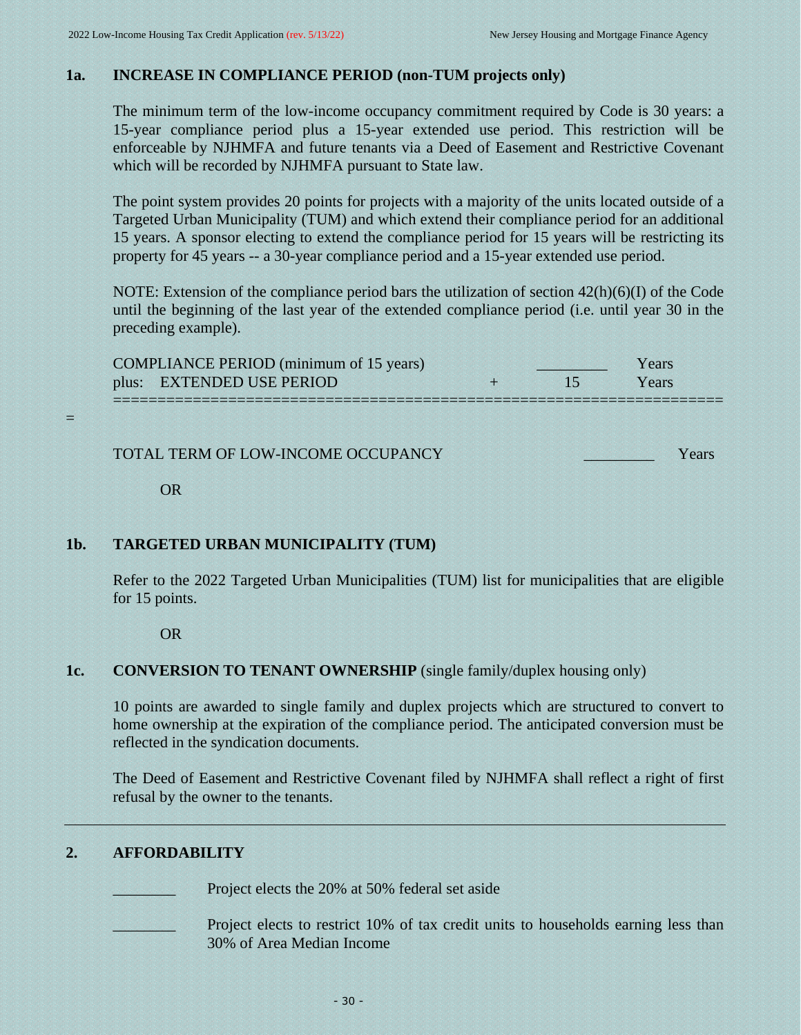# **1a. INCREASE IN COMPLIANCE PERIOD (non-TUM projects only)**

<span id="page-29-0"></span>The minimum term of the low-income occupancy commitment required by Code is 30 years: a 15-year compliance period plus a 15-year extended use period. This restriction will be enforceable by NJHMFA and future tenants via a Deed of Easement and Restrictive Covenant which will be recorded by NJHMFA pursuant to State law.

The point system provides 20 points for projects with a majority of the units located outside of a Targeted Urban Municipality (TUM) and which extend their compliance period for an additional 15 years. A sponsor electing to extend the compliance period for 15 years will be restricting its property for 45 years -- a 30-year compliance period and a 15-year extended use period.

NOTE: Extension of the compliance period bars the utilization of section  $42(h)(6)(I)$  of the Code until the beginning of the last year of the extended compliance period (i.e. until year 30 in the preceding example).

| <b>COMPLIANCE PERIOD</b> (minimum of 15 years)<br>plus: EXTENDED USE PERIOD |  | Years<br>Years |
|-----------------------------------------------------------------------------|--|----------------|
| TOTAL TERM OF LOW-INCOME OCCUPANCY                                          |  |                |

<span id="page-29-1"></span>OR

=

# **1b. TARGETED URBAN MUNICIPALITY (TUM)**

Refer to the 2022 Targeted Urban Municipalities (TUM) list for municipalities that are eligible for 15 points.

<span id="page-29-2"></span>OR

# **1c. CONVERSION TO TENANT OWNERSHIP** (single family/duplex housing only)

10 points are awarded to single family and duplex projects which are structured to convert to home ownership at the expiration of the compliance period. The anticipated conversion must be reflected in the syndication documents.

The Deed of Easement and Restrictive Covenant filed by NJHMFA shall reflect a right of first refusal by the owner to the tenants.

# **2. AFFORDABILITY**

<span id="page-29-3"></span>Project elects the 20% at 50% federal set aside

Project elects to restrict 10% of tax credit units to households earning less than 30% of Area Median Income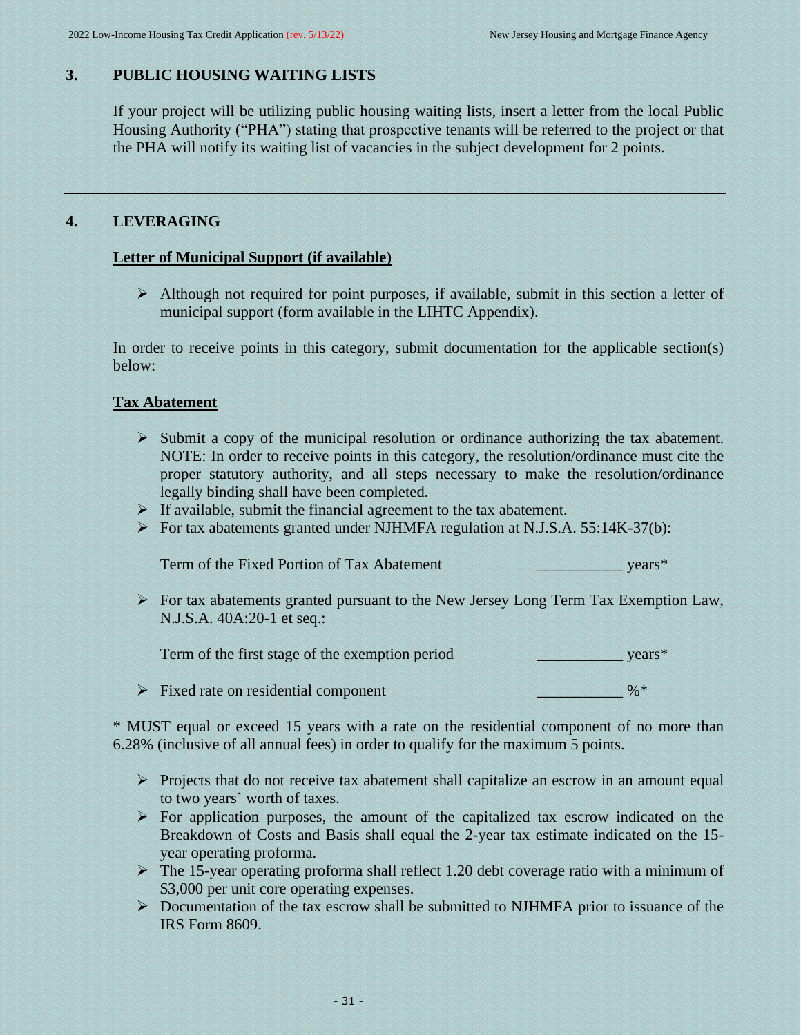# **3. PUBLIC HOUSING WAITING LISTS**

<span id="page-30-0"></span>If your project will be utilizing public housing waiting lists, insert a letter from the local Public Housing Authority ("PHA") stating that prospective tenants will be referred to the project or that the PHA will notify its waiting list of vacancies in the subject development for 2 points.

# **4. LEVERAGING**

# **Letter of Municipal Support (if available)**

<span id="page-30-1"></span>➢ Although not required for point purposes, if available, submit in this section a letter of municipal support (form available in the LIHTC Appendix).

In order to receive points in this category, submit documentation for the applicable section(s) below:

# **Tax Abatement**

- ➢ Submit a copy of the municipal resolution or ordinance authorizing the tax abatement. NOTE: In order to receive points in this category, the resolution/ordinance must cite the proper statutory authority, and all steps necessary to make the resolution/ordinance legally binding shall have been completed.
- ➢ If available, submit the financial agreement to the tax abatement.
- ➢ For tax abatements granted under NJHMFA regulation at N.J.S.A. 55:14K-37(b):

Term of the Fixed Portion of Tax Abatement vears\*

➢ For tax abatements granted pursuant to the New Jersey Long Term Tax Exemption Law, N.J.S.A. 40A:20-1 et seq.:

Term of the first stage of the exemption period vears<sup>\*</sup>

➢ Fixed rate on residential component \_\_\_\_\_\_\_\_\_\_\_ %\*

\* MUST equal or exceed 15 years with a rate on the residential component of no more than 6.28% (inclusive of all annual fees) in order to qualify for the maximum 5 points.

- ➢ Projects that do not receive tax abatement shall capitalize an escrow in an amount equal to two years' worth of taxes.
- $\triangleright$  For application purposes, the amount of the capitalized tax escrow indicated on the Breakdown of Costs and Basis shall equal the 2-year tax estimate indicated on the 15 year operating proforma.
- ➢ The 15-year operating proforma shall reflect 1.20 debt coverage ratio with a minimum of \$3,000 per unit core operating expenses.
- ➢ Documentation of the tax escrow shall be submitted to NJHMFA prior to issuance of the IRS Form 8609.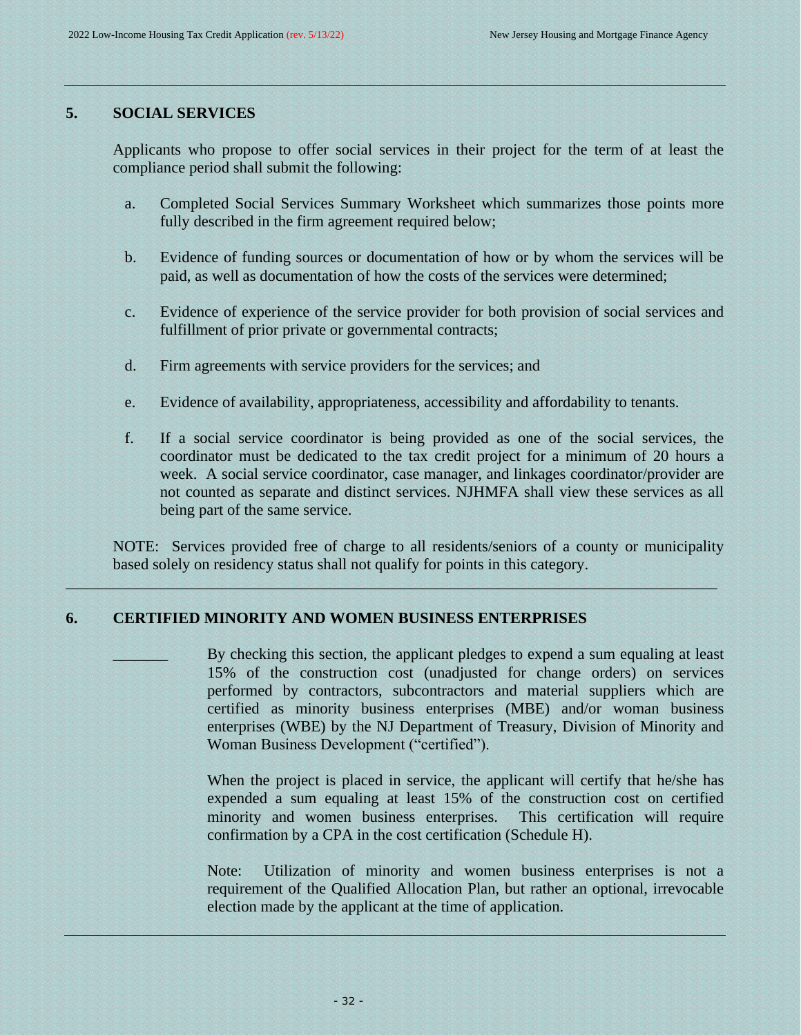#### **5. SOCIAL SERVICES**

<span id="page-31-0"></span>Applicants who propose to offer social services in their project for the term of at least the compliance period shall submit the following:

- a. Completed Social Services Summary Worksheet which summarizes those points more fully described in the firm agreement required below;
- b. Evidence of funding sources or documentation of how or by whom the services will be paid, as well as documentation of how the costs of the services were determined;
- c. Evidence of experience of the service provider for both provision of social services and fulfillment of prior private or governmental contracts;
- d. Firm agreements with service providers for the services; and
- e. Evidence of availability, appropriateness, accessibility and affordability to tenants.
- f. If a social service coordinator is being provided as one of the social services, the coordinator must be dedicated to the tax credit project for a minimum of 20 hours a week. A social service coordinator, case manager, and linkages coordinator/provider are not counted as separate and distinct services. NJHMFA shall view these services as all being part of the same service.

NOTE: Services provided free of charge to all residents/seniors of a county or municipality based solely on residency status shall not qualify for points in this category.

 $\mathcal{L}_\mathcal{L}$  , and the set of the set of the set of the set of the set of the set of the set of the set of the set of the set of the set of the set of the set of the set of the set of the set of the set of the set of th

#### **6. CERTIFIED MINORITY AND WOMEN BUSINESS ENTERPRISES**

By checking this section, the applicant pledges to expend a sum equaling at least 15% of the construction cost (unadjusted for change orders) on services performed by contractors, subcontractors and material suppliers which are certified as minority business enterprises (MBE) and/or woman business enterprises (WBE) by the NJ Department of Treasury, Division of Minority and Woman Business Development ("certified").

<span id="page-31-1"></span>When the project is placed in service, the applicant will certify that he/she has expended a sum equaling at least 15% of the construction cost on certified minority and women business enterprises. This certification will require confirmation by a CPA in the cost certification (Schedule H).

Note: Utilization of minority and women business enterprises is not a requirement of the Qualified Allocation Plan, but rather an optional, irrevocable election made by the applicant at the time of application.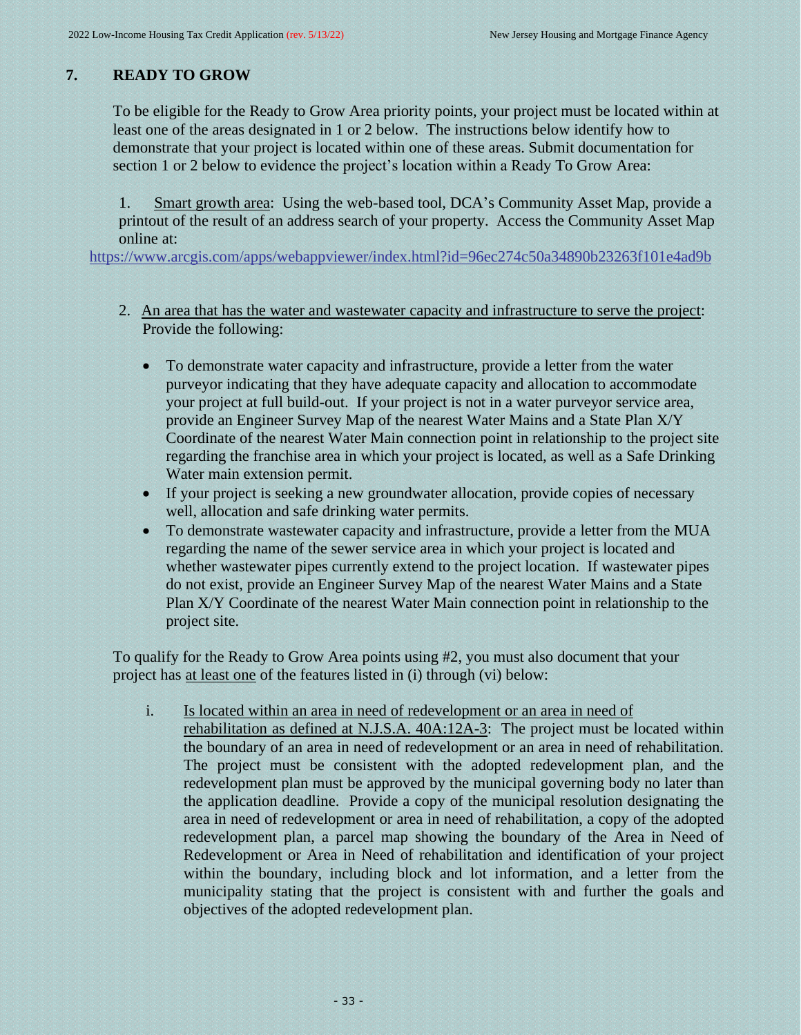# **7. READY TO GROW**

<span id="page-32-0"></span>To be eligible for the Ready to Grow Area priority points, your project must be located within at least one of the areas designated in 1 or 2 below. The instructions below identify how to demonstrate that your project is located within one of these areas. Submit documentation for section 1 or 2 below to evidence the project's location within a Ready To Grow Area:

1. Smart growth area: Using the web-based tool, DCA's Community Asset Map, provide a printout of the result of an address search of your property. Access the Community Asset Map online at:

<https://www.arcgis.com/apps/webappviewer/index.html?id=96ec274c50a34890b23263f101e4ad9b>

- 2. An area that has the water and wastewater capacity and infrastructure to serve the project: Provide the following:
	- To demonstrate water capacity and infrastructure, provide a letter from the water purveyor indicating that they have adequate capacity and allocation to accommodate your project at full build-out. If your project is not in a water purveyor service area, provide an Engineer Survey Map of the nearest Water Mains and a State Plan X/Y Coordinate of the nearest Water Main connection point in relationship to the project site regarding the franchise area in which your project is located, as well as a Safe Drinking Water main extension permit.
	- If your project is seeking a new groundwater allocation, provide copies of necessary well, allocation and safe drinking water permits.
	- To demonstrate wastewater capacity and infrastructure, provide a letter from the MUA regarding the name of the sewer service area in which your project is located and whether wastewater pipes currently extend to the project location. If wastewater pipes do not exist, provide an Engineer Survey Map of the nearest Water Mains and a State Plan X/Y Coordinate of the nearest Water Main connection point in relationship to the project site.

To qualify for the Ready to Grow Area points using #2, you must also document that your project has at least one of the features listed in (i) through (vi) below:

- i. Is located within an area in need of redevelopment or an area in need of
	- rehabilitation as defined at N.J.S.A. 40A:12A-3: The project must be located within the boundary of an area in need of redevelopment or an area in need of rehabilitation. The project must be consistent with the adopted redevelopment plan, and the redevelopment plan must be approved by the municipal governing body no later than the application deadline. Provide a copy of the municipal resolution designating the area in need of redevelopment or area in need of rehabilitation, a copy of the adopted redevelopment plan, a parcel map showing the boundary of the Area in Need of Redevelopment or Area in Need of rehabilitation and identification of your project within the boundary, including block and lot information, and a letter from the municipality stating that the project is consistent with and further the goals and objectives of the adopted redevelopment plan.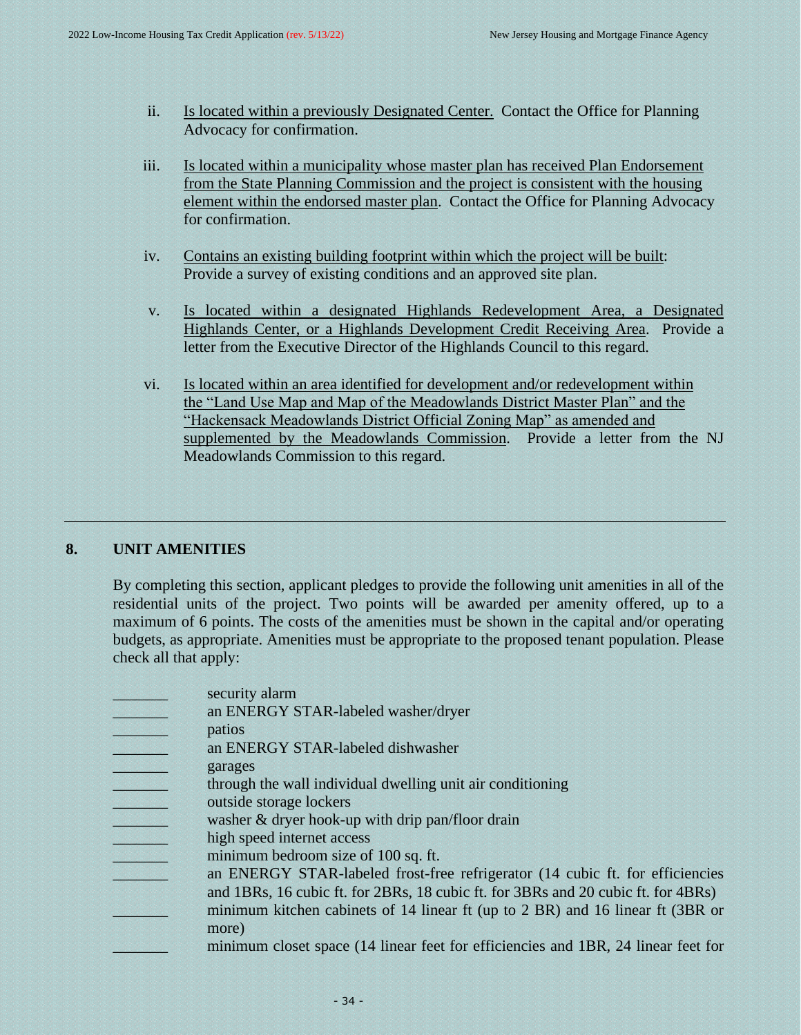- ii. Is located within a previously Designated Center. Contact the Office for Planning Advocacy for confirmation.
- iii. Is located within a municipality whose master plan has received Plan Endorsement from the State Planning Commission and the project is consistent with the housing element within the endorsed master plan. Contact the Office for Planning Advocacy for confirmation.
- iv. Contains an existing building footprint within which the project will be built: Provide a survey of existing conditions and an approved site plan.
- v. Is located within a designated Highlands Redevelopment Area, a Designated Highlands Center, or a Highlands Development Credit Receiving Area. Provide a letter from the Executive Director of the Highlands Council to this regard.
- vi. Is located within an area identified for development and/or redevelopment within the "Land Use Map and Map of the Meadowlands District Master Plan" and the "Hackensack Meadowlands District Official Zoning Map" as amended and supplemented by the Meadowlands Commission. Provide a letter from the NJ Meadowlands Commission to this regard.

# **8. UNIT AMENITIES**

<span id="page-33-0"></span>By completing this section, applicant pledges to provide the following unit amenities in all of the residential units of the project. Two points will be awarded per amenity offered, up to a maximum of 6 points. The costs of the amenities must be shown in the capital and/or operating budgets, as appropriate. Amenities must be appropriate to the proposed tenant population. Please check all that apply:

- security alarm
- an ENERGY STAR-labeled washer/dryer

\_\_\_\_\_\_\_ patios

- \_\_\_\_\_\_\_ an ENERGY STAR-labeled dishwasher
- \_\_\_\_\_\_\_ garages
- \_\_\_\_\_\_\_ through the wall individual dwelling unit air conditioning
- \_\_\_\_\_\_\_ outside storage lockers
- washer  $&$  dryer hook-up with drip pan/floor drain
- high speed internet access
- minimum bedroom size of 100 sq. ft.
- an ENERGY STAR-labeled frost-free refrigerator (14 cubic ft. for efficiencies
	- and 1BRs, 16 cubic ft. for 2BRs, 18 cubic ft. for 3BRs and 20 cubic ft. for 4BRs)
	- minimum kitchen cabinets of 14 linear ft (up to 2 BR) and 16 linear ft (3BR or more)
		- minimum closet space (14 linear feet for efficiencies and 1BR, 24 linear feet for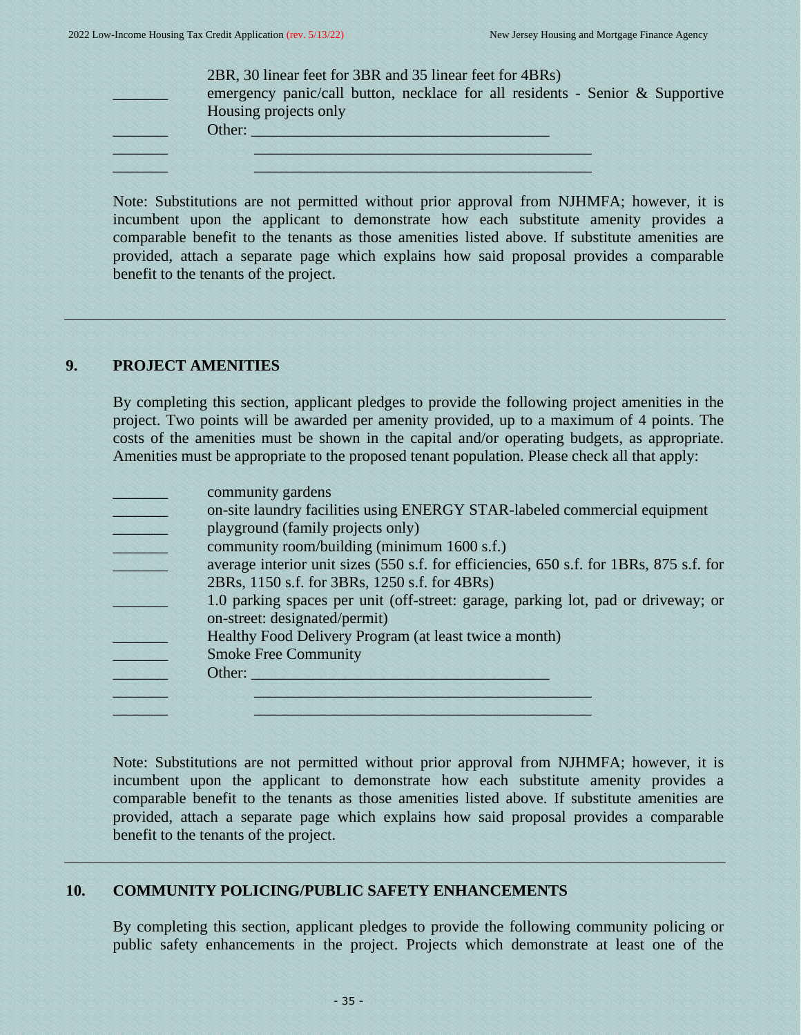| Housing projects only |
|-----------------------|
| Other:                |

Note: Substitutions are not permitted without prior approval from NJHMFA; however, it is incumbent upon the applicant to demonstrate how each substitute amenity provides a comparable benefit to the tenants as those amenities listed above. If substitute amenities are provided, attach a separate page which explains how said proposal provides a comparable benefit to the tenants of the project.

# **9. PROJECT AMENITIES**

<span id="page-34-0"></span>By completing this section, applicant pledges to provide the following project amenities in the project. Two points will be awarded per amenity provided, up to a maximum of 4 points. The costs of the amenities must be shown in the capital and/or operating budgets, as appropriate. Amenities must be appropriate to the proposed tenant population. Please check all that apply:

- community gardens
- on-site laundry facilities using ENERGY STAR-labeled commercial equipment
- playground (family projects only)
- community room/building (minimum 1600 s.f.)
- average interior unit sizes (550 s.f. for efficiencies, 650 s.f. for 1BRs, 875 s.f. for 2BRs, 1150 s.f. for 3BRs, 1250 s.f. for 4BRs)
- 1.0 parking spaces per unit (off-street: garage, parking lot, pad or driveway; or on-street: designated/permit)
- Healthy Food Delivery Program (at least twice a month)
- \_\_\_\_\_\_\_ Smoke Free Community
- Other:

\_\_\_\_\_\_\_ \_\_\_\_\_\_\_\_\_\_\_\_\_\_\_\_\_\_\_\_\_\_\_\_\_\_\_\_\_\_\_\_\_\_\_\_\_\_\_\_\_\_\_ \_\_\_\_\_\_\_ \_\_\_\_\_\_\_\_\_\_\_\_\_\_\_\_\_\_\_\_\_\_\_\_\_\_\_\_\_\_\_\_\_\_\_\_\_\_\_\_\_\_\_

Note: Substitutions are not permitted without prior approval from NJHMFA; however, it is incumbent upon the applicant to demonstrate how each substitute amenity provides a comparable benefit to the tenants as those amenities listed above. If substitute amenities are provided, attach a separate page which explains how said proposal provides a comparable benefit to the tenants of the project.

# **10. COMMUNITY POLICING/PUBLIC SAFETY ENHANCEMENTS**

<span id="page-34-1"></span>By completing this section, applicant pledges to provide the following community policing or public safety enhancements in the project. Projects which demonstrate at least one of the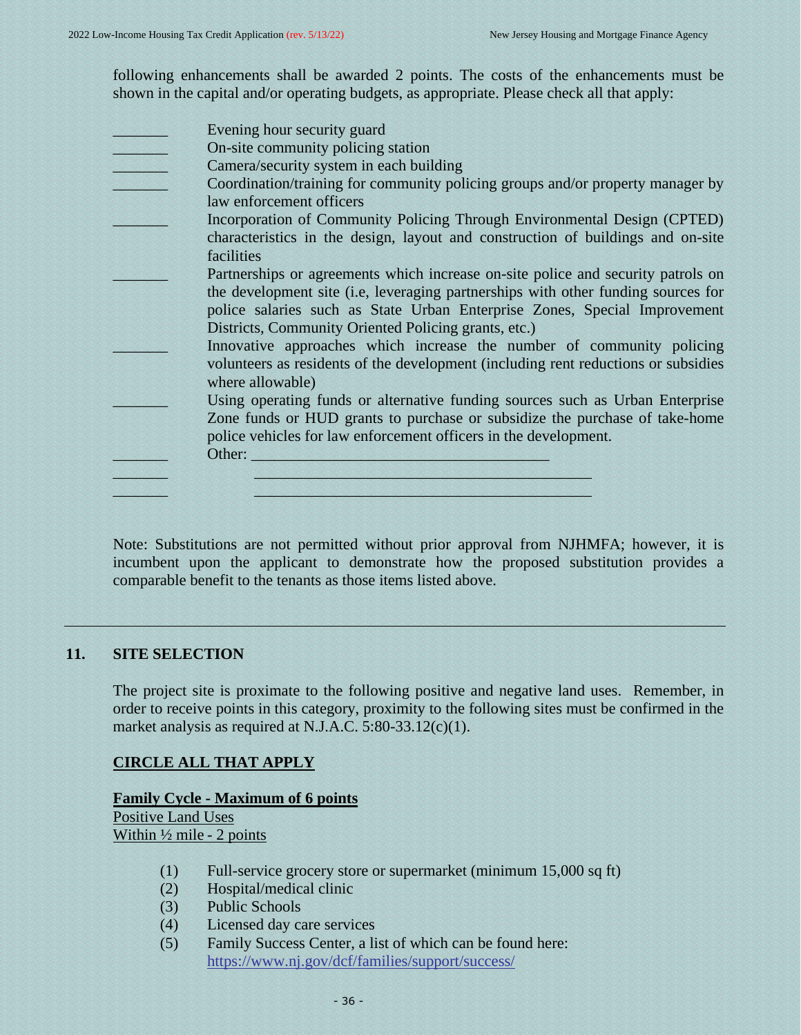following enhancements shall be awarded 2 points. The costs of the enhancements must be shown in the capital and/or operating budgets, as appropriate. Please check all that apply:

Evening hour security guard

On-site community policing station

Camera/security system in each building

- Coordination/training for community policing groups and/or property manager by law enforcement officers
- Incorporation of Community Policing Through Environmental Design (CPTED) characteristics in the design, layout and construction of buildings and on-site facilities
- Partnerships or agreements which increase on-site police and security patrols on the development site (i.e, leveraging partnerships with other funding sources for police salaries such as State Urban Enterprise Zones, Special Improvement Districts, Community Oriented Policing grants, etc.)
- Innovative approaches which increase the number of community policing volunteers as residents of the development (including rent reductions or subsidies where allowable)
- Using operating funds or alternative funding sources such as Urban Enterprise Zone funds or HUD grants to purchase or subsidize the purchase of take-home police vehicles for law enforcement officers in the development. \_\_\_\_\_\_\_ Other: \_\_\_\_\_\_\_\_\_\_\_\_\_\_\_\_\_\_\_\_\_\_\_\_\_\_\_\_\_\_\_\_\_\_\_\_\_\_

 $\mathcal{L}_\text{L}$  , and the state of the state of the state of the state of the state of the state of the state of the state of  $\mathcal{L}_\mathcal{A}$  , and the set of the set of the set of the set of the set of the set of the set of the set of the set

Note: Substitutions are not permitted without prior approval from NJHMFA; however, it is incumbent upon the applicant to demonstrate how the proposed substitution provides a comparable benefit to the tenants as those items listed above.

# **11. SITE SELECTION**

<span id="page-35-0"></span>The project site is proximate to the following positive and negative land uses. Remember, in order to receive points in this category, proximity to the following sites must be confirmed in the market analysis as required at N.J.A.C. 5:80-33.12(c)(1).

# **CIRCLE ALL THAT APPLY**

**Family Cycle - Maximum of 6 points** Positive Land Uses Within ½ mile - 2 points

- (1) Full-service grocery store or supermarket (minimum 15,000 sq ft)
- (2) Hospital/medical clinic
- (3) Public Schools
- (4) Licensed day care services
- (5) Family Success Center, a list of which can be found here: <https://www.nj.gov/dcf/families/support/success/>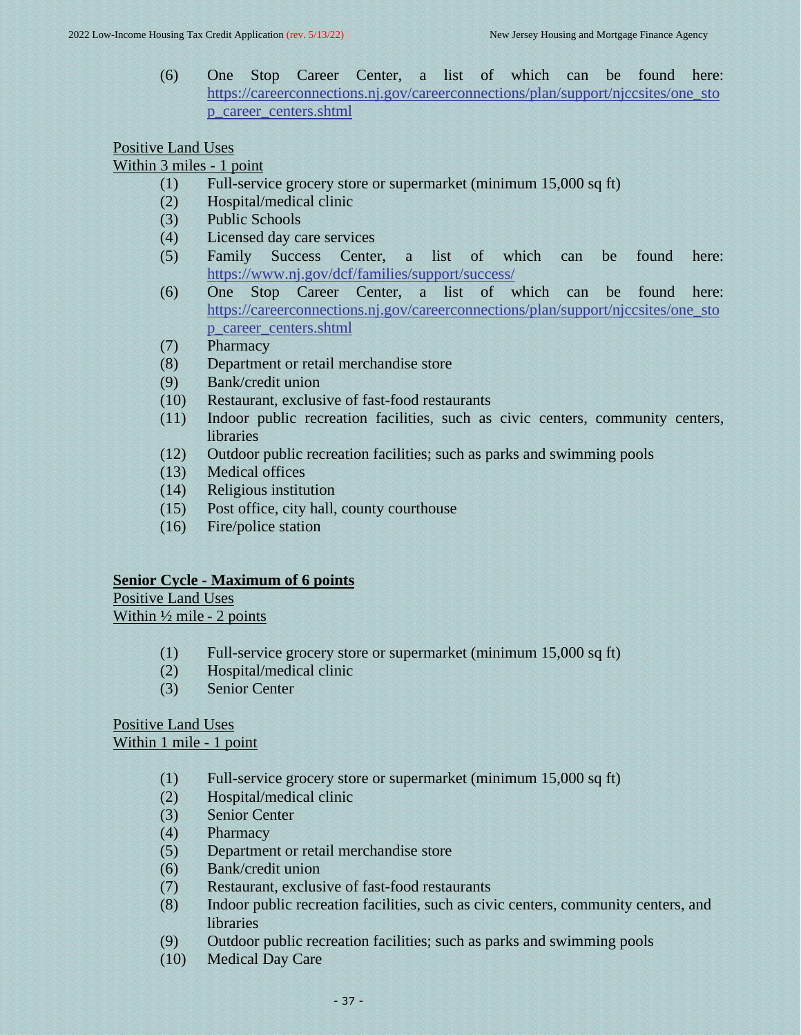(6) One Stop Career Center, a list of which can be found here: [https://careerconnections.nj.gov/careerconnections/plan/support/njccsites/one\\_sto](https://careerconnections.nj.gov/careerconnections/plan/support/njccsites/one_stop_career_centers.shtml) [p\\_career\\_centers.shtml](https://careerconnections.nj.gov/careerconnections/plan/support/njccsites/one_stop_career_centers.shtml)

# Positive Land Uses

# Within 3 miles - 1 point

- (1) Full-service grocery store or supermarket (minimum 15,000 sq ft)
- (2) Hospital/medical clinic
- (3) Public Schools
- (4) Licensed day care services
- (5) Family Success Center, a list of which can be found here: <https://www.nj.gov/dcf/families/support/success/>
- (6) One Stop Career Center, a list of which can be found here: [https://careerconnections.nj.gov/careerconnections/plan/support/njccsites/one\\_sto](https://careerconnections.nj.gov/careerconnections/plan/support/njccsites/one_stop_career_centers.shtml) [p\\_career\\_centers.shtml](https://careerconnections.nj.gov/careerconnections/plan/support/njccsites/one_stop_career_centers.shtml)
- (7) Pharmacy
- (8) Department or retail merchandise store
- (9) Bank/credit union
- (10) Restaurant, exclusive of fast-food restaurants
- (11) Indoor public recreation facilities, such as civic centers, community centers, libraries
- (12) Outdoor public recreation facilities; such as parks and swimming pools
- (13) Medical offices
- (14) Religious institution
- (15) Post office, city hall, county courthouse
- (16) Fire/police station

# **Senior Cycle - Maximum of 6 points**

Positive Land Uses

Within  $\frac{1}{2}$  mile - 2 points

- (1) Full-service grocery store or supermarket (minimum 15,000 sq ft)
- (2) Hospital/medical clinic
- (3) Senior Center

# Positive Land Uses Within 1 mile - 1 point

- (1) Full-service grocery store or supermarket (minimum 15,000 sq ft)
- (2) Hospital/medical clinic
- (3) Senior Center
- (4) Pharmacy
- (5) Department or retail merchandise store
- (6) Bank/credit union
- (7) Restaurant, exclusive of fast-food restaurants
- (8) Indoor public recreation facilities, such as civic centers, community centers, and libraries
- (9) Outdoor public recreation facilities; such as parks and swimming pools
- (10) Medical Day Care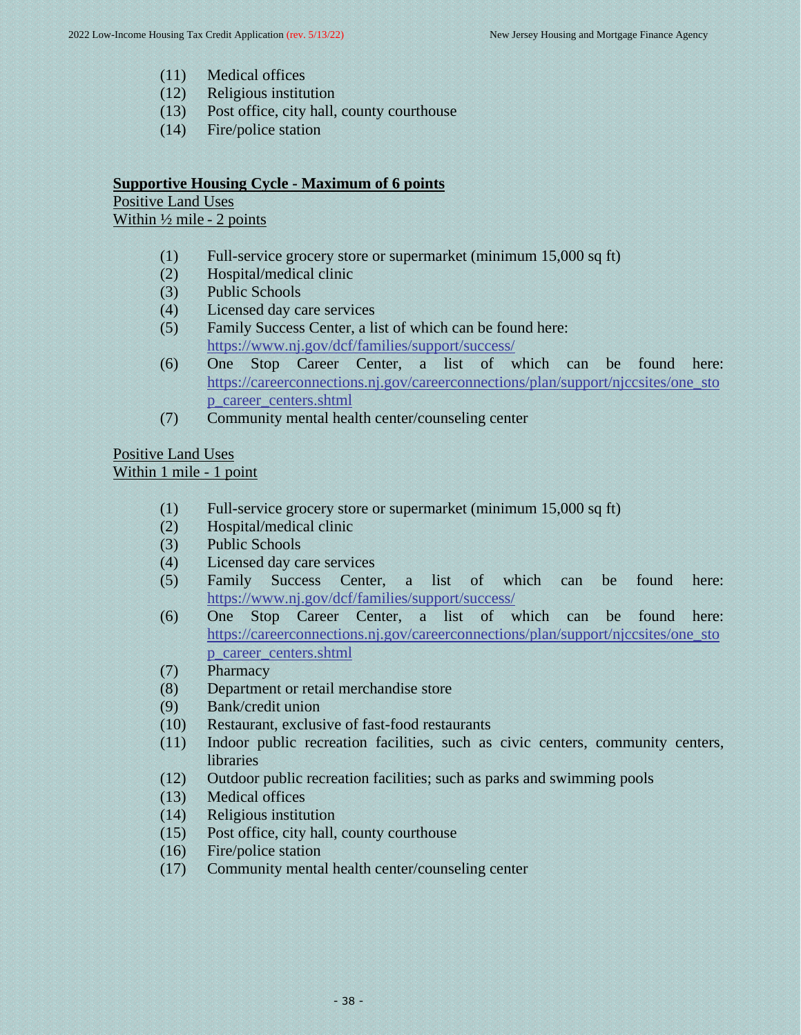- (11) Medical offices
- (12) Religious institution
- (13) Post office, city hall, county courthouse
- (14) Fire/police station

# **Supportive Housing Cycle - Maximum of 6 points**

Positive Land Uses

Within  $\frac{1}{2}$  mile - 2 points

- (1) Full-service grocery store or supermarket (minimum 15,000 sq ft)
- (2) Hospital/medical clinic
- (3) Public Schools
- (4) Licensed day care services
- (5) Family Success Center, a list of which can be found here: <https://www.nj.gov/dcf/families/support/success/>
- (6) One Stop Career Center, a list of which can be found here: [https://careerconnections.nj.gov/careerconnections/plan/support/njccsites/one\\_sto](https://careerconnections.nj.gov/careerconnections/plan/support/njccsites/one_stop_career_centers.shtml) [p\\_career\\_centers.shtml](https://careerconnections.nj.gov/careerconnections/plan/support/njccsites/one_stop_career_centers.shtml)
- (7) Community mental health center/counseling center

# Positive Land Uses Within 1 mile - 1 point

- (1) Full-service grocery store or supermarket (minimum 15,000 sq ft)
- (2) Hospital/medical clinic
- (3) Public Schools
- (4) Licensed day care services
- (5) Family Success Center, a list of which can be found here: <https://www.nj.gov/dcf/families/support/success/>
- (6) One Stop Career Center, a list of which can be found here: [https://careerconnections.nj.gov/careerconnections/plan/support/njccsites/one\\_sto](https://careerconnections.nj.gov/careerconnections/plan/support/njccsites/one_stop_career_centers.shtml) [p\\_career\\_centers.shtml](https://careerconnections.nj.gov/careerconnections/plan/support/njccsites/one_stop_career_centers.shtml)
- (7) Pharmacy
- (8) Department or retail merchandise store
- (9) Bank/credit union
- (10) Restaurant, exclusive of fast-food restaurants
- (11) Indoor public recreation facilities, such as civic centers, community centers, libraries
- (12) Outdoor public recreation facilities; such as parks and swimming pools
- (13) Medical offices
- (14) Religious institution
- (15) Post office, city hall, county courthouse
- (16) Fire/police station
- (17) Community mental health center/counseling center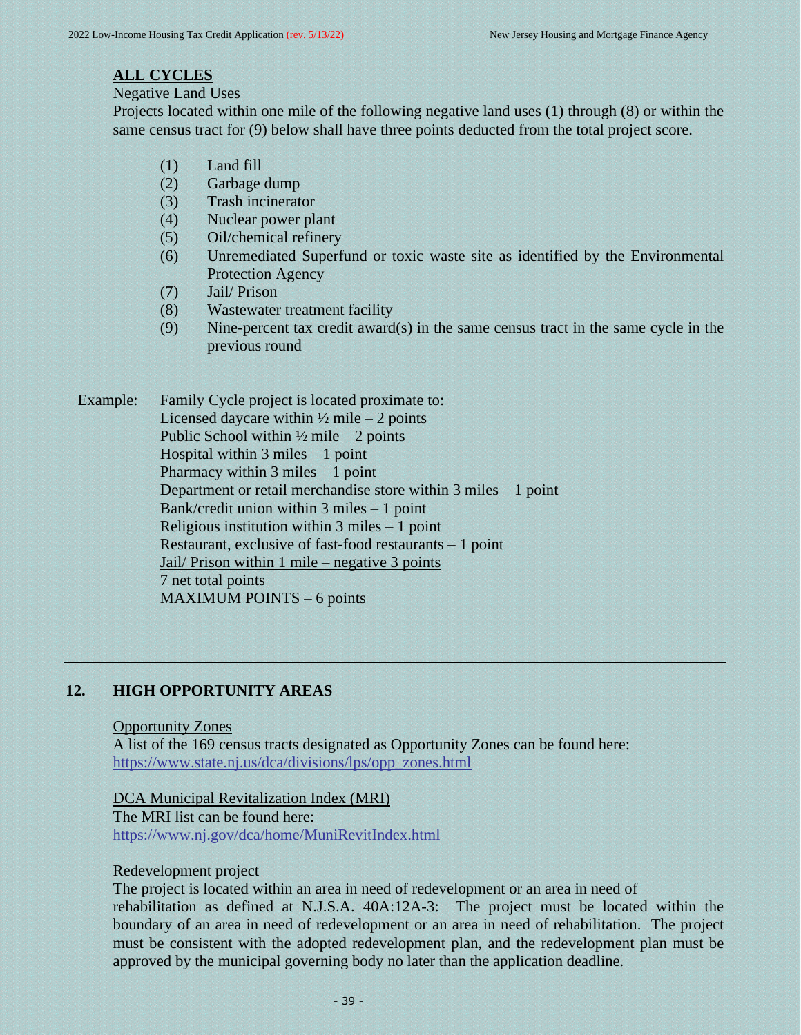# **ALL CYCLES**

Negative Land Uses

Projects located within one mile of the following negative land uses (1) through (8) or within the same census tract for (9) below shall have three points deducted from the total project score.

- (1) Land fill
- (2) Garbage dump
- (3) Trash incinerator
- (4) Nuclear power plant
- (5) Oil/chemical refinery
- (6) Unremediated Superfund or toxic waste site as identified by the Environmental Protection Agency
- (7) Jail/ Prison
- (8) Wastewater treatment facility
- (9) Nine-percent tax credit award(s) in the same census tract in the same cycle in the previous round

Example: Family Cycle project is located proximate to: Licensed daycare within  $\frac{1}{2}$  mile – 2 points Public School within  $\frac{1}{2}$  mile – 2 points Hospital within 3 miles – 1 point Pharmacy within 3 miles – 1 point Department or retail merchandise store within 3 miles – 1 point Bank/credit union within 3 miles – 1 point Religious institution within 3 miles – 1 point Restaurant, exclusive of fast-food restaurants – 1 point Jail/ Prison within 1 mile – negative 3 points 7 net total points MAXIMUM POINTS – 6 points

# **12. HIGH OPPORTUNITY AREAS**

#### <span id="page-38-0"></span>Opportunity Zones

A list of the 169 census tracts designated as Opportunity Zones can be found here: [https://www.state.nj.us/dca/divisions/lps/opp\\_zones.html](https://www.state.nj.us/dca/divisions/lps/opp_zones.html)

DCA Municipal Revitalization Index (MRI) The MRI list can be found here: <https://www.nj.gov/dca/home/MuniRevitIndex.html>

# Redevelopment project

The project is located within an area in need of redevelopment or an area in need of rehabilitation as defined at N.J.S.A. 40A:12A-3: The project must be located within the boundary of an area in need of redevelopment or an area in need of rehabilitation. The project must be consistent with the adopted redevelopment plan, and the redevelopment plan must be approved by the municipal governing body no later than the application deadline.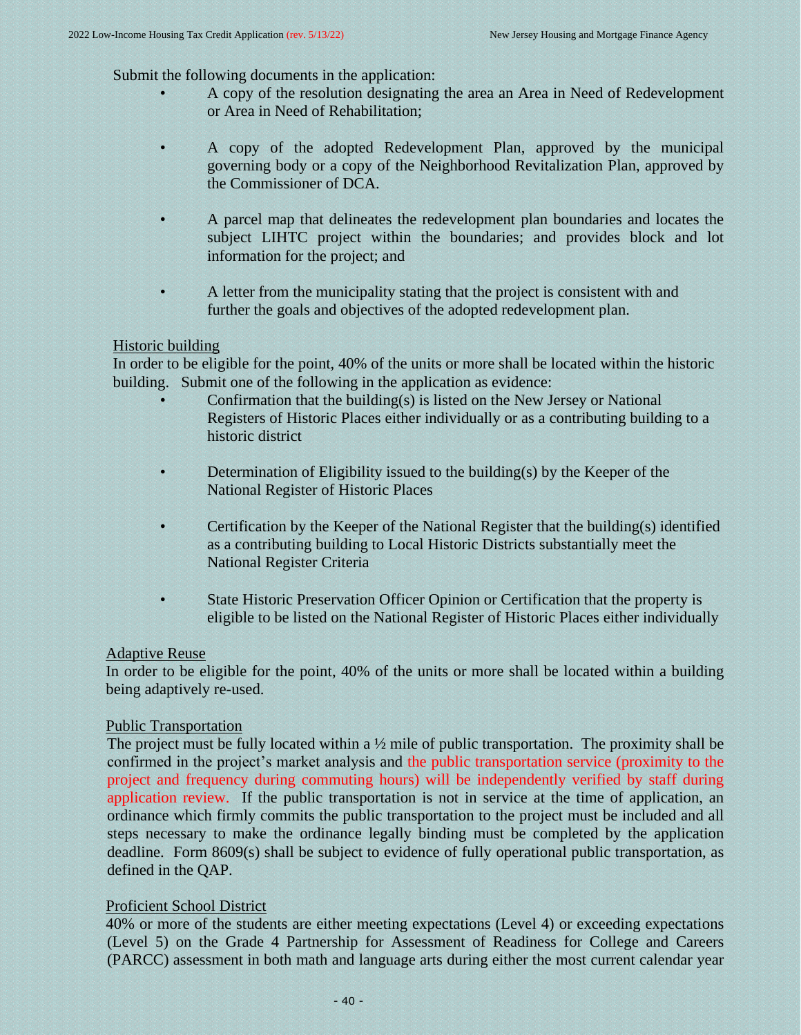Submit the following documents in the application:

- A copy of the resolution designating the area an Area in Need of Redevelopment or Area in Need of Rehabilitation;
- A copy of the adopted Redevelopment Plan, approved by the municipal governing body or a copy of the Neighborhood Revitalization Plan, approved by the Commissioner of DCA.
- A parcel map that delineates the redevelopment plan boundaries and locates the subject LIHTC project within the boundaries; and provides block and lot information for the project; and
- A letter from the municipality stating that the project is consistent with and further the goals and objectives of the adopted redevelopment plan.

# Historic building

In order to be eligible for the point, 40% of the units or more shall be located within the historic building. Submit one of the following in the application as evidence:

- Confirmation that the building(s) is listed on the New Jersey or National Registers of Historic Places either individually or as a contributing building to a historic district
- Determination of Eligibility issued to the building(s) by the Keeper of the National Register of Historic Places
- Certification by the Keeper of the National Register that the building(s) identified as a contributing building to Local Historic Districts substantially meet the National Register Criteria
- State Historic Preservation Officer Opinion or Certification that the property is eligible to be listed on the National Register of Historic Places either individually

# Adaptive Reuse

In order to be eligible for the point, 40% of the units or more shall be located within a building being adaptively re-used.

# Public Transportation

The project must be fully located within a  $\frac{1}{2}$  mile of public transportation. The proximity shall be confirmed in the project's market analysis and the public transportation service (proximity to the project and frequency during commuting hours) will be independently verified by staff during application review. If the public transportation is not in service at the time of application, an ordinance which firmly commits the public transportation to the project must be included and all steps necessary to make the ordinance legally binding must be completed by the application deadline. Form 8609(s) shall be subject to evidence of fully operational public transportation, as defined in the QAP.

# Proficient School District

40% or more of the students are either meeting expectations (Level 4) or exceeding expectations (Level 5) on the Grade 4 Partnership for Assessment of Readiness for College and Careers (PARCC) assessment in both math and language arts during either the most current calendar year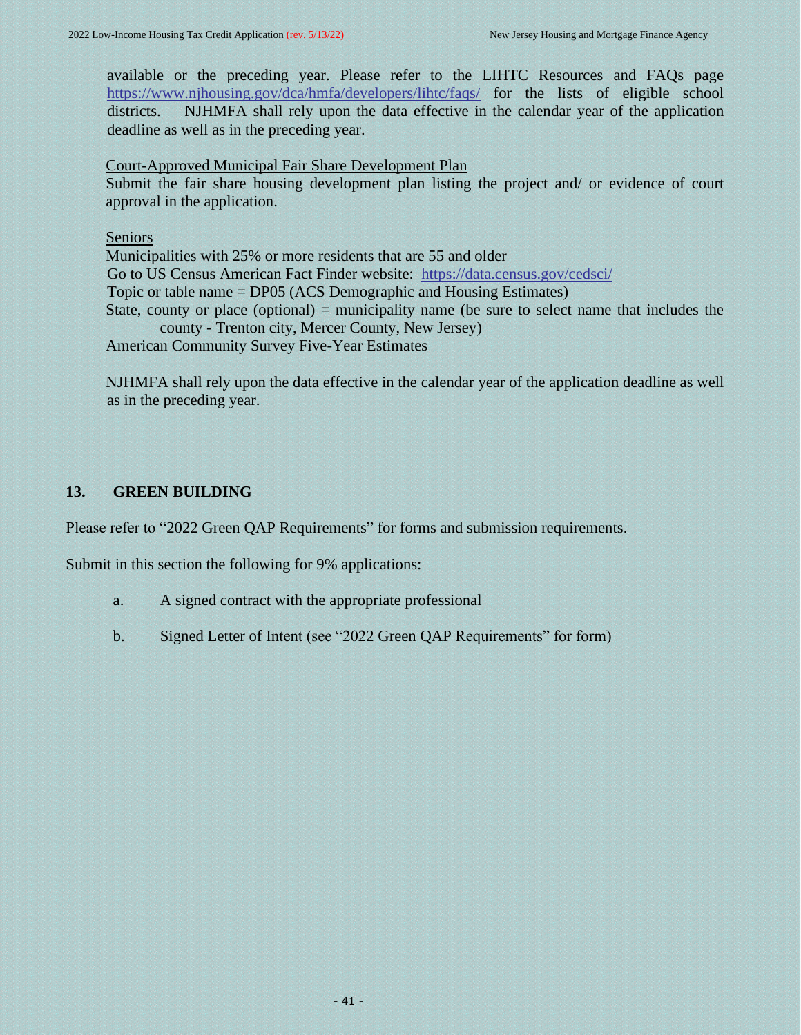available or the preceding year. Please refer to the LIHTC Resources and FAQs page <https://www.njhousing.gov/dca/hmfa/developers/lihtc/faqs/> for the lists of eligible school districts. NJHMFA shall rely upon the data effective in the calendar year of the application deadline as well as in the preceding year.

#### Court-Approved Municipal Fair Share Development Plan

Submit the fair share housing development plan listing the project and/ or evidence of court approval in the application.

#### Seniors

Municipalities with 25% or more residents that are 55 and older Go to US Census American Fact Finder website: <https://data.census.gov/cedsci/> Topic or table name = DP05 (ACS Demographic and Housing Estimates) State, county or place (optional) = municipality name (be sure to select name that includes the county - Trenton city, Mercer County, New Jersey) American Community Survey Five-Year Estimates

NJHMFA shall rely upon the data effective in the calendar year of the application deadline as well as in the preceding year.

# **13. GREEN BUILDING**

Please refer to "2022 Green QAP Requirements" for forms and submission requirements.

Submit in this section the following for 9% applications:

- <span id="page-40-0"></span>a. A signed contract with the appropriate professional
- b. Signed Letter of Intent (see "2022 Green QAP Requirements" for form)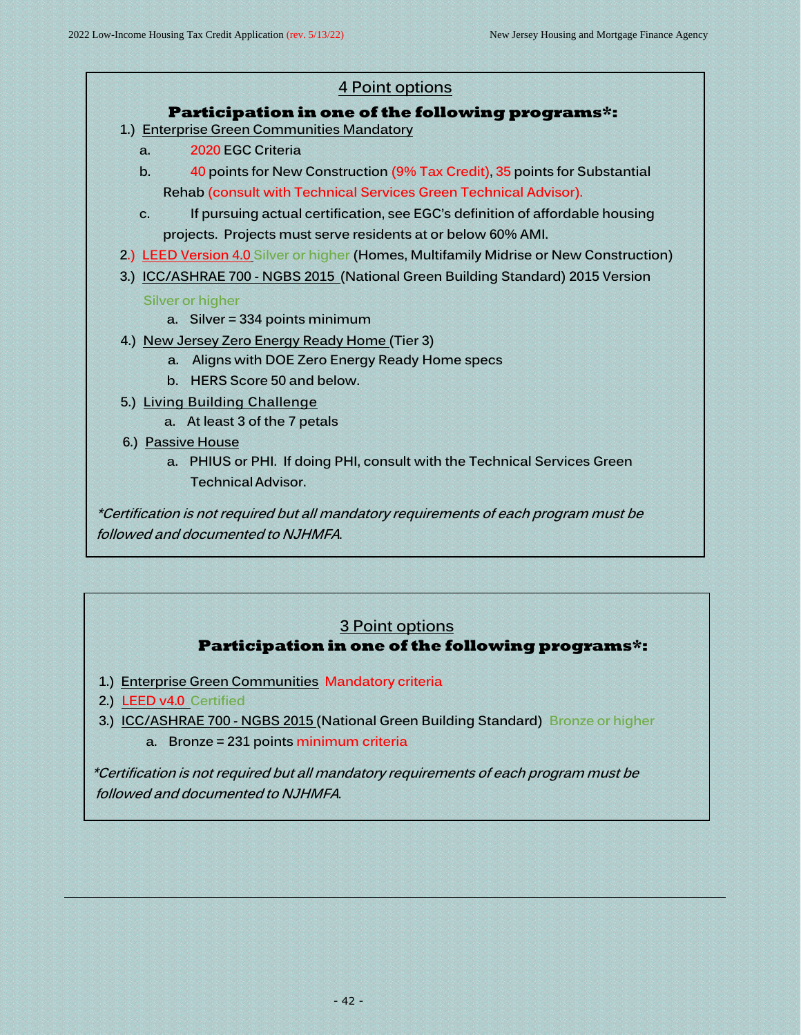

# **3 Point options Participation in one of the following programs\*:**

- **1.) Enterprise Green Communities Mandatory criteria**
- **2.) LEED v4.0 Certified**
- **3.) ICC/ASHRAE 700 - NGBS 2015 (National Green Building Standard) Bronze or higher**
	- **a. Bronze = 231 points minimum criteria**

 **\*Certification is not required but all mandatory requirements of each program must be followed and documented to NJHMFA.**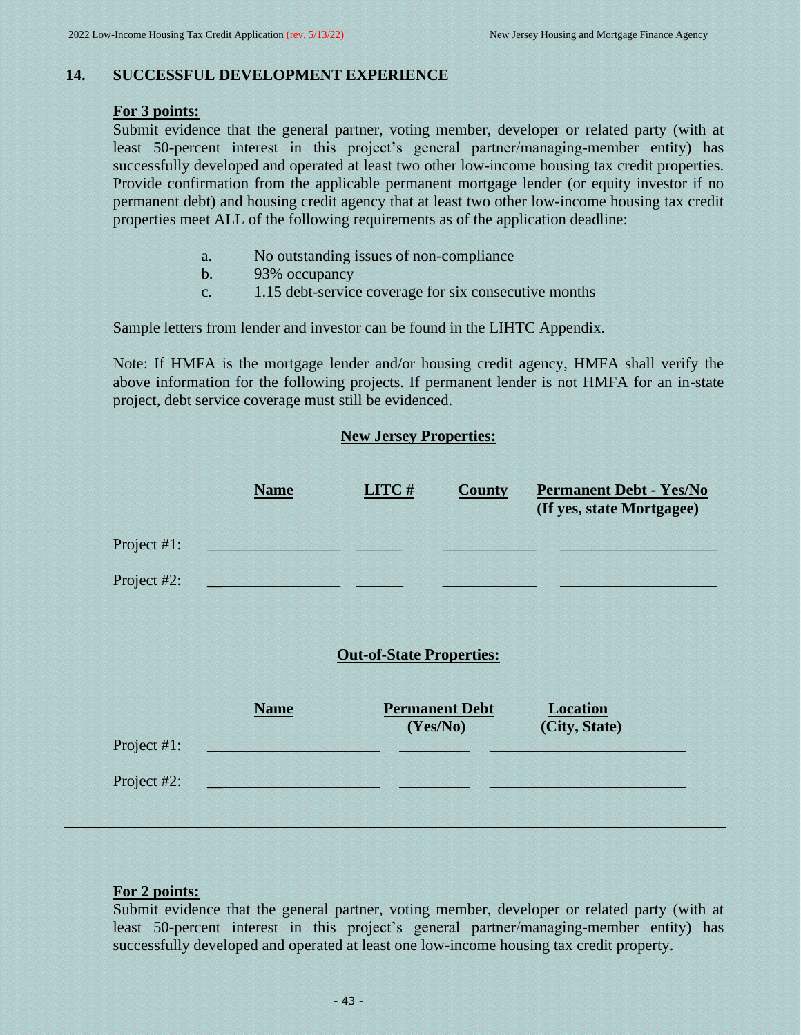# **14. SUCCESSFUL DEVELOPMENT EXPERIENCE**

#### **For 3 points:**

Submit evidence that the general partner, voting member, developer or related party (with at least 50-percent interest in this project's general partner/managing-member entity) has successfully developed and operated at least two other low-income housing tax credit properties. Provide confirmation from the applicable permanent mortgage lender (or equity investor if no permanent debt) and housing credit agency that at least two other low-income housing tax credit properties meet ALL of the following requirements as of the application deadline:

- <span id="page-42-0"></span>a. No outstanding issues of non-compliance
- b. 93% occupancy
- c. 1.15 debt-service coverage for six consecutive months

Sample letters from lender and investor can be found in the LIHTC Appendix.

Note: If HMFA is the mortgage lender and/or housing credit agency, HMFA shall verify the above information for the following projects. If permanent lender is not HMFA for an in-state project, debt service coverage must still be evidenced.

# **New Jersey Properties:**

|             | <b>Name</b> | LITC# | <b>County</b> | <b>Permanent Debt - Yes/No</b><br>(If yes, state Mortgagee) |
|-------------|-------------|-------|---------------|-------------------------------------------------------------|
| Project #1: |             |       |               |                                                             |
| Project #2: |             |       |               |                                                             |

# **Out-of-State Properties:**

|             | <b>Name</b> | <b>Permanent Debt</b><br>(Yes/No) | <b>Location</b><br>(City, State) |  |
|-------------|-------------|-----------------------------------|----------------------------------|--|
| Project #1: |             |                                   |                                  |  |
| Project #2: |             |                                   |                                  |  |
|             |             |                                   |                                  |  |

# **For 2 points:**

Submit evidence that the general partner, voting member, developer or related party (with at least 50-percent interest in this project's general partner/managing-member entity) has successfully developed and operated at least one low-income housing tax credit property.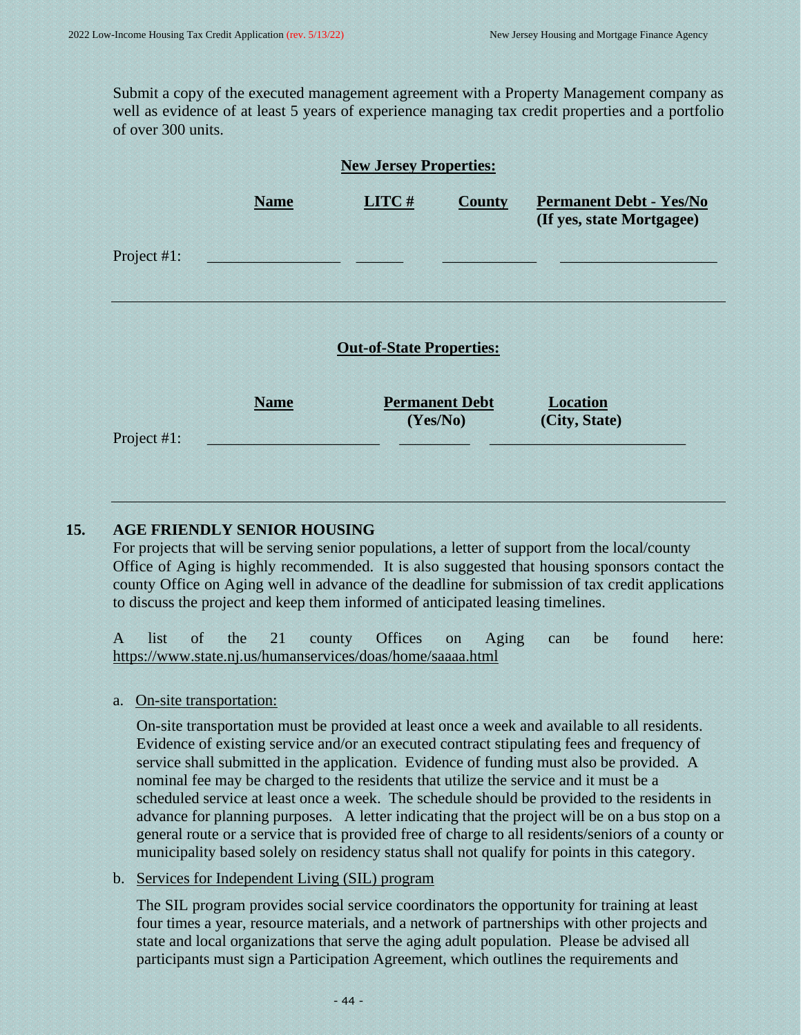<span id="page-43-0"></span>Submit a copy of the executed management agreement with a Property Management company as well as evidence of at least 5 years of experience managing tax credit properties and a portfolio of over 300 units.

| <b>New Jersey Properties:</b> |             |                                   |               |                                                             |
|-------------------------------|-------------|-----------------------------------|---------------|-------------------------------------------------------------|
|                               | <b>Name</b> | LITC#                             | <b>County</b> | <b>Permanent Debt - Yes/No</b><br>(If yes, state Mortgagee) |
| Project #1:                   |             |                                   |               |                                                             |
|                               |             | <b>Out-of-State Properties:</b>   |               |                                                             |
| Project #1:                   | <b>Name</b> | <b>Permanent Debt</b><br>(Yes/No) |               | <b>Location</b><br>(City, State)                            |

# **15. AGE FRIENDLY SENIOR HOUSING**

For projects that will be serving senior populations, a letter of support from the local/county Office of Aging is highly recommended. It is also suggested that housing sponsors contact the county Office on Aging well in advance of the deadline for submission of tax credit applications to discuss the project and keep them informed of anticipated leasing timelines.

A list of the 21 county Offices on Aging can be found here: <https://www.state.nj.us/humanservices/doas/home/saaaa.html>

a. On-site transportation:

On-site transportation must be provided at least once a week and available to all residents. Evidence of existing service and/or an executed contract stipulating fees and frequency of service shall submitted in the application. Evidence of funding must also be provided. A nominal fee may be charged to the residents that utilize the service and it must be a scheduled service at least once a week. The schedule should be provided to the residents in advance for planning purposes. A letter indicating that the project will be on a bus stop on a general route or a service that is provided free of charge to all residents/seniors of a county or municipality based solely on residency status shall not qualify for points in this category.

b. Services for Independent Living (SIL) program

The SIL program provides social service coordinators the opportunity for training at least four times a year, resource materials, and a network of partnerships with other projects and state and local organizations that serve the aging adult population. Please be advised all participants must sign a Participation Agreement, which outlines the requirements and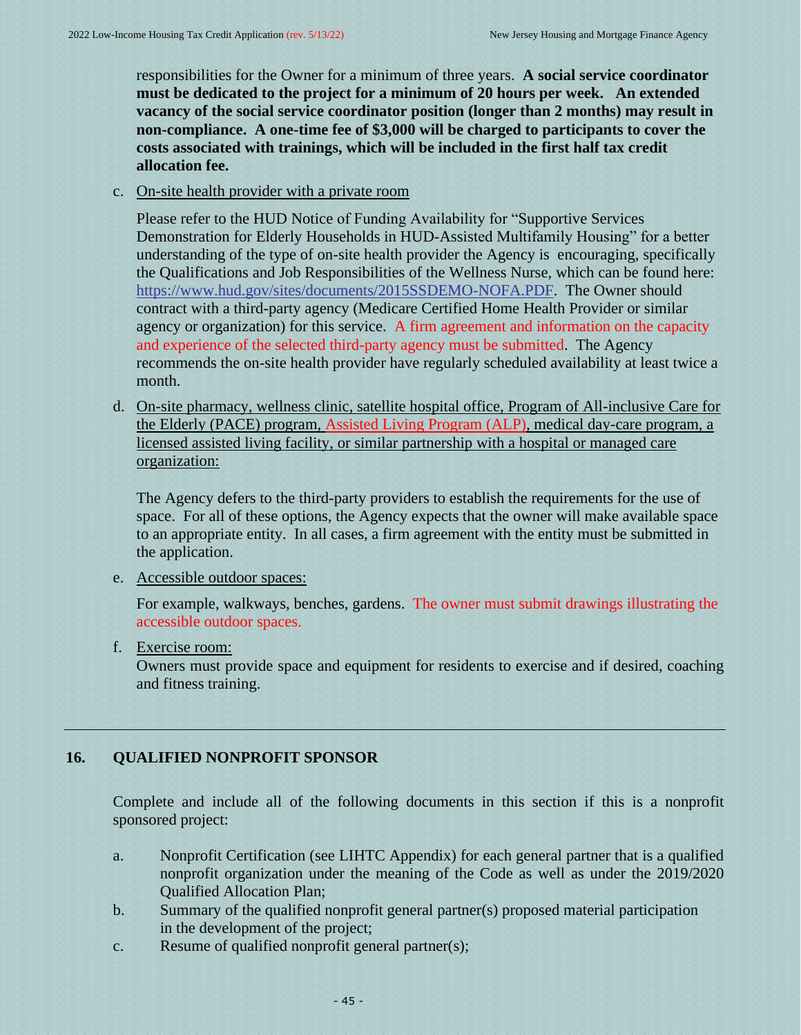responsibilities for the Owner for a minimum of three years. **A social service coordinator must be dedicated to the project for a minimum of 20 hours per week. An extended vacancy of the social service coordinator position (longer than 2 months) may result in non-compliance. A one-time fee of \$3,000 will be charged to participants to cover the costs associated with trainings, which will be included in the first half tax credit allocation fee.**

c. On-site health provider with a private room

Please refer to the HUD Notice of Funding Availability for "Supportive Services Demonstration for Elderly Households in HUD-Assisted Multifamily Housing" for a better understanding of the type of on-site health provider the Agency is encouraging, specifically the Qualifications and Job Responsibilities of the Wellness Nurse, which can be found here: [https://www.hud.gov/sites/documents/2015SSDEMO-NOFA.PDF.](https://www.hud.gov/sites/documents/2015SSDEMO-NOFA.PDF) The Owner should contract with a third-party agency (Medicare Certified Home Health Provider or similar agency or organization) for this service. A firm agreement and information on the capacity and experience of the selected third-party agency must be submitted. The Agency recommends the on-site health provider have regularly scheduled availability at least twice a month.

d. On-site pharmacy, wellness clinic, satellite hospital office, Program of All-inclusive Care for the Elderly (PACE) program, Assisted Living Program (ALP), medical day-care program, a licensed assisted living facility, or similar partnership with a hospital or managed care organization:

The Agency defers to the third-party providers to establish the requirements for the use of space. For all of these options, the Agency expects that the owner will make available space to an appropriate entity. In all cases, a firm agreement with the entity must be submitted in the application.

e. Accessible outdoor spaces:

For example, walkways, benches, gardens. The owner must submit drawings illustrating the accessible outdoor spaces.

f. Exercise room:

<span id="page-44-0"></span>Owners must provide space and equipment for residents to exercise and if desired, coaching and fitness training.

# **16. QUALIFIED NONPROFIT SPONSOR**

Complete and include all of the following documents in this section if this is a nonprofit sponsored project:

- a. Nonprofit Certification (see LIHTC Appendix) for each general partner that is a qualified nonprofit organization under the meaning of the Code as well as under the 2019/2020 Qualified Allocation Plan;
- b. Summary of the qualified nonprofit general partner(s) proposed material participation in the development of the project;
- c. Resume of qualified nonprofit general partner(s);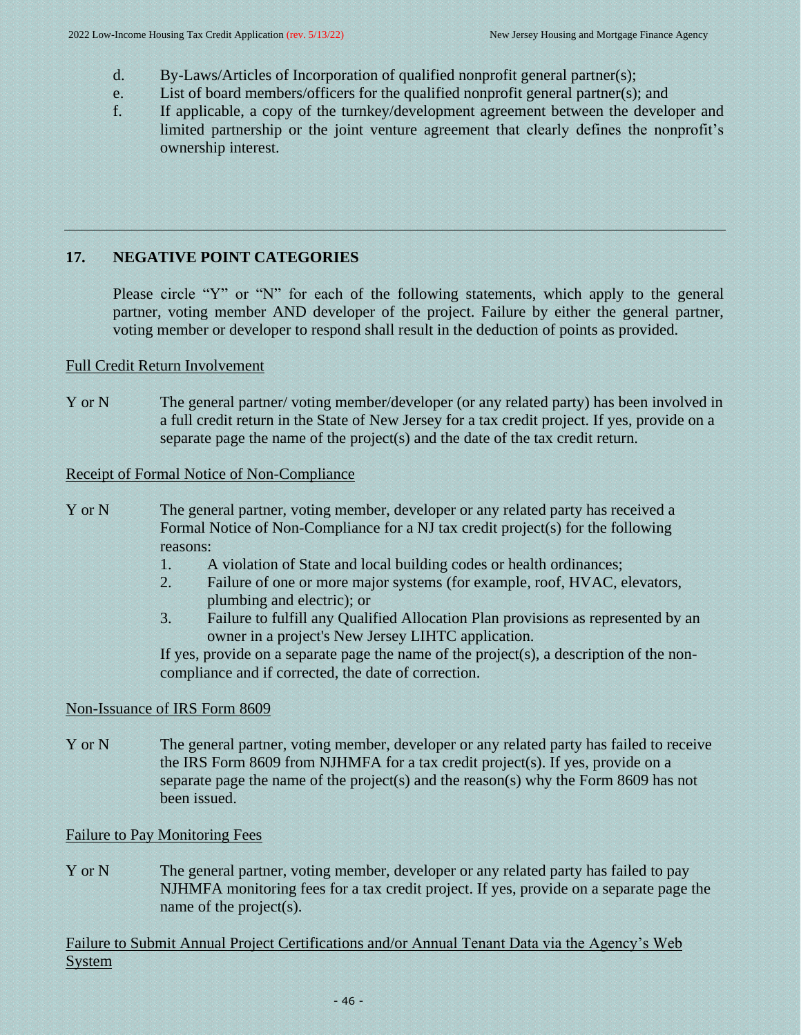- d. By-Laws/Articles of Incorporation of qualified nonprofit general partner(s);
- e. List of board members/officers for the qualified nonprofit general partner(s); and
- f. If applicable, a copy of the turnkey/development agreement between the developer and limited partnership or the joint venture agreement that clearly defines the nonprofit's ownership interest.

# **17. NEGATIVE POINT CATEGORIES**

<span id="page-45-0"></span>Please circle "Y" or "N" for each of the following statements, which apply to the general partner, voting member AND developer of the project. Failure by either the general partner, voting member or developer to respond shall result in the deduction of points as provided.

# Full Credit Return Involvement

Y or N The general partner/ voting member/developer (or any related party) has been involved in a full credit return in the State of New Jersey for a tax credit project. If yes, provide on a separate page the name of the project(s) and the date of the tax credit return.

# Receipt of Formal Notice of Non-Compliance

- Y or N The general partner, voting member, developer or any related party has received a Formal Notice of Non-Compliance for a NJ tax credit project(s) for the following reasons:
	- 1. A violation of State and local building codes or health ordinances;
	- 2. Failure of one or more major systems (for example, roof, HVAC, elevators, plumbing and electric); or
	- 3. Failure to fulfill any Qualified Allocation Plan provisions as represented by an owner in a project's New Jersey LIHTC application.

If yes, provide on a separate page the name of the project(s), a description of the noncompliance and if corrected, the date of correction.

# Non-Issuance of IRS Form 8609

Y or N The general partner, voting member, developer or any related party has failed to receive the IRS Form 8609 from NJHMFA for a tax credit project(s). If yes, provide on a separate page the name of the project(s) and the reason(s) why the Form 8609 has not been issued.

# Failure to Pay Monitoring Fees

Y or N The general partner, voting member, developer or any related party has failed to pay NJHMFA monitoring fees for a tax credit project. If yes, provide on a separate page the name of the project(s).

Failure to Submit Annual Project Certifications and/or Annual Tenant Data via the Agency's Web **System**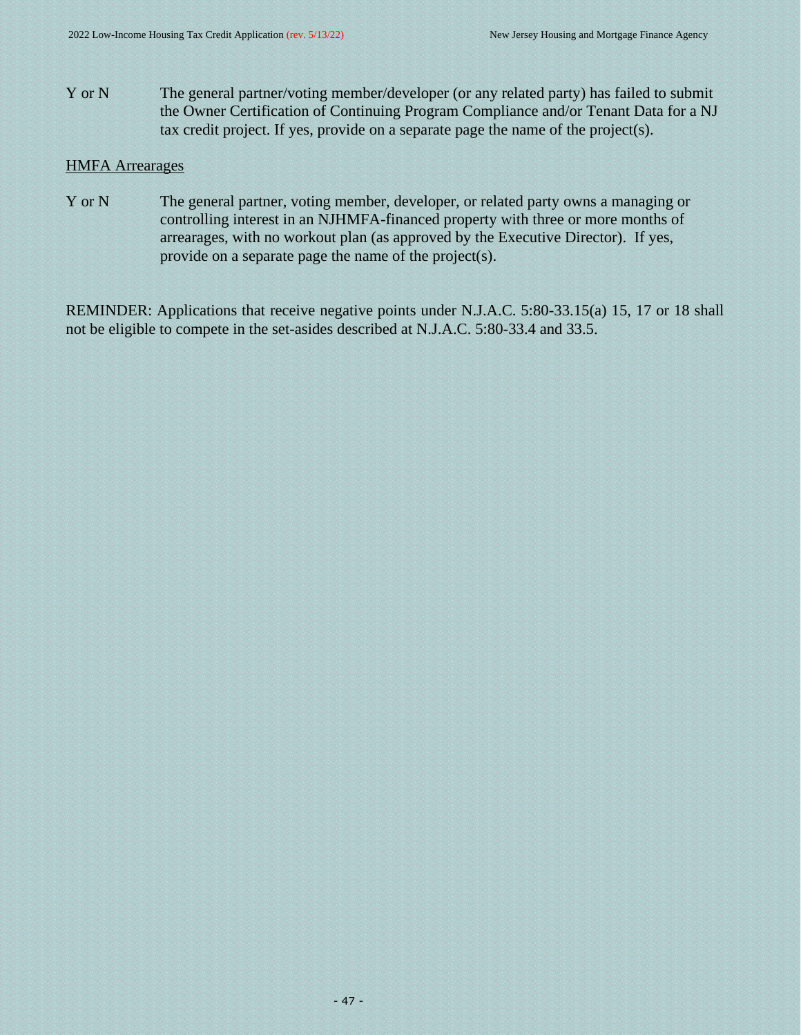Y or N The general partner/voting member/developer (or any related party) has failed to submit the Owner Certification of Continuing Program Compliance and/or Tenant Data for a NJ tax credit project. If yes, provide on a separate page the name of the project(s).

#### HMFA Arrearages

Y or N The general partner, voting member, developer, or related party owns a managing or controlling interest in an NJHMFA-financed property with three or more months of arrearages, with no workout plan (as approved by the Executive Director). If yes, provide on a separate page the name of the project(s).

REMINDER: Applications that receive negative points under N.J.A.C. 5:80-33.15(a) 15, 17 or 18 shall not be eligible to compete in the set-asides described at N.J.A.C. 5:80-33.4 and 33.5.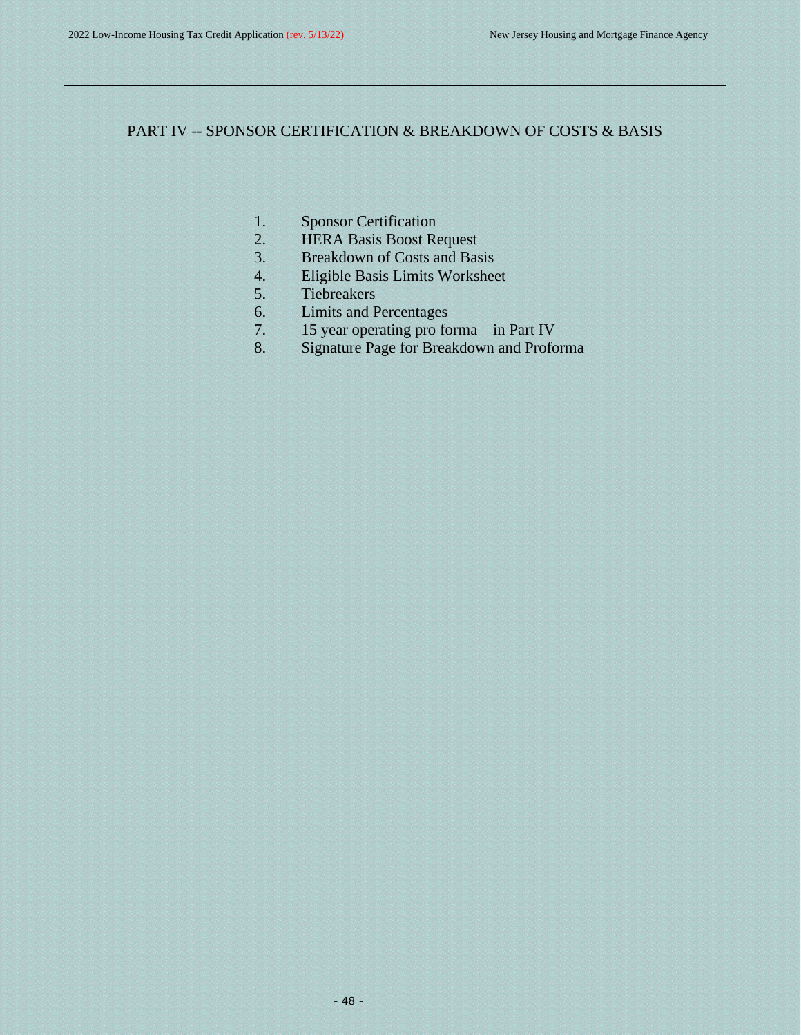# PART IV -- SPONSOR CERTIFICATION & BREAKDOWN OF COSTS & BASIS

- <span id="page-47-0"></span>1. Sponsor Certification
- 2. HERA Basis Boost Request
- 3. Breakdown of Costs and Basis
- 4. Eligible Basis Limits Worksheet
- 5. Tiebreakers
- 6. Limits and Percentages
- 7. 15 year operating pro forma in Part IV
- 8. Signature Page for Breakdown and Proforma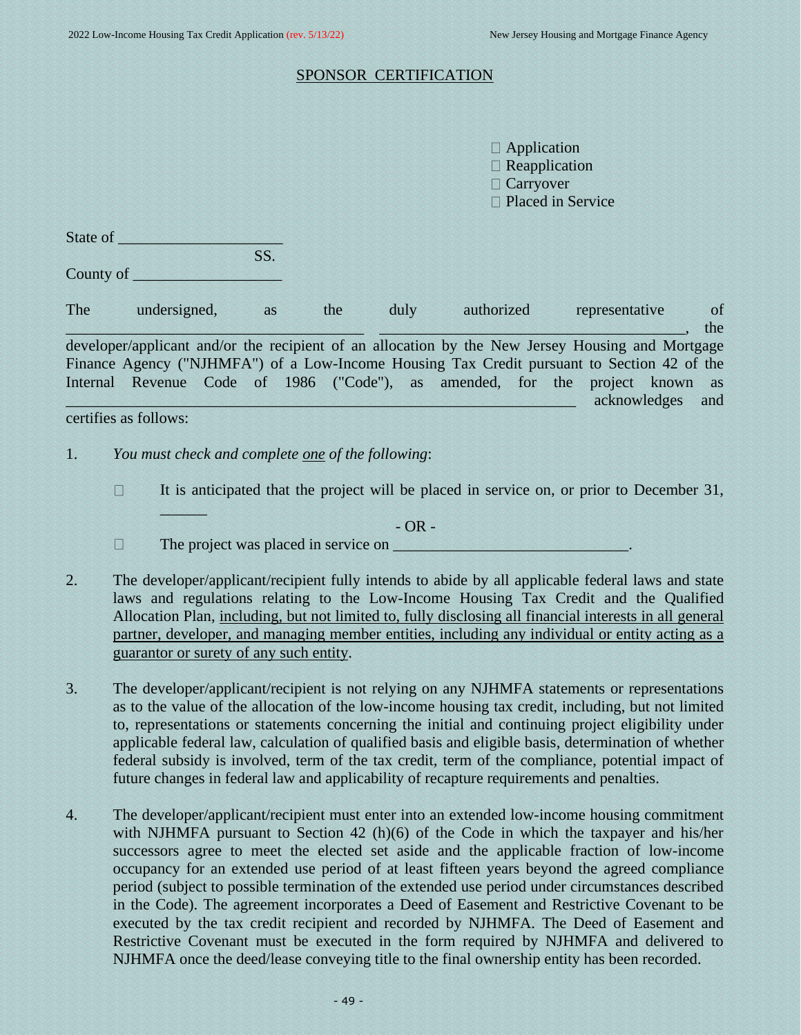#### SPONSOR CERTIFICATION

 $\Box$  Application □ Reapplication □ Carryover □ Placed in Service

| State of |     |
|----------|-----|
|          | SS. |

 $\frac{1}{2}$  ,  $\frac{1}{2}$  ,  $\frac{1}{2}$ 

County of

The undersigned, as the duly authorized representative of  $\blacksquare$ , the developer/applicant and/or the recipient of an allocation by the New Jersey Housing and Mortgage Finance Agency ("NJHMFA") of a Low-Income Housing Tax Credit pursuant to Section 42 of the Internal Revenue Code of 1986 ("Code"), as amended, for the project known as \_\_\_\_\_\_\_\_\_\_\_\_\_\_\_\_\_\_\_\_\_\_\_\_\_\_\_\_\_\_\_\_\_\_\_\_\_\_\_\_\_\_\_\_\_\_\_\_\_\_\_\_\_\_\_\_\_\_\_\_\_\_\_\_\_ acknowledges and

certifies as follows:

- 1. *You must check and complete one of the following*:
	- It is anticipated that the project will be placed in service on, or prior to December 31,  $\Box$

 $-$  OR  $-$ 

- $\Box$ The project was placed in service on \_\_\_\_\_\_\_\_\_\_\_\_\_\_\_\_\_\_\_\_\_\_\_\_\_\_\_\_\_\_.
- 2. The developer/applicant/recipient fully intends to abide by all applicable federal laws and state laws and regulations relating to the Low-Income Housing Tax Credit and the Qualified Allocation Plan, including, but not limited to, fully disclosing all financial interests in all general partner, developer, and managing member entities, including any individual or entity acting as a guarantor or surety of any such entity.
- 3. The developer/applicant/recipient is not relying on any NJHMFA statements or representations as to the value of the allocation of the low-income housing tax credit, including, but not limited to, representations or statements concerning the initial and continuing project eligibility under applicable federal law, calculation of qualified basis and eligible basis, determination of whether federal subsidy is involved, term of the tax credit, term of the compliance, potential impact of future changes in federal law and applicability of recapture requirements and penalties.
- 4. The developer/applicant/recipient must enter into an extended low-income housing commitment with NJHMFA pursuant to Section 42 (h)(6) of the Code in which the taxpayer and his/her successors agree to meet the elected set aside and the applicable fraction of low-income occupancy for an extended use period of at least fifteen years beyond the agreed compliance period (subject to possible termination of the extended use period under circumstances described in the Code). The agreement incorporates a Deed of Easement and Restrictive Covenant to be executed by the tax credit recipient and recorded by NJHMFA. The Deed of Easement and Restrictive Covenant must be executed in the form required by NJHMFA and delivered to NJHMFA once the deed/lease conveying title to the final ownership entity has been recorded.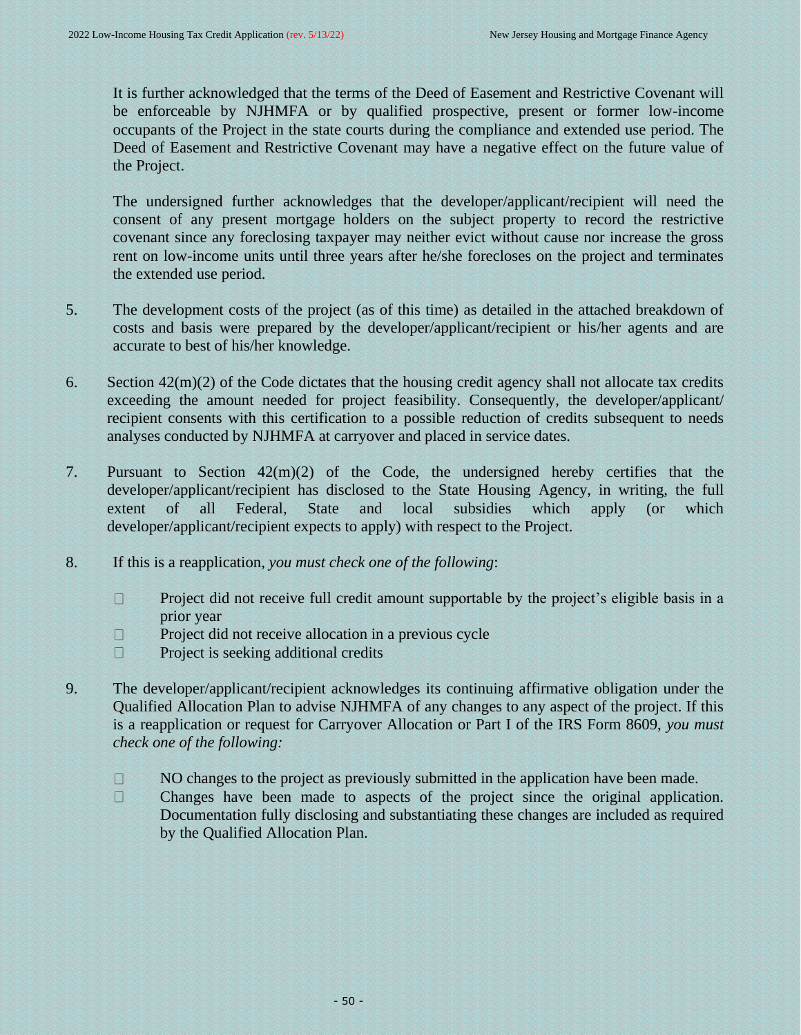It is further acknowledged that the terms of the Deed of Easement and Restrictive Covenant will be enforceable by NJHMFA or by qualified prospective, present or former low-income occupants of the Project in the state courts during the compliance and extended use period. The Deed of Easement and Restrictive Covenant may have a negative effect on the future value of the Project.

The undersigned further acknowledges that the developer/applicant/recipient will need the consent of any present mortgage holders on the subject property to record the restrictive covenant since any foreclosing taxpayer may neither evict without cause nor increase the gross rent on low-income units until three years after he/she forecloses on the project and terminates the extended use period.

- 5. The development costs of the project (as of this time) as detailed in the attached breakdown of costs and basis were prepared by the developer/applicant/recipient or his/her agents and are accurate to best of his/her knowledge.
- 6. Section  $42(m)(2)$  of the Code dictates that the housing credit agency shall not allocate tax credits exceeding the amount needed for project feasibility. Consequently, the developer/applicant/ recipient consents with this certification to a possible reduction of credits subsequent to needs analyses conducted by NJHMFA at carryover and placed in service dates.
- 7. Pursuant to Section 42(m)(2) of the Code, the undersigned hereby certifies that the developer/applicant/recipient has disclosed to the State Housing Agency, in writing, the full extent of all Federal, State and local subsidies which apply (or which developer/applicant/recipient expects to apply) with respect to the Project.
- 8. If this is a reapplication*, you must check one of the following*:
	- $\Box$ Project did not receive full credit amount supportable by the project's eligible basis in a prior year
	- $\Box$ Project did not receive allocation in a previous cycle
	- $\Box$ Project is seeking additional credits
- 9. The developer/applicant/recipient acknowledges its continuing affirmative obligation under the Qualified Allocation Plan to advise NJHMFA of any changes to any aspect of the project. If this is a reapplication or request for Carryover Allocation or Part I of the IRS Form 8609, *you must check one of the following:*
	- NO changes to the project as previously submitted in the application have been made.  $\Box$
	- $\Box$ Changes have been made to aspects of the project since the original application. Documentation fully disclosing and substantiating these changes are included as required by the Qualified Allocation Plan.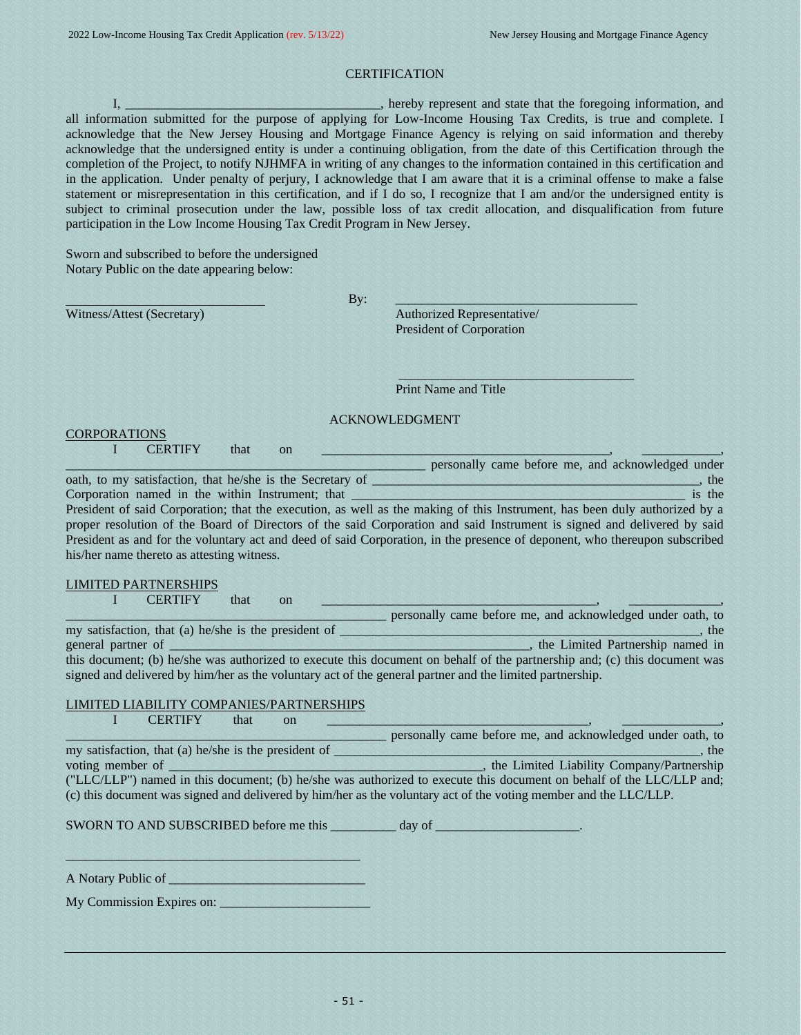#### **CERTIFICATION**

I, \_\_\_\_\_\_\_\_\_\_\_\_\_\_\_\_\_\_\_\_\_\_\_\_\_\_\_\_\_\_\_, hereby represent and state that the foregoing information, and all information submitted for the purpose of applying for Low-Income Housing Tax Credits, is true and complete. I acknowledge that the New Jersey Housing and Mortgage Finance Agency is relying on said information and thereby acknowledge that the undersigned entity is under a continuing obligation, from the date of this Certification through the completion of the Project, to notify NJHMFA in writing of any changes to the information contained in this certification and in the application. Under penalty of perjury, I acknowledge that I am aware that it is a criminal offense to make a false statement or misrepresentation in this certification, and if I do so, I recognize that I am and/or the undersigned entity is subject to criminal prosecution under the law, possible loss of tax credit allocation, and disqualification from future participation in the Low Income Housing Tax Credit Program in New Jersey.

Sworn and subscribed to before the undersigned Notary Public on the date appearing below:

Witness/Attest (Secretary) **Authorized Representative/** 

 $\mathbf{B} \mathbf{y}$ :  $\mathbf{B}$ 

President of Corporation

 $\frac{1}{2}$  ,  $\frac{1}{2}$  ,  $\frac{1}{2}$  ,  $\frac{1}{2}$  ,  $\frac{1}{2}$  ,  $\frac{1}{2}$  ,  $\frac{1}{2}$  ,  $\frac{1}{2}$  ,  $\frac{1}{2}$  ,  $\frac{1}{2}$  ,  $\frac{1}{2}$  ,  $\frac{1}{2}$  ,  $\frac{1}{2}$  ,  $\frac{1}{2}$  ,  $\frac{1}{2}$  ,  $\frac{1}{2}$  ,  $\frac{1}{2}$  ,  $\frac{1}{2}$  ,  $\frac{1$ 

Print Name and Title

#### ACKNOWLEDGMENT

**CORPORATIONS** I CERTIFY that on <u>the set of the set of the set of the set of the set of the set of the set of the set of the set of the set of the set of the set of the set of the set of the set of the set of the set of the set of the s</u>

his/her name thereto as attesting witness.

personally came before me, and acknowledged under oath, to my satisfaction, that he/she is the Secretary of \_\_\_\_\_\_\_\_\_\_\_\_\_\_\_\_\_\_\_\_\_\_\_\_\_\_\_\_\_\_\_\_\_\_\_\_\_\_\_\_\_\_\_\_\_\_\_\_\_\_, the Corporation named in the within Instrument; that \_\_\_\_\_\_\_\_\_\_\_\_\_\_\_\_\_\_\_\_\_\_\_\_\_\_\_\_\_\_\_\_\_\_\_\_\_\_\_\_\_\_\_\_\_\_\_\_\_\_\_ is the President of said Corporation; that the execution, as well as the making of this Instrument, has been duly authorized by a proper resolution of the Board of Directors of the said Corporation and said Instrument is signed and delivered by said President as and for the voluntary act and deed of said Corporation, in the presence of deponent, who thereupon subscribed

LIMITED PARTNERSHIPS

I CERTIFY that on <u>the set of the set of the set of the set of the set of the set of the set of the set of the set of the set of the set of the set of the set of the set of the set of the set of the set of the set of the s</u>

\_\_\_\_\_\_\_\_\_\_\_\_\_\_\_\_\_\_\_\_\_\_\_\_\_\_\_\_\_\_\_\_\_\_\_\_\_\_\_\_\_\_\_\_\_\_\_\_\_ personally came before me, and acknowledged under oath, to my satisfaction, that (a) he/she is the president of \_\_\_\_\_\_\_\_\_\_\_\_\_\_\_\_\_\_\_\_\_\_\_\_\_\_\_\_\_\_\_\_\_, the general partner of \_\_\_\_\_\_\_\_\_\_\_\_\_\_\_\_\_\_\_\_\_\_\_\_\_\_\_\_\_\_\_\_\_\_\_\_\_\_\_\_\_\_\_\_\_\_\_\_\_\_\_\_\_\_\_, the Limited Partnership named in this document; (b) he/she was authorized to execute this document on behalf of the partnership and; (c) this document was signed and delivered by him/her as the voluntary act of the general partner and the limited partnership.

#### LIMITED LIABILITY COMPANIES/PARTNERSHIPS

| <b>CERTIFY</b><br>that<br><sub>on</sub>                                                                              |                                                                                                                  |  |  |
|----------------------------------------------------------------------------------------------------------------------|------------------------------------------------------------------------------------------------------------------|--|--|
|                                                                                                                      | personally came before me, and acknowledged under oath, to                                                       |  |  |
| my satisfaction, that (a) he/she is the president of                                                                 | th                                                                                                               |  |  |
| voting member of                                                                                                     | _, the Limited Liability Company/Partnership                                                                     |  |  |
| ("LLC/LLP") named in this document; (b) he/she was authorized to execute this document on behalf of the LLC/LLP and; |                                                                                                                  |  |  |
|                                                                                                                      | (c) this document was signed and delivered by him/her as the voluntary act of the voting member and the LLC/LLP. |  |  |
|                                                                                                                      |                                                                                                                  |  |  |

SWORN TO AND SUBSCRIBED before me this day of

A Notary Public of \_\_\_\_\_\_\_\_\_\_\_\_\_\_\_\_\_\_\_\_\_\_\_\_\_\_\_\_\_\_

My Commission Expires on: \_\_\_\_\_\_\_\_\_\_\_\_\_\_\_\_\_\_\_\_\_\_\_

 $\frac{1}{2}$  ,  $\frac{1}{2}$  ,  $\frac{1}{2}$  ,  $\frac{1}{2}$  ,  $\frac{1}{2}$  ,  $\frac{1}{2}$  ,  $\frac{1}{2}$  ,  $\frac{1}{2}$  ,  $\frac{1}{2}$  ,  $\frac{1}{2}$  ,  $\frac{1}{2}$  ,  $\frac{1}{2}$  ,  $\frac{1}{2}$  ,  $\frac{1}{2}$  ,  $\frac{1}{2}$  ,  $\frac{1}{2}$  ,  $\frac{1}{2}$  ,  $\frac{1}{2}$  ,  $\frac{1$